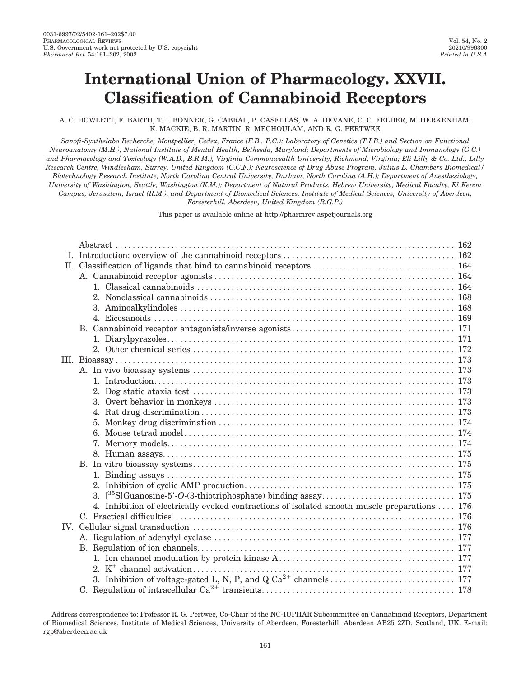# **International Union of Pharmacology. XXVII. Classification of Cannabinoid Receptors**

A. C. HOWLETT, F. BARTH, T. I. BONNER, G. CABRAL, P. CASELLAS, W. A. DEVANE, C. C. FELDER, M. HERKENHAM, K. MACKIE, B. R. MARTIN, R. MECHOULAM, AND R. G. PERTWEE

*Sanofi-Synthelabo Recherche, Montpellier, Cedex, France (F.B., P.C.); Laboratory of Genetics (T.I.B.) and Section on Functional Neuroanatomy (M.H.), National Institute of Mental Health, Bethesda, Maryland; Departments of Microbiology and Immunology (G.C.) and Pharmacology and Toxicology (W.A.D., B.R.M.), Virginia Commonwealth University, Richmond, Virginia; Eli Lilly & Co. Ltd., Lilly Research Centre, Windlesham, Surrey, United Kingdom (C.C.F.); Neuroscience of Drug Abuse Program, Julius L. Chambers Biomedical/ Biotechnology Research Institute, North Carolina Central University, Durham, North Carolina (A.H.); Department of Anesthesiology, University of Washington, Seattle, Washington (K.M.); Department of Natural Products, Hebrew University, Medical Faculty, El Kerem Campus, Jerusalem, Israel (R.M.); and Department of Biomedical Sciences, Institute of Medical Sciences, University of Aberdeen, Foresterhill, Aberdeen, United Kingdom (R.G.P.)*

This paper is available online at http://pharmrev.aspetjournals.org

| 4. Inhibition of electrically evoked contractions of isolated smooth muscle preparations  176 |  |
|-----------------------------------------------------------------------------------------------|--|
|                                                                                               |  |
|                                                                                               |  |
|                                                                                               |  |
|                                                                                               |  |
|                                                                                               |  |
|                                                                                               |  |
|                                                                                               |  |
|                                                                                               |  |

Address correspondence to: Professor R. G. Pertwee, Co-Chair of the NC-IUPHAR Subcommittee on Cannabinoid Receptors, Department of Biomedical Sciences, Institute of Medical Sciences, University of Aberdeen, Foresterhill, Aberdeen AB25 2ZD, Scotland, UK. E-mail: rgp@aberdeen.ac.uk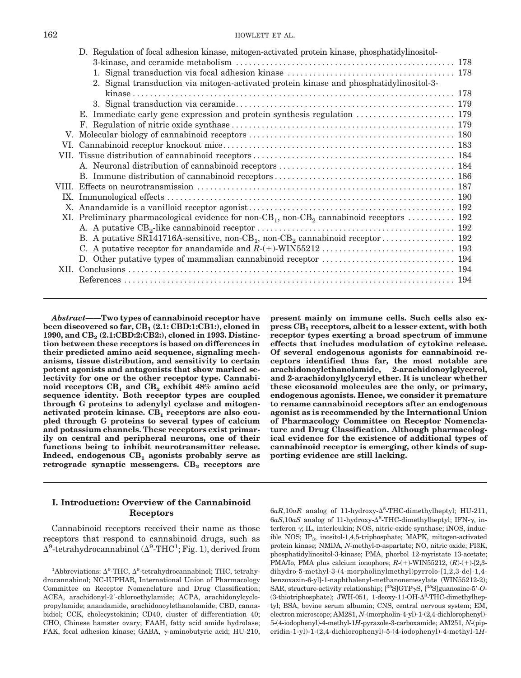#### 162 HOWLETT ET AL.

|             | D. Regulation of focal adhesion kinase, mitogen-activated protein kinase, phosphatidylinositol-                   |  |
|-------------|-------------------------------------------------------------------------------------------------------------------|--|
|             |                                                                                                                   |  |
|             |                                                                                                                   |  |
|             | 2. Signal transduction via mitogen-activated protein kinase and phosphatidylinositol-3-                           |  |
|             |                                                                                                                   |  |
|             |                                                                                                                   |  |
|             |                                                                                                                   |  |
|             |                                                                                                                   |  |
|             |                                                                                                                   |  |
|             |                                                                                                                   |  |
|             |                                                                                                                   |  |
|             |                                                                                                                   |  |
|             |                                                                                                                   |  |
| <b>VIII</b> |                                                                                                                   |  |
|             |                                                                                                                   |  |
|             |                                                                                                                   |  |
|             | XI. Preliminary pharmacological evidence for non-CB <sub>1</sub> , non-CB <sub>2</sub> cannabinoid receptors  192 |  |
|             |                                                                                                                   |  |
|             |                                                                                                                   |  |
|             |                                                                                                                   |  |
|             |                                                                                                                   |  |
|             |                                                                                                                   |  |
|             |                                                                                                                   |  |
|             |                                                                                                                   |  |

*Abstract***——Two types of cannabinoid receptor have been discovered so far, CB1 (2.1: CBD:1:CB1:), cloned in** 1990, and CB<sub>2</sub> (2.1:CBD:2:CB2:), cloned in 1993. Distinc**tion between these receptors is based on differences in their predicted amino acid sequence, signaling mechanisms, tissue distribution, and sensitivity to certain potent agonists and antagonists that show marked selectivity for one or the other receptor type. Cannabi**noid receptors CB<sub>1</sub> and CB<sub>2</sub> exhibit 48% amino acid **sequence identity. Both receptor types are coupled through G proteins to adenylyl cyclase and mitogen**activated protein kinase. CB<sub>1</sub> receptors are also cou**pled through G proteins to several types of calcium and potassium channels. These receptors exist primarily on central and peripheral neurons, one of their functions being to inhibit neurotransmitter release.** Indeed, endogenous CB<sub>1</sub> agonists probably serve as retrograde synaptic messengers. CB<sub>2</sub> receptors are

## **I. Introduction: Overview of the Cannabinoid Receptors**

Cannabinoid receptors received their name as those receptors that respond to cannabinoid drugs, such as  $\Delta^9$ -tetrahydrocannabinol ( $\Delta^9$ -THC<sup>1</sup>; Fig. 1), derived from

<sup>1</sup>Abbreviations: Δ<sup>9</sup>-THC, Δ<sup>9</sup>-tetrahydrocannabinol; THC, tetrahydrocannabinol; NC-IUPHAR, International Union of Pharmacology Committee on Receptor Nomenclature and Drug Classification; ACEA, arachidonyl-2-chloroethylamide; ACPA, arachidonylcyclopropylamide; anandamide, arachidonoylethanolamide; CBD, cannabidiol; CCK, cholecystokinin; CD40, cluster of differentiation 40; CHO, Chinese hamster ovary; FAAH, fatty acid amide hydrolase; FAK, focal adhesion kinase; GABA,  $\gamma$ -aminobutyric acid; HU-210, **present mainly on immune cells. Such cells also express CB1 receptors, albeit to a lesser extent, with both receptor types exerting a broad spectrum of immune effects that includes modulation of cytokine release. Of several endogenous agonists for cannabinoid receptors identified thus far, the most notable are arachidonoylethanolamide, 2-arachidonoylglycerol, and 2-arachidonylglyceryl ether. It is unclear whether these eicosanoid molecules are the only, or primary, endogenous agonists. Hence, we consider it premature to rename cannabinoid receptors after an endogenous agonist as is recommended by the International Union of Pharmacology Committee on Receptor Nomenclature and Drug Classification. Although pharmacological evidence for the existence of additional types of cannabinoid receptor is emerging, other kinds of supporting evidence are still lacking.**

6*aR*,10*aR* analog of 11-hydroxy-<sup>8</sup> -THC-dimethylheptyl; HU-211, 6aS,10aS analog of 11-hydroxy-Δ<sup>8</sup>-THC-dimethylheptyl; IFN-γ, interferon  $\gamma$ ; IL, interleukin; NOS, nitric-oxide synthase; iNOS, inducible NOS; IP<sub>3</sub>, inositol-1,4,5-triphosphate; MAPK, mitogen-activated protein kinase; NMDA, *N*-methyl-D-aspartate; NO, nitric oxide; PI3K, phosphatidylinositol-3-kinase; PMA, phorbol 12-myristate 13-acetate; PMA/Io, PMA plus calcium ionophore;  $R-(+)$ -WIN55212,  $(R)(+)$ - $[2,3-]$ dihydro-5-methyl-3-(4-morpholinylmethyl)pyrrolo-[1,2,3-de]-1,4 benzoxazin-6-yl]-1-naphthalenyl-methanonemesylate (WIN55212-2); SAR, structure-activity relationship;  $[^{35}S]GTP\gamma S$ ,  $[^{35}S]$ guanosine-5'-O-(3-thiotriphosphate); JWH-051, 1-deoxy-11-OH- $\Delta^8$ -THC-dimethylheptyl; BSA, bovine serum albumin; CNS, central nervous system; EM, electron microscope; AM281, *N*-(morpholin-4-yl)-1-(2,4-dichlorophenyl)- 5-(4-iodophenyl)-4-methyl-1*H*-pyrazole-3-carboxamide; AM251, *N*-(piperidin-1-yl)-1-(2,4-dichlorophenyl)-5-(4-iodophenyl)-4-methyl-1*H*-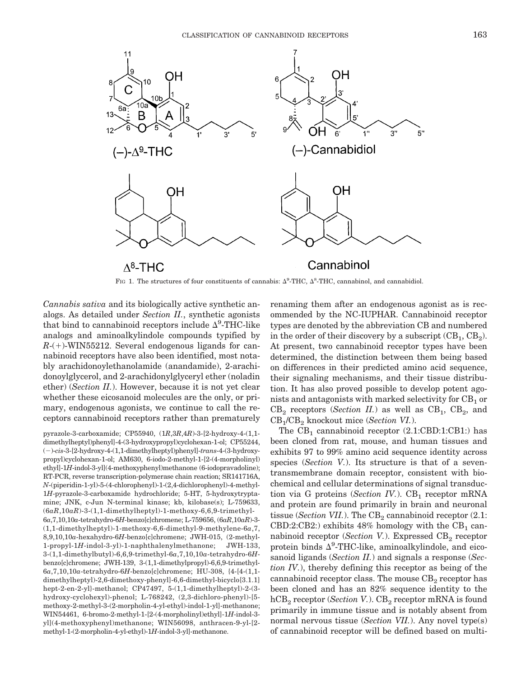

FIG 1. The structures of four constituents of cannabis:  $\Delta^9$ -THC,  $\Delta^8$ -THC, cannabinol, and cannabidiol.

*Cannabis sativa* and its biologically active synthetic analogs. As detailed under *Section II.*, synthetic agonists that bind to cannabinoid receptors include  $\Delta^9$ -THC-like analogs and aminoalkylindole compounds typified by  $R-$ (+)-WIN55212. Several endogenous ligands for cannabinoid receptors have also been identified, most notably arachidonoylethanolamide (anandamide), 2-arachidonoylglycerol, and 2-arachidonylglyceryl ether (noladin ether) (*Section II.*). However, because it is not yet clear whether these eicosanoid molecules are the only, or primary, endogenous agonists, we continue to call the receptors cannabinoid receptors rather than prematurely

pyrazole-3-carboxamide; CP55940, (1*R*,3*R*,4*R*)-3-[2-hydroxy-4-(1,1 dimethylheptyl)phenyl]-4-(3-hydroxypropyl)cyclohexan-1-ol; CP55244, ()-*cis*-3-[2-hydroxy-4-(1,1-dimethylheptyl)phenyl]-*trans*-4-(3-hydroxypropyl)cyclohexan-1-ol; AM630, 6-iodo-2-methyl-1-[2-(4-morpholinyl) ethyl]-1*H*-indol-3-yl](4-methoxyphenyl)methanone (6-iodopravadoline); RT-PCR, reverse transcription-polymerase chain reaction; SR141716A, *N*-(piperidin-1-yl)-5-(4-chlorophenyl)-1-(2,4-dichlorophenyl)-4-methyl-1*H*-pyrazole-3-carboxamide hydrochloride; 5-HT, 5-hydroxytryptamine; JNK, c-Jun N-terminal kinase; kb, kilobase(s); L-759633, (6*aR*,10*aR*)-3-(1,1-dimethylheptyl)-1-methoxy-6,6,9-trimethyl-6*a*,7,10,10*a*-tetrahydro-6*H*-benzo[c]chromene; L-759656, (6*aR*,10*aR*)-3- (1,1-dimethylheptyl)-1-methoxy-6,6-dimethyl-9-methylene-6*a*,7, 8,9,10,10*a*-hexahydro-6*H*-benzo[c]chromene; JWH-015, (2-methyl-1-propyl-1*H*-indol-3-yl)-1-naphthalenylmethanone; JWH-133, 3-(1,1-dimethylbutyl)-6,6,9-trimethyl-6*a*,7,10,10*a*-tetrahydro-6*H*benzo[c]chromene; JWH-139, 3-(1,1-dimethylpropyl)-6,6,9-trimethyl-6*a*,7,10,10*a*-tetrahydro-6*H*-benzo[c]chromene; HU-308, {4-[4-(1,1 dimethylheptyl)-2,6-dimethoxy-phenyl]-6,6-dimethyl-bicyclo[3.1.1] hept-2-en-2-yl}-methanol; CP47497, 5-(1,1-dimethylheptyl)-2-(3 hydroxy-cyclohexyl)-phenol; L-768242, (2,3-dichloro-phenyl)-[5 methoxy-2-methyl-3-(2-morpholin-4-yl-ethyl)-indol-1-yl]-methanone; WIN54461, 6-bromo-2-methyl-1-[2-(4-morpholinyl)ethyl]-1*H*-indol-3 yl](4-methoxyphenyl)methanone; WIN56098, anthracen-9-yl-[2 methyl-1-(2-morpholin-4-yl-ethyl)-1*H*-indol-3-yl]-methanone.

renaming them after an endogenous agonist as is recommended by the NC-IUPHAR. Cannabinoid receptor types are denoted by the abbreviation CB and numbered in the order of their discovery by a subscript  $(CB_1, CB_2)$ . At present, two cannabinoid receptor types have been determined, the distinction between them being based on differences in their predicted amino acid sequence, their signaling mechanisms, and their tissue distribution. It has also proved possible to develop potent agonists and antagonists with marked selectivity for  $CB<sub>1</sub>$  or  $CB_2$  receptors (*Section II.*) as well as  $CB_1$ ,  $CB_2$ , and CB1/CB2 knockout mice (*Section VI.*).

The  $CB_1$  cannabinoid receptor  $(2.1:CBD:1:CB1)$  has been cloned from rat, mouse, and human tissues and exhibits 97 to 99% amino acid sequence identity across species (*Section V.*). Its structure is that of a seventransmembrane domain receptor, consistent with biochemical and cellular determinations of signal transduction via G proteins (*Section IV.*).  $CB_1$  receptor mRNA and protein are found primarily in brain and neuronal tissue (*Section VII.*). The  $CB_2$  cannabinoid receptor  $(2.1)$ : CBD:2:CB2:) exhibits  $48\%$  homology with the CB<sub>1</sub> cannabinoid receptor (*Section V.*). Expressed CB<sub>2</sub> receptor protein binds  $\Delta^9$ -THC-like, aminoalkylindole, and eicosanoid ligands (*Section II.*) and signals a response (*Section IV.*), thereby defining this receptor as being of the cannabinoid receptor class. The mouse  $CB<sub>2</sub>$  receptor has been cloned and has an 82% sequence identity to the hCB<sub>2</sub> receptor (*Section V.*). CB<sub>2</sub> receptor mRNA is found primarily in immune tissue and is notably absent from normal nervous tissue (*Section VII.*). Any novel type(s) of cannabinoid receptor will be defined based on multi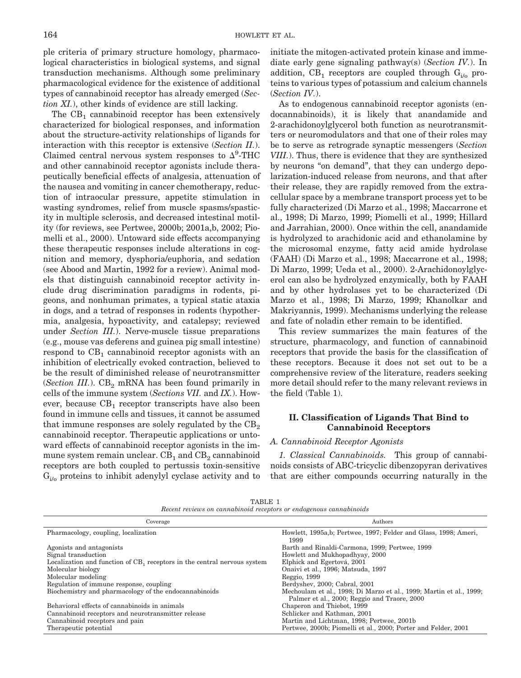ple criteria of primary structure homology, pharmacological characteristics in biological systems, and signal transduction mechanisms. Although some preliminary pharmacological evidence for the existence of additional types of cannabinoid receptor has already emerged (*Section XI.*), other kinds of evidence are still lacking.

The  $CB_1$  cannabinoid receptor has been extensively characterized for biological responses, and information about the structure-activity relationships of ligands for interaction with this receptor is extensive (*Section II.*). Claimed central nervous system responses to  $\Delta^9$ -THC and other cannabinoid receptor agonists include therapeutically beneficial effects of analgesia, attenuation of the nausea and vomiting in cancer chemotherapy, reduction of intraocular pressure, appetite stimulation in wasting syndromes, relief from muscle spasms/spasticity in multiple sclerosis, and decreased intestinal motility (for reviews, see Pertwee, 2000b; 2001a,b, 2002; Piomelli et al., 2000). Untoward side effects accompanying these therapeutic responses include alterations in cognition and memory, dysphoria/euphoria, and sedation (see Abood and Martin, 1992 for a review). Animal models that distinguish cannabinoid receptor activity include drug discrimination paradigms in rodents, pigeons, and nonhuman primates, a typical static ataxia in dogs, and a tetrad of responses in rodents (hypothermia, analgesia, hypoactivity, and catalepsy; reviewed under *Section III.*). Nerve-muscle tissue preparations (e.g., mouse vas deferens and guinea pig small intestine) respond to  $CB_1$  cannabinoid receptor agonists with an inhibition of electrically evoked contraction, believed to be the result of diminished release of neurotransmitter (*Section III.*).  $CB_2$  mRNA has been found primarily in cells of the immune system (*Sections VII.* and *IX.*). However, because  $CB_1$  receptor transcripts have also been found in immune cells and tissues, it cannot be assumed that immune responses are solely regulated by the  $CB<sub>2</sub>$ cannabinoid receptor. Therapeutic applications or untoward effects of cannabinoid receptor agonists in the immune system remain unclear.  $CB_1$  and  $CB_2$  cannabinoid receptors are both coupled to pertussis toxin-sensitive  $G_{i/0}$  proteins to inhibit adenylyl cyclase activity and to

initiate the mitogen-activated protein kinase and immediate early gene signaling pathway(s) (*Section IV.*). In addition,  $CB_1$  receptors are coupled through  $G_{i\ell_0}$  proteins to various types of potassium and calcium channels (*Section IV.*).

As to endogenous cannabinoid receptor agonists (endocannabinoids), it is likely that anandamide and 2-arachidonoylglycerol both function as neurotransmitters or neuromodulators and that one of their roles may be to serve as retrograde synaptic messengers (*Section VIII.*). Thus, there is evidence that they are synthesized by neurons "on demand", that they can undergo depolarization-induced release from neurons, and that after their release, they are rapidly removed from the extracellular space by a membrane transport process yet to be fully characterized (Di Marzo et al., 1998; Maccarrone et al., 1998; Di Marzo, 1999; Piomelli et al., 1999; Hillard and Jarrahian, 2000). Once within the cell, anandamide is hydrolyzed to arachidonic acid and ethanolamine by the microsomal enzyme, fatty acid amide hydrolase (FAAH) (Di Marzo et al., 1998; Maccarrone et al., 1998; Di Marzo, 1999; Ueda et al., 2000). 2-Arachidonoylglycerol can also be hydrolyzed enzymically, both by FAAH and by other hydrolases yet to be characterized (Di Marzo et al., 1998; Di Marzo, 1999; Khanolkar and Makriyannis, 1999). Mechanisms underlying the release and fate of noladin ether remain to be identified.

This review summarizes the main features of the structure, pharmacology, and function of cannabinoid receptors that provide the basis for the classification of these receptors. Because it does not set out to be a comprehensive review of the literature, readers seeking more detail should refer to the many relevant reviews in the field (Table 1).

## **II. Classification of Ligands That Bind to Cannabinoid Receptors**

#### *A. Cannabinoid Receptor Agonists*

*1. Classical Cannabinoids.* This group of cannabinoids consists of ABC-tricyclic dibenzopyran derivatives that are either compounds occurring naturally in the

| TABLE 1 |                                                                    |  |  |  |  |
|---------|--------------------------------------------------------------------|--|--|--|--|
|         | Recent reviews on cannabinoid receptors or endogenous cannabinoids |  |  |  |  |

| Coverage                                                                    | Authors                                                                                                             |
|-----------------------------------------------------------------------------|---------------------------------------------------------------------------------------------------------------------|
| Pharmacology, coupling, localization                                        | Howlett, 1995a, b; Pertwee, 1997; Felder and Glass, 1998; Ameri,<br>1999                                            |
| Agonists and antagonists                                                    | Barth and Rinaldi-Carmona, 1999; Pertwee, 1999                                                                      |
| Signal transduction                                                         | Howlett and Mukhopadhyay, 2000                                                                                      |
| Localization and function of $CB_1$ receptors in the central nervous system | Elphick and Egertová, 2001                                                                                          |
| Molecular biology                                                           | Onaivi et al., 1996; Matsuda, 1997                                                                                  |
| Molecular modeling                                                          | Reggio, 1999                                                                                                        |
| Regulation of immune response, coupling                                     | Berdyshev, 2000; Cabral, 2001                                                                                       |
| Biochemistry and pharmacology of the endocannabinoids                       | Mechoulam et al., 1998; Di Marzo et al., 1999; Martin et al., 1999;<br>Palmer et al., 2000; Reggio and Traore, 2000 |
| Behavioral effects of cannabinoids in animals                               | Chaperon and Thiebot, 1999                                                                                          |
| Cannabinoid receptors and neurotransmitter release                          | Schlicker and Kathman, 2001                                                                                         |
| Cannabinoid receptors and pain                                              | Martin and Lichtman, 1998; Pertwee, 2001b                                                                           |
| Therapeutic potential                                                       | Pertwee, 2000b; Piomelli et al., 2000; Porter and Felder, 2001                                                      |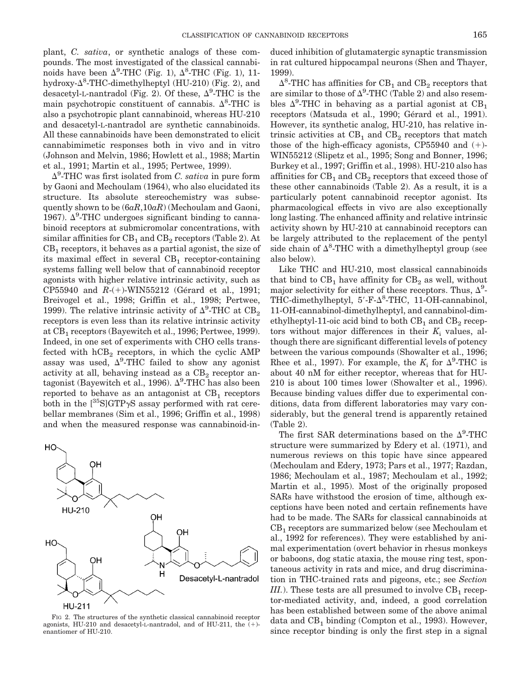plant, *C. sativa*, or synthetic analogs of these compounds. The most investigated of the classical cannabinoids have been  $\Delta^9$ -THC (Fig. 1),  $\Delta^8$ -THC (Fig. 1), 11hydroxy- $\Delta^8$ -THC-dimethylheptyl (HU-210) (Fig. 2), and desacetyl-L-nantradol (Fig. 2). Of these,  $\Delta^9$ -THC is the main psychotropic constituent of cannabis.  $\Delta^8$ -THC is also a psychotropic plant cannabinoid, whereas HU-210 and desacetyl-L-nantradol are synthetic cannabinoids. All these cannabinoids have been demonstrated to elicit cannabimimetic responses both in vivo and in vitro (Johnson and Melvin, 1986; Howlett et al., 1988; Martin et al., 1991; Martin et al., 1995; Pertwee, 1999).

 $\Delta^9$ -THC was first isolated from *C. sativa* in pure form by Gaoni and Mechoulam (1964), who also elucidated its structure. Its absolute stereochemistry was subsequently shown to be (6*aR*,10*aR*) (Mechoulam and Gaoni, 1967).  $\Delta^9$ -THC undergoes significant binding to cannabinoid receptors at submicromolar concentrations, with similar affinities for  $CB_1$  and  $CB_2$  receptors (Table 2). At  $CB<sub>1</sub>$  receptors, it behaves as a partial agonist, the size of its maximal effect in several  $CB_1$  receptor-containing systems falling well below that of cannabinoid receptor agonists with higher relative intrinsic activity, such as  $CP55940$  and  $R-$ (+)-WIN55212 (Gérard et al., 1991; Breivogel et al., 1998; Griffin et al., 1998; Pertwee, 1999). The relative intrinsic activity of  $\Delta^9$ -THC at  $CB_2$ receptors is even less than its relative intrinsic activity at CB<sub>1</sub> receptors (Bayewitch et al., 1996; Pertwee, 1999). Indeed, in one set of experiments with CHO cells transfected with  $hCB<sub>2</sub>$  receptors, in which the cyclic AMP assay was used,  $\Delta^9$ -THC failed to show any agonist activity at all, behaving instead as a  $CB<sub>2</sub>$  receptor antagonist (Bayewitch et al., 1996).  $\Delta^9$ -THC has also been reported to behave as an antagonist at  $CB_1$  receptors both in the  $\left[^{35}S\right]GTP\gamma S$  assay performed with rat cerebellar membranes (Sim et al., 1996; Griffin et al., 1998) and when the measured response was cannabinoid-in-



FIG 2. The structures of the synthetic classical cannabinoid receptor agonists, HU-210 and desacetyl-L-nantradol, and of HU-211, the  $(+)$ enantiomer of HU-210.

duced inhibition of glutamatergic synaptic transmission in rat cultured hippocampal neurons (Shen and Thayer, 1999).

 $\Delta^8$ -THC has affinities for CB<sub>1</sub> and CB<sub>2</sub> receptors that are similar to those of  $\Delta^9$ -THC (Table 2) and also resembles  $\Delta^9$ -THC in behaving as a partial agonist at CB<sub>1</sub> receptors (Matsuda et al., 1990; Gérard et al., 1991). However, its synthetic analog, HU-210, has relative intrinsic activities at  $CB_1$  and  $CB_2$  receptors that match those of the high-efficacy agonists,  $CP55940$  and  $(+)$ WIN55212 (Slipetz et al., 1995; Song and Bonner, 1996; Burkey et al., 1997; Griffin et al., 1998). HU-210 also has affinities for  $CB_1$  and  $CB_2$  receptors that exceed those of these other cannabinoids (Table 2). As a result, it is a particularly potent cannabinoid receptor agonist. Its pharmacological effects in vivo are also exceptionally long lasting. The enhanced affinity and relative intrinsic activity shown by HU-210 at cannabinoid receptors can be largely attributed to the replacement of the pentyl side chain of  $\Delta^8$ -THC with a dimethylheptyl group (see also below).

Like THC and HU-210, most classical cannabinoids that bind to  $CB_1$  have affinity for  $CB_2$  as well, without major selectivity for either of these receptors. Thus,  $\Delta^9$ -THC-dimethylheptyl, 5'-F- $\Delta^8$ -THC, 11-OH-cannabinol, 11-OH-cannabinol-dimethylheptyl, and cannabinol-dimethylheptyl-11-oic acid bind to both  $CB_1$  and  $CB_2$  receptors without major differences in their  $K_i$  values, although there are significant differential levels of potency between the various compounds (Showalter et al., 1996; Rhee et al., 1997). For example, the  $K_i$  for  $\Delta^9$ -THC is about 40 nM for either receptor, whereas that for HU-210 is about 100 times lower (Showalter et al., 1996). Because binding values differ due to experimental conditions, data from different laboratories may vary considerably, but the general trend is apparently retained (Table 2).

The first SAR determinations based on the  $\Delta^9\text{-THC}$ structure were summarized by Edery et al. (1971), and numerous reviews on this topic have since appeared (Mechoulam and Edery, 1973; Pars et al., 1977; Razdan, 1986; Mechoulam et al., 1987; Mechoulam et al., 1992; Martin et al., 1995). Most of the originally proposed SARs have withstood the erosion of time, although exceptions have been noted and certain refinements have had to be made. The SARs for classical cannabinoids at  $CB<sub>1</sub>$  receptors are summarized below (see Mechoulam et al., 1992 for references). They were established by animal experimentation (overt behavior in rhesus monkeys or baboons, dog static ataxia, the mouse ring test, spontaneous activity in rats and mice, and drug discrimination in THC-trained rats and pigeons, etc.; see *Section*  $III.$ ). These tests are all presumed to involve  $CB<sub>1</sub>$  receptor-mediated activity, and, indeed, a good correlation has been established between some of the above animal data and  $CB_1$  binding (Compton et al., 1993). However, since receptor binding is only the first step in a signal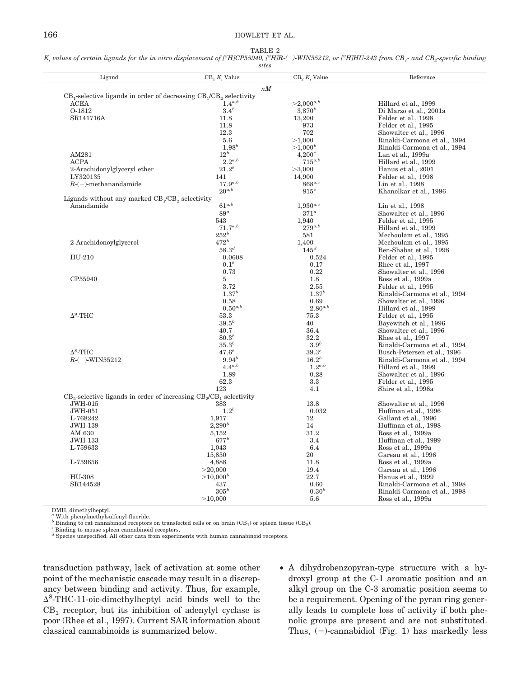TABLE 2 *Ki values of certain ligands for the in vitro displacement of [3 H]CP55940, [3 H]R-(*-*)-WIN55212, or [3 H]HU-243 from CB1- and CB2-specific binding*

|                                                                          | sites                           |                                 |                              |
|--------------------------------------------------------------------------|---------------------------------|---------------------------------|------------------------------|
| Ligand                                                                   | $CB_1 K_i$ Value                | $CB_2 K_i$ Value                | Reference                    |
|                                                                          | nM                              |                                 |                              |
| $CB_1$ -selective ligands in order of decreasing $CB_1/CB_2$ selectivity |                                 |                                 |                              |
| ACEA                                                                     | $1.4^{a,b}$                     | $>$ 2,000 $^{a,b}$              | Hillard et al., 1999         |
| 0-1812                                                                   | 3.4 <sup>b</sup>                | $3,870^{b}$                     | Di Marzo et al., 2001a       |
| SR141716A                                                                | 11.8                            | 13,200                          | Felder et al., 1998          |
|                                                                          | 11.8                            | 973                             | Felder et al., 1995          |
|                                                                          | 12.3                            | 702                             | Showalter et al., 1996       |
|                                                                          | 5.6                             | >1,000                          | Rinaldi-Carmona et al., 1994 |
|                                                                          | $1.98^{b}$                      | $>1,000^b$                      | Rinaldi-Carmona et al., 1994 |
| AM281                                                                    | $12^b$                          | $4,200^c$                       | Lan et al., 1999a            |
| <b>ACPA</b>                                                              | $2.2^{a,b}$                     | $715^{a,b}$                     | Hillard et al., 1999         |
| 2-Arachidonylglyceryl ether                                              | $21.2^b$                        | >3,000                          | Hanus et al., 2001           |
| LY320135                                                                 | 141                             | 14,900                          | Felder et al., 1998          |
| $R-(+)$ -methanandamide                                                  | $17.9^{a,b}$                    | $868^{a,c}$                     | Lin et al., 1998             |
|                                                                          | $20^{a,b}$                      | $815^c$                         | Khanolkar et al., 1996       |
| Ligands without any marked $CB_1/CB_2$ selectivity                       |                                 |                                 |                              |
| Anandamide                                                               | $61^{a,b}$                      | $1,930^{a,c}$                   | Lin et al., 1998             |
|                                                                          | $89^a$                          | $371^a$                         | Showalter et al., 1996       |
|                                                                          | 543                             | 1,940                           | Felder et al., 1995          |
|                                                                          | $71.7^{a,b}$                    | $279^{a,b}$                     | Hillard et al., 1999         |
|                                                                          | $252^b$                         | 581                             | Mechoulam et al., 1995       |
| 2-Arachidonoylglycerol                                                   | $472^b$                         | 1,400                           | Mechoulam et al., 1995       |
|                                                                          | 58.3 <sup>d</sup>               | $145^d$                         | Ben-Shabat et al., 1998      |
| HU-210                                                                   | 0.0608                          | 0.524                           | Felder et al., 1995          |
|                                                                          | 0.1 <sup>b</sup>                | 0.17                            | Rhee et al., 1997            |
|                                                                          | 0.73                            | 0.22                            | Showalter et al., 1996       |
| CP55940                                                                  | 5                               | 1.8                             | Ross et al., 1999a           |
|                                                                          | 3.72                            | 2.55                            | Felder et al., 1995          |
|                                                                          | $1.37^{b}$                      | $1.37^{b}$                      | Rinaldi-Carmona et al., 1994 |
|                                                                          | 0.58                            | 0.69                            | Showalter et al., 1996       |
|                                                                          | $0.50^{\scriptscriptstyle a,b}$ | $2.80^{a,b}$                    |                              |
| $\Delta^9$ -THC                                                          |                                 |                                 | Hillard et al., 1999         |
|                                                                          | 53.3                            | 75.3                            | Felder et al., 1995          |
|                                                                          | $39.5^{b}$<br>40.7              | 40<br>36.4                      | Bayewitch et al., 1996       |
|                                                                          | $80.3^{b}$                      |                                 | Showalter et al., 1996       |
|                                                                          |                                 | 32.2                            | Rhee et al., 1997            |
| $\Delta^8$ -THC                                                          | 35.3 <sup>b</sup>               | 3.9 <sup>b</sup>                | Rinaldi-Carmona et al., 1994 |
|                                                                          | $47.6^b$                        | 39.3 <sup>c</sup><br>$16.2^{b}$ | Busch-Petersen et al., 1996  |
| $R-(+)$ -WIN55212                                                        | $9.94^{b}$                      |                                 | Rinaldi-Carmona et al., 1994 |
|                                                                          | $4.4^{a,b}$                     | $1.2^{a,b}$                     | Hillard et al., 1999         |
|                                                                          | 1.89                            | 0.28                            | Showalter et al., 1996       |
|                                                                          | 62.3                            | $3.3\,$                         | Felder et al., 1995          |
|                                                                          | 123                             | 4.1                             | Shire et al., 1996a          |
| $CB_2$ -selective ligands in order of increasing $CB_2/CB_1$ selectivity |                                 |                                 |                              |
| JWH-015                                                                  | 383                             | 13.8                            | Showalter et al., 1996       |
| $JWH-051$                                                                | $1.2^b$                         | 0.032                           | Huffman et al., 1996         |
| L-768242                                                                 | 1,917                           | 12                              | Gallant et al., 1996         |
| JWH-139                                                                  | $2,290^b$                       | 14                              | Huffman et al., 1998         |
| AM 630                                                                   | 5,152                           | 31.2                            | Ross et al., 1999a           |
| <b>JWH-133</b>                                                           | $677^b$                         | 3.4                             | Huffman et al., 1999         |
| L-759633                                                                 | 1,043                           | 6.4                             | Ross et al., 1999a           |
|                                                                          | 15,850                          | 20                              | Gareau et al., 1996          |
| L-759656                                                                 | 4,888                           | 11.8                            | Ross et al., 1999a           |
|                                                                          | >20,000                         | 19.4                            | Gareau et al., 1996          |
| HU-308                                                                   | $>$ 10,000 <sup>b</sup>         | 22.7                            | Hanus et al., 1999           |
| SR144528                                                                 | 437                             | 0.60                            | Rinaldi-Carmona et al., 1998 |
|                                                                          | $305^b$                         | $0.30^{b}$                      | Rinaldi-Carmona et al., 1998 |
|                                                                          | >10,000                         | 5.6                             | Ross et al., 1999a           |

DMH, dimethylheptyl.

*<sup>a</sup>* With phenylmethylsulfonyl fluoride.

<sup>b</sup> Binding to rat cannabinoid receptors on transfected cells or on brain  $(CB_1)$  or spleen tissue  $(CB_2)$ .<br>
<sup>c</sup> Binding to mouse spleen cannabinoid receptors.<br>
<sup>d</sup> Species unspecified. All other data from experiments wit

transduction pathway, lack of activation at some other point of the mechanistic cascade may result in a discrepancy between binding and activity. Thus, for example, 8 -THC-11-oic-dimethylheptyl acid binds well to the  $CB<sub>1</sub>$  receptor, but its inhibition of adenylyl cyclase is poor (Rhee et al., 1997). Current SAR information about classical cannabinoids is summarized below.

• A dihydrobenzopyran-type structure with a hydroxyl group at the C-1 aromatic position and an alkyl group on the C-3 aromatic position seems to be a requirement. Opening of the pyran ring generally leads to complete loss of activity if both phenolic groups are present and are not substituted. Thus,  $(-)$ -cannabidiol (Fig. 1) has markedly less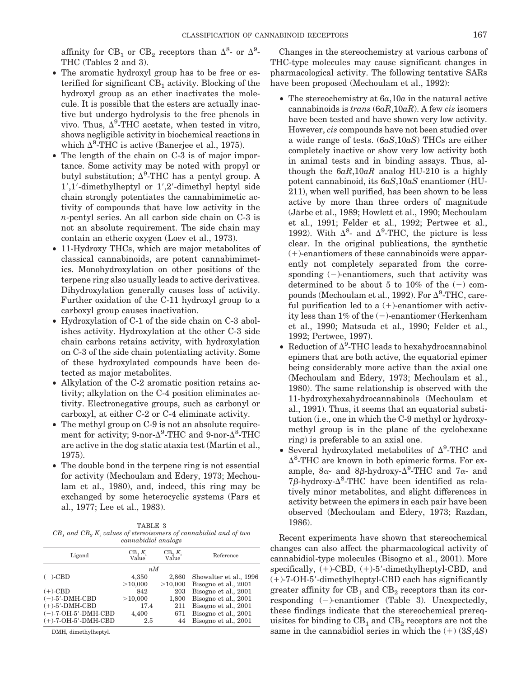affinity for CB<sub>1</sub> or CB<sub>2</sub> receptors than  $\Delta^8$ - or  $\Delta^9$ -THC (Tables 2 and 3).

- The aromatic hydroxyl group has to be free or esterified for significant  $CB_1$  activity. Blocking of the hydroxyl group as an ether inactivates the molecule. It is possible that the esters are actually inactive but undergo hydrolysis to the free phenols in vivo. Thus,  $\Delta^9$ -THC acetate, when tested in vitro, shows negligible activity in biochemical reactions in which  $\Delta^9$ -THC is active (Banerjee et al., 1975).
- The length of the chain on C-3 is of major importance. Some activity may be noted with propyl or butyl substitution;  $\Delta^9$ -THC has a pentyl group. A 1,1-dimethylheptyl or 1,2-dimethyl heptyl side chain strongly potentiates the cannabimimetic activity of compounds that have low activity in the *n*-pentyl series. An all carbon side chain on C-3 is not an absolute requirement. The side chain may contain an etheric oxygen (Loev et al., 1973).
- 11-Hydroxy THCs, which are major metabolites of classical cannabinoids, are potent cannabimimetics. Monohydroxylation on other positions of the terpene ring also usually leads to active derivatives. Dihydroxylation generally causes loss of activity. Further oxidation of the C-11 hydroxyl group to a carboxyl group causes inactivation.
- Hydroxylation of C-1 of the side chain on C-3 abolishes activity. Hydroxylation at the other C-3 side chain carbons retains activity, with hydroxylation on C-3 of the side chain potentiating activity. Some of these hydroxylated compounds have been detected as major metabolites.
- Alkylation of the C-2 aromatic position retains activity; alkylation on the C-4 position eliminates activity. Electronegative groups, such as carbonyl or carboxyl, at either C-2 or C-4 eliminate activity.
- The methyl group on C-9 is not an absolute requirement for activity; 9-nor- $\Delta^9$ -THC and 9-nor- $\Delta^8$ -THC are active in the dog static ataxia test (Martin et al., 1975).
- The double bond in the terpene ring is not essential for activity (Mechoulam and Edery, 1973; Mechoulam et al., 1980), and, indeed, this ring may be exchanged by some heterocyclic systems (Pars et al., 1977; Lee et al., 1983).

TABLE 3  $CB<sub>1</sub>$  *and CB<sub>2</sub>*  $K<sub>i</sub>$  *values of stereoisomers of cannabidiol and of two cannabidiol analogs*

| Ligand                 | $\operatorname*{CB}_{1}K_{i}$<br>Value | $\frac{\text{CB}_2 K_i}{\text{Value}}$ | Reference              |
|------------------------|----------------------------------------|----------------------------------------|------------------------|
|                        | nM                                     |                                        |                        |
| $(-)$ -CBD             | 4,350                                  | 2,860                                  | Showalter et al., 1996 |
|                        | >10,000                                | >10,000                                | Bisogno et al., 2001   |
| $(+)$ -CBD             | 842                                    | 203                                    | Bisogno et al., 2001   |
| $(-)$ -5'-DMH-CBD      | >10,000                                | 1.800                                  | Bisogno et al., 2001   |
| $(+)$ -5'-DMH-CBD      | 17.4                                   | 211                                    | Bisogno et al., 2001   |
| $(-)$ -7-OH-5'-DMH-CBD | 4.400                                  | 671                                    | Bisogno et al., 2001   |
| $(+)$ -7-OH-5'-DMH-CBD | 2.5                                    | 44                                     | Bisogno et al., 2001   |

DMH, dimethylheptyl.

Changes in the stereochemistry at various carbons of THC-type molecules may cause significant changes in pharmacological activity. The following tentative SARs have been proposed (Mechoulam et al., 1992):

- The stereochemistry at 6*a*,10*a* in the natural active cannabinoids is *trans* (6*aR*,10*aR*). A few *cis* isomers have been tested and have shown very low activity. However, *cis* compounds have not been studied over a wide range of tests. (6*aS*,10*aS*) THCs are either completely inactive or show very low activity both in animal tests and in binding assays. Thus, although the 6*aR*,10*aR* analog HU-210 is a highly potent cannabinoid, its 6*aS*,10*aS* enantiomer (HU-211), when well purified, has been shown to be less active by more than three orders of magnitude (Järbe et al., 1989; Howlett et al., 1990; Mechoulam et al., 1991; Felder et al., 1992; Pertwee et al., 1992). With  $\Delta^8$ - and  $\Delta^9$ -THC, the picture is less clear. In the original publications, the synthetic (-)-enantiomers of these cannabinoids were apparently not completely separated from the corresponding  $(-)$ -enantiomers, such that activity was determined to be about 5 to 10% of the  $(-)$  compounds (Mechoulam et al., 1992). For  $\Delta^9\text{-THC}$ , careful purification led to a  $(+)$ -enantiomer with activity less than  $1\%$  of the (-)-enantiomer (Herkenham et al., 1990; Matsuda et al., 1990; Felder et al., 1992; Pertwee, 1997).
- Reduction of  $\Delta^9$ -THC leads to hexahydrocannabinol epimers that are both active, the equatorial epimer being considerably more active than the axial one (Mechoulam and Edery, 1973; Mechoulam et al., 1980). The same relationship is observed with the 11-hydroxyhexahydrocannabinols (Mechoulam et al., 1991). Thus, it seems that an equatorial substitution (i.e., one in which the C-9 methyl or hydroxymethyl group is in the plane of the cyclohexane ring) is preferable to an axial one.
- Several hydroxylated metabolites of  $\Delta^9$ -THC and  $\Delta^8$ -THC are known in both epimeric forms. For example, 8 $\alpha$ - and 8 $\beta$ -hydroxy- $\Delta^9$ -THC and 7 $\alpha$ - and  $7\beta$ -hydroxy- $\Delta^8$ -THC have been identified as relatively minor metabolites, and slight differences in activity between the epimers in each pair have been observed (Mechoulam and Edery, 1973; Razdan, 1986).

Recent experiments have shown that stereochemical changes can also affect the pharmacological activity of cannabidiol-type molecules (Bisogno et al., 2001). More specifically,  $(+)$ -CBD,  $(+)$ -5'-dimethylheptyl-CBD, and (-)-7-OH-5-dimethylheptyl-CBD each has significantly greater affinity for  $CB_1$  and  $CB_2$  receptors than its corresponding  $(-)$ -enantiomer (Table 3). Unexpectedly, these findings indicate that the stereochemical prerequisites for binding to  $CB_1$  and  $CB_2$  receptors are not the same in the cannabidiol series in which the  $(+)$   $(3S,4S)$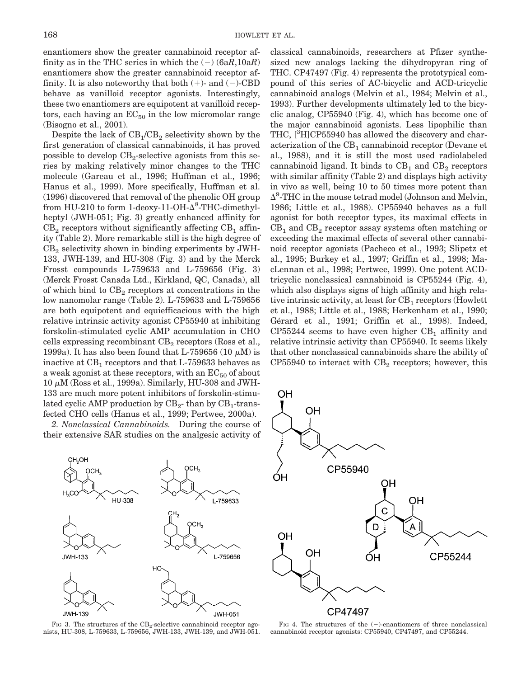enantiomers show the greater cannabinoid receptor affinity as in the THC series in which the  $(-)$  (6a*R*,10a*R*) enantiomers show the greater cannabinoid receptor affinity. It is also noteworthy that both  $(+)$ - and  $(-)$ -CBD behave as vanilloid receptor agonists. Interestingly, these two enantiomers are equipotent at vanilloid receptors, each having an  $EC_{50}$  in the low micromolar range (Bisogno et al., 2001).

Despite the lack of  $CB_1/CB_2$  selectivity shown by the first generation of classical cannabinoids, it has proved possible to develop  $CB_2$ -selective agonists from this series by making relatively minor changes to the THC molecule (Gareau et al., 1996; Huffman et al., 1996; Hanus et al., 1999). More specifically, Huffman et al. (1996) discovered that removal of the phenolic OH group from HU-210 to form 1-deoxy-11-OH- $\Delta^8$ -THC-dimethylheptyl (JWH-051; Fig. 3) greatly enhanced affinity for  $CB<sub>2</sub>$  receptors without significantly affecting  $CB<sub>1</sub>$  affinity (Table 2). More remarkable still is the high degree of  $CB<sub>2</sub>$  selectivity shown in binding experiments by JWH-133, JWH-139, and HU-308 (Fig. 3) and by the Merck Frosst compounds L-759633 and L-759656 (Fig. 3) (Merck Frosst Canada Ltd., Kirkland, QC, Canada), all of which bind to  $CB_2$  receptors at concentrations in the low nanomolar range (Table 2). L-759633 and L-759656 are both equipotent and equiefficacious with the high relative intrinsic activity agonist CP55940 at inhibiting forskolin-stimulated cyclic AMP accumulation in CHO cells expressing recombinant  $CB_2$  receptors (Ross et al., 1999a). It has also been found that L-759656 (10  $\mu$ M) is inactive at  $CB_1$  receptors and that L-759633 behaves as a weak agonist at these receptors, with an  $EC_{50}$  of about  $10 \mu$ M (Ross et al., 1999a). Similarly, HU-308 and JWH-133 are much more potent inhibitors of forskolin-stimulated cyclic AMP production by  $CB_{2}$ - than by  $CB_{1}$ -transfected CHO cells (Hanus et al., 1999; Pertwee, 2000a).

*2. Nonclassical Cannabinoids.* During the course of their extensive SAR studies on the analgesic activity of



FIG 3. The structures of the  $CB_2$ -selective cannabinoid receptor agonists, HU-308, L-759633, L-759656, JWH-133, JWH-139, and JWH-051.

classical cannabinoids, researchers at Pfizer synthesized new analogs lacking the dihydropyran ring of THC. CP47497 (Fig. 4) represents the prototypical compound of this series of AC-bicyclic and ACD-tricyclic cannabinoid analogs (Melvin et al., 1984; Melvin et al., 1993). Further developments ultimately led to the bicyclic analog, CP55940 (Fig. 4), which has become one of the major cannabinoid agonists. Less lipophilic than THC, <sup>[3</sup>H]CP55940 has allowed the discovery and characterization of the  $CB_1$  cannabinoid receptor (Devane et al., 1988), and it is still the most used radiolabeled cannabinoid ligand. It binds to  $CB_1$  and  $CB_2$  receptors with similar affinity (Table 2) and displays high activity in vivo as well, being 10 to 50 times more potent than 9 -THC in the mouse tetrad model (Johnson and Melvin, 1986; Little et al., 1988). CP55940 behaves as a full agonist for both receptor types, its maximal effects in  $CB<sub>1</sub>$  and  $CB<sub>2</sub>$  receptor assay systems often matching or exceeding the maximal effects of several other cannabinoid receptor agonists (Pacheco et al., 1993; Slipetz et al., 1995; Burkey et al., 1997; Griffin et al., 1998; MacLennan et al., 1998; Pertwee, 1999). One potent ACDtricyclic nonclassical cannabinoid is CP55244 (Fig. 4), which also displays signs of high affinity and high relative intrinsic activity, at least for  $CB_1$  receptors (Howlett et al., 1988; Little et al., 1988; Herkenham et al., 1990; Gérard et al., 1991; Griffin et al., 1998). Indeed,  $CP55244$  seems to have even higher  $CB_1$  affinity and relative intrinsic activity than CP55940. It seems likely that other nonclassical cannabinoids share the ability of  $CP55940$  to interact with  $CB_2$  receptors; however, this



FIG 4. The structures of the  $(-)$ -enantiomers of three nonclassical cannabinoid receptor agonists: CP55940, CP47497, and CP55244.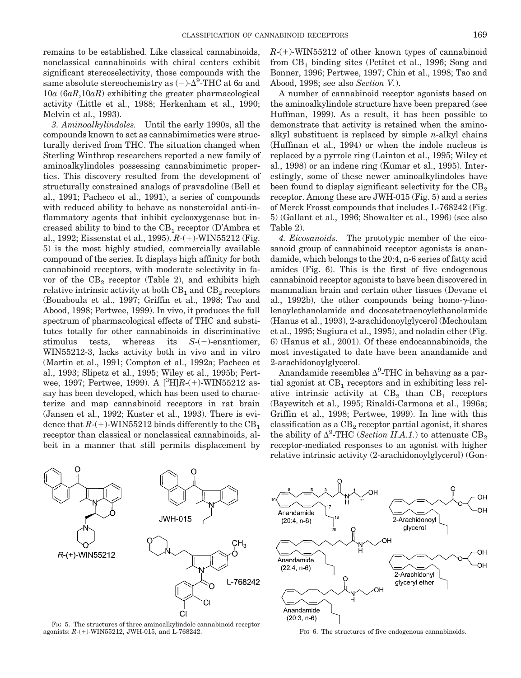remains to be established. Like classical cannabinoids, nonclassical cannabinoids with chiral centers exhibit significant stereoselectivity, those compounds with the same absolute stereochemistry as  $(-)$ - $\Delta^9$ -THC at 6*a* and 10*a* (6*aR*,10*aR*) exhibiting the greater pharmacological activity (Little et al., 1988; Herkenham et al., 1990; Melvin et al., 1993).

*3. Aminoalkylindoles.* Until the early 1990s, all the compounds known to act as cannabimimetics were structurally derived from THC. The situation changed when Sterling Winthrop researchers reported a new family of aminoalkylindoles possessing cannabimimetic properties. This discovery resulted from the development of structurally constrained analogs of pravadoline (Bell et al., 1991; Pacheco et al., 1991), a series of compounds with reduced ability to behave as nonsteroidal anti-inflammatory agents that inhibit cyclooxygenase but increased ability to bind to the  $CB_1$  receptor (D'Ambra et al., 1992; Eissenstat et al., 1995). *R*-(+)-WIN55212 (Fig. 5) is the most highly studied, commercially available compound of the series. It displays high affinity for both cannabinoid receptors, with moderate selectivity in favor of the  $CB_2$  receptor (Table 2), and exhibits high relative intrinsic activity at both  $CB_1$  and  $CB_2$  receptors (Bouaboula et al., 1997; Griffin et al., 1998; Tao and Abood, 1998; Pertwee, 1999). In vivo, it produces the full spectrum of pharmacological effects of THC and substitutes totally for other cannabinoids in discriminative stimulus tests, whereas its  $S<sub>-</sub>(-)$ -enantiomer, WIN55212-3, lacks activity both in vivo and in vitro (Martin et al., 1991; Compton et al., 1992a; Pacheco et al., 1993; Slipetz et al., 1995; Wiley et al., 1995b; Pertwee, 1997; Pertwee, 1999). A [<sup>3</sup>H]R-(+)-WIN55212 assay has been developed, which has been used to characterize and map cannabinoid receptors in rat brain (Jansen et al., 1992; Kuster et al., 1993). There is evidence that  $R$ -(+)-WIN55212 binds differently to the  $\text{CB}_1$ receptor than classical or nonclassical cannabinoids, albeit in a manner that still permits displacement by

*R*-(+)-WIN55212 of other known types of cannabinoid from  $CB_1$  binding sites (Petitet et al., 1996; Song and Bonner, 1996; Pertwee, 1997; Chin et al., 1998; Tao and Abood, 1998; see also *Section V.*).

A number of cannabinoid receptor agonists based on the aminoalkylindole structure have been prepared (see Huffman, 1999). As a result, it has been possible to demonstrate that activity is retained when the aminoalkyl substituent is replaced by simple *n*-alkyl chains (Huffman et al., 1994) or when the indole nucleus is replaced by a pyrrole ring (Lainton et al., 1995; Wiley et al., 1998) or an indene ring (Kumar et al., 1995). Interestingly, some of these newer aminoalkylindoles have been found to display significant selectivity for the  $CB<sub>2</sub>$ receptor. Among these are JWH-015 (Fig. 5) and a series of Merck Frosst compounds that includes L-768242 (Fig. 5) (Gallant et al., 1996; Showalter et al., 1996) (see also Table 2).

*4. Eicosanoids.* The prototypic member of the eicosanoid group of cannabinoid receptor agonists is anandamide, which belongs to the 20:4, n-6 series of fatty acid amides (Fig. 6). This is the first of five endogenous cannabinoid receptor agonists to have been discovered in mammalian brain and certain other tissues (Devane et al., 1992b), the other compounds being homo- $\gamma$ -linolenoylethanolamide and docosatetraenoylethanolamide (Hanus et al., 1993), 2-arachidonoylglycerol (Mechoulam et al., 1995; Sugiura et al., 1995), and noladin ether (Fig. 6) (Hanus et al., 2001). Of these endocannabinoids, the most investigated to date have been anandamide and 2-arachidonoylglycerol.

Anandamide resembles  $\Delta^9$ -THC in behaving as a partial agonist at  $CB_1$  receptors and in exhibiting less relative intrinsic activity at  $CB<sub>2</sub>$  than  $CB<sub>1</sub>$  receptors (Bayewitch et al., 1995; Rinaldi-Carmona et al., 1996a; Griffin et al., 1998; Pertwee, 1999). In line with this classification as a  $CB<sub>2</sub>$  receptor partial agonist, it shares the ability of  $\Delta^9$ -THC (*Section II.A.1.*) to attenuate  $CB_2$ receptor-mediated responses to an agonist with higher relative intrinsic activity (2-arachidonoylglycerol) (Gon-



FIG 5. The structures of three aminoalkylindole cannabinoid receptor agonists:  $R-(+)$ -WIN55212, JWH-015, and L-768242.



FIG 6. The structures of five endogenous cannabinoids.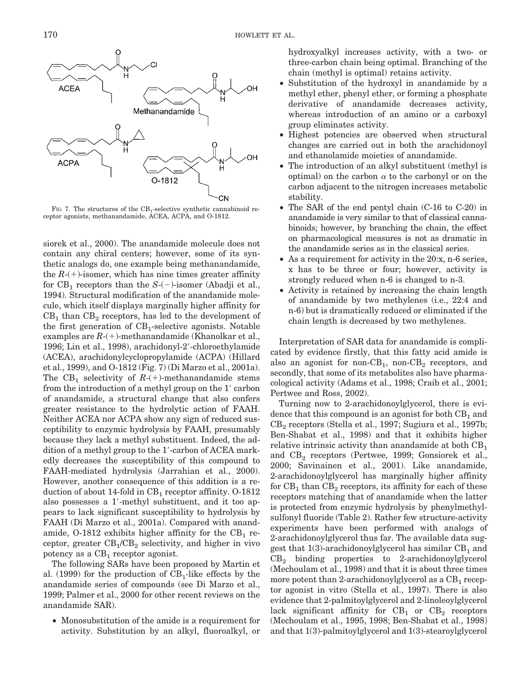

FIG 7. The structures of the  $CB_1$ -selective synthetic cannabinoid receptor agonists, methanandamide, ACEA, ACPA, and O-1812.

siorek et al., 2000). The anandamide molecule does not contain any chiral centers; however, some of its synthetic analogs do, one example being methanandamide, the  $R-(+)$ -isomer, which has nine times greater affinity for  $CB_1$  receptors than the *S*-(-)-isomer (Abadji et al., 1994). Structural modification of the anandamide molecule, which itself displays marginally higher affinity for  $CB<sub>1</sub>$  than  $CB<sub>2</sub>$  receptors, has led to the development of the first generation of  $CB_1$ -selective agonists. Notable examples are  $R-+$ -methanandamide (Khanolkar et al., 1996; Lin et al., 1998), arachidonyl-2-chloroethylamide (ACEA), arachidonylcyclopropylamide (ACPA) (Hillard et al., 1999), and O-1812 (Fig. 7) (Di Marzo et al., 2001a). The  $CB_1$  selectivity of  $R-(+)$ -methanandamide stems from the introduction of a methyl group on the 1' carbon of anandamide, a structural change that also confers greater resistance to the hydrolytic action of FAAH. Neither ACEA nor ACPA show any sign of reduced susceptibility to enzymic hydrolysis by FAAH, presumably because they lack a methyl substituent. Indeed, the addition of a methyl group to the 1'-carbon of ACEA markedly decreases the susceptibility of this compound to FAAH-mediated hydrolysis (Jarrahian et al., 2000). However, another consequence of this addition is a reduction of about 14-fold in  $CB_1$  receptor affinity. O-1812 also possesses a 1-methyl substituent, and it too appears to lack significant susceptibility to hydrolysis by FAAH (Di Marzo et al., 2001a). Compared with anandamide, O-1812 exhibits higher affinity for the  $CB<sub>1</sub>$  receptor, greater  $CB<sub>1</sub>/CB<sub>2</sub>$  selectivity, and higher in vivo potency as a  $CB_1$  receptor agonist.

The following SARs have been proposed by Martin et al. (1999) for the production of  $CB_1$ -like effects by the anandamide series of compounds (see Di Marzo et al., 1999; Palmer et al., 2000 for other recent reviews on the anandamide SAR).

• Monosubstitution of the amide is a requirement for activity. Substitution by an alkyl, fluoroalkyl, or hydroxyalkyl increases activity, with a two- or three-carbon chain being optimal. Branching of the chain (methyl is optimal) retains activity.

- Substitution of the hydroxyl in anandamide by a methyl ether, phenyl ether, or forming a phosphate derivative of anandamide decreases activity, whereas introduction of an amino or a carboxyl group eliminates activity.
- Highest potencies are observed when structural changes are carried out in both the arachidonoyl and ethanolamide moieties of anandamide.
- The introduction of an alkyl substituent (methyl is optimal) on the carbon  $\alpha$  to the carbonyl or on the carbon adjacent to the nitrogen increases metabolic stability.
- The SAR of the end pentyl chain (C-16 to C-20) in anandamide is very similar to that of classical cannabinoids; however, by branching the chain, the effect on pharmacological measures is not as dramatic in the anandamide series as in the classical series.
- As a requirement for activity in the 20:x, n-6 series, x has to be three or four; however, activity is strongly reduced when n-6 is changed to n-3.
- Activity is retained by increasing the chain length of anandamide by two methylenes (i.e., 22:4 and n-6) but is dramatically reduced or eliminated if the chain length is decreased by two methylenes.

Interpretation of SAR data for anandamide is complicated by evidence firstly, that this fatty acid amide is also an agonist for non- $CB_1$ , non- $CB_2$  receptors, and secondly, that some of its metabolites also have pharmacological activity (Adams et al., 1998; Craib et al., 2001; Pertwee and Ross, 2002).

Turning now to 2-arachidonoylglycerol, there is evidence that this compound is an agonist for both  $CB<sub>1</sub>$  and  $CB<sub>2</sub>$  receptors (Stella et al., 1997; Sugiura et al., 1997b; Ben-Shabat et al., 1998) and that it exhibits higher relative intrinsic activity than anandamide at both  $CB<sub>1</sub>$ and  $CB_2$  receptors (Pertwee, 1999; Gonsiorek et al., 2000; Savinainen et al., 2001). Like anandamide, 2-arachidonoylglycerol has marginally higher affinity for  $CB_1$  than  $CB_2$  receptors, its affinity for each of these receptors matching that of anandamide when the latter is protected from enzymic hydrolysis by phenylmethylsulfonyl fluoride (Table 2). Rather few structure-activity experiments have been performed with analogs of 2-arachidonoylglycerol thus far. The available data suggest that 1(3)-arachidonoylglycerol has similar  $CB_1$  and  $CB<sub>2</sub>$  binding properties to 2-arachidonoylglycerol (Mechoulam et al., 1998) and that it is about three times more potent than 2-arachidonoylglycerol as a  $CB<sub>1</sub>$  receptor agonist in vitro (Stella et al., 1997). There is also evidence that 2-palmitoylglycerol and 2-linoleoylglycerol lack significant affinity for  $CB_1$  or  $CB_2$  receptors (Mechoulam et al., 1995, 1998; Ben-Shabat et al., 1998) and that 1(3)-palmitoylglycerol and 1(3)-stearoylglycerol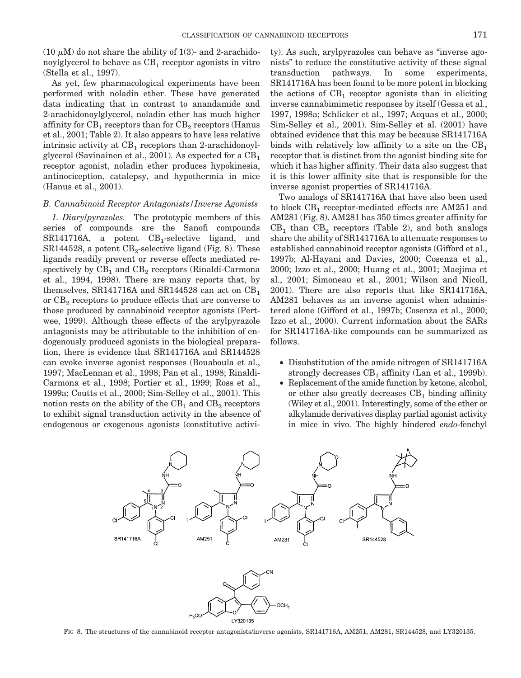(10  $\mu$ M) do not share the ability of 1(3)- and 2-arachidonoylglycerol to behave as  $CB_1$  receptor agonists in vitro (Stella et al., 1997).

As yet, few pharmacological experiments have been performed with noladin ether. These have generated data indicating that in contrast to anandamide and 2-arachidonoylglycerol, noladin ether has much higher affinity for  $CB_1$  receptors than for  $CB_2$  receptors (Hanus et al., 2001; Table 2). It also appears to have less relative intrinsic activity at  $CB_1$  receptors than 2-arachidonoylglycerol (Savinainen et al., 2001). As expected for a  $CB_1$ receptor agonist, noladin ether produces hypokinesia, antinociception, catalepsy, and hypothermia in mice (Hanus et al., 2001).

#### *B. Cannabinoid Receptor Antagonists/Inverse Agonists*

*1. Diarylpyrazoles.* The prototypic members of this series of compounds are the Sanofi compounds  $SR141716A$ , a potent  $CB_1$ -selective ligand, and  $SR144528$ , a potent  $CB_2$ -selective ligand (Fig. 8). These ligands readily prevent or reverse effects mediated respectively by  $CB_1$  and  $CB_2$  receptors (Rinaldi-Carmona et al., 1994, 1998). There are many reports that, by themselves, SR141716A and SR144528 can act on  $CB_1$ or  $CB<sub>2</sub>$  receptors to produce effects that are converse to those produced by cannabinoid receptor agonists (Pertwee, 1999). Although these effects of the arylpyrazole antagonists may be attributable to the inhibition of endogenously produced agonists in the biological preparation, there is evidence that SR141716A and SR144528 can evoke inverse agonist responses (Bouaboula et al., 1997; MacLennan et al., 1998; Pan et al., 1998; Rinaldi-Carmona et al., 1998; Portier et al., 1999; Ross et al., 1999a; Coutts et al., 2000; Sim-Selley et al., 2001). This notion rests on the ability of the  $CB_1$  and  $CB_2$  receptors to exhibit signal transduction activity in the absence of endogenous or exogenous agonists (constitutive activi-

ty). As such, arylpyrazoles can behave as "inverse agonists" to reduce the constitutive activity of these signal transduction pathways. In some experiments, SR141716A has been found to be more potent in blocking the actions of  $CB_1$  receptor agonists than in eliciting inverse cannabimimetic responses by itself (Gessa et al., 1997, 1998a; Schlicker et al., 1997; Acquas et al., 2000; Sim-Selley et al., 2001). Sim-Selley et al. (2001) have obtained evidence that this may be because SR141716A binds with relatively low affinity to a site on the  $CB_1$ receptor that is distinct from the agonist binding site for which it has higher affinity. Their data also suggest that it is this lower affinity site that is responsible for the inverse agonist properties of SR141716A.

Two analogs of SR141716A that have also been used to block  $CB_1$  receptor-mediated effects are AM251 and AM281 (Fig. 8). AM281 has 350 times greater affinity for  $CB_1$  than  $CB_2$  receptors (Table 2), and both analogs share the ability of SR141716A to attenuate responses to established cannabinoid receptor agonists (Gifford et al., 1997b; Al-Hayani and Davies, 2000; Cosenza et al., 2000; Izzo et al., 2000; Huang et al., 2001; Maejima et al., 2001; Simoneau et al., 2001; Wilson and Nicoll, 2001). There are also reports that like SR141716A, AM281 behaves as an inverse agonist when administered alone (Gifford et al., 1997b; Cosenza et al., 2000; Izzo et al., 2000). Current information about the SARs for SR141716A-like compounds can be summarized as follows.

- Disubstitution of the amide nitrogen of SR141716A strongly decreases  $CB_1$  affinity (Lan et al., 1999b).
- Replacement of the amide function by ketone, alcohol, or ether also greatly decreases  $CB_1$  binding affinity (Wiley et al., 2001). Interestingly, some of the ether or alkylamide derivatives display partial agonist activity in mice in vivo. The highly hindered *endo*-fenchyl



FIG 8. The structures of the cannabinoid receptor antagonists/inverse agonists, SR141716A, AM251, AM281, SR144528, and LY320135.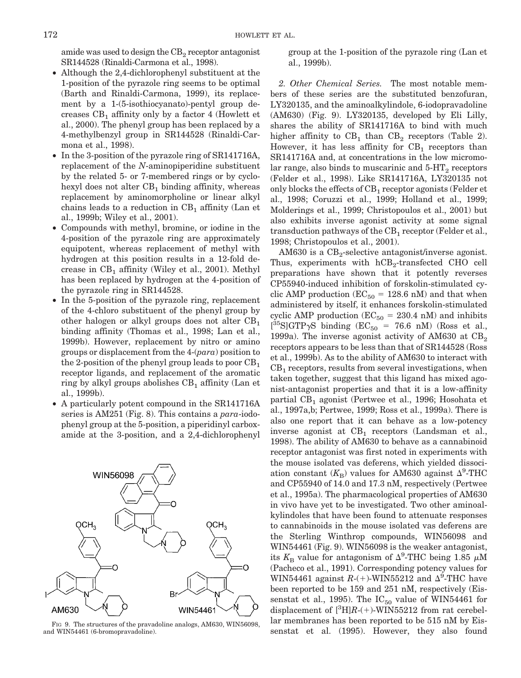amide was used to design the  $CB<sub>2</sub>$  receptor antagonist SR144528 (Rinaldi-Carmona et al., 1998).

- Although the 2,4-dichlorophenyl substituent at the 1-position of the pyrazole ring seems to be optimal (Barth and Rinaldi-Carmona, 1999), its replacement by a 1-(5-isothiocyanato)-pentyl group decreases  $CB_1$  affinity only by a factor 4 (Howlett et al., 2000). The phenyl group has been replaced by a 4-methylbenzyl group in SR144528 (Rinaldi-Carmona et al., 1998).
- In the 3-position of the pyrazole ring of SR141716A. replacement of the *N*-aminopiperidine substituent by the related 5- or 7-membered rings or by cyclohexyl does not alter  $CB_1$  binding affinity, whereas replacement by aminomorpholine or linear alkyl chains leads to a reduction in  $CB_1$  affinity (Lan et al., 1999b; Wiley et al., 2001).
- Compounds with methyl, bromine, or iodine in the 4-position of the pyrazole ring are approximately equipotent, whereas replacement of methyl with hydrogen at this position results in a 12-fold decrease in  $CB_1$  affinity (Wiley et al., 2001). Methyl has been replaced by hydrogen at the 4-position of the pyrazole ring in SR144528.
- In the 5-position of the pyrazole ring, replacement of the 4-chloro substituent of the phenyl group by other halogen or alkyl groups does not alter  $CB_1$ binding affinity (Thomas et al., 1998; Lan et al., 1999b). However, replacement by nitro or amino groups or displacement from the 4-(*para*) position to the 2-position of the phenyl group leads to poor  $CB_1$ receptor ligands, and replacement of the aromatic ring by alkyl groups abolishes  $CB_1$  affinity (Lan et al., 1999b).
- A particularly potent compound in the SR141716A series is AM251 (Fig. 8). This contains a *para*-iodophenyl group at the 5-position, a piperidinyl carboxamide at the 3-position, and a 2,4-dichlorophenyl



FIG 9. The structures of the pravadoline analogs, AM630, WIN56098, and WIN54461 (6-bromopravadoline).

group at the 1-position of the pyrazole ring (Lan et al., 1999b).

*2. Other Chemical Series.* The most notable members of these series are the substituted benzofuran, LY320135, and the aminoalkylindole, 6-iodopravadoline (AM630) (Fig. 9). LY320135, developed by Eli Lilly, shares the ability of SR141716A to bind with much higher affinity to  $CB_1$  than  $CB_2$  receptors (Table 2). However, it has less affinity for  $CB_1$  receptors than SR141716A and, at concentrations in the low micromolar range, also binds to muscarinic and  $5-\text{HT}_2$  receptors (Felder et al., 1998). Like SR141716A, LY320135 not only blocks the effects of  $CB_1$  receptor agonists (Felder et al., 1998; Coruzzi et al., 1999; Holland et al., 1999; Molderings et al., 1999; Christopoulos et al., 2001) but also exhibits inverse agonist activity at some signal transduction pathways of the  $CB_1$  receptor (Felder et al., 1998; Christopoulos et al., 2001).

AM630 is a  $CB_2$ -selective antagonist/inverse agonist. Thus, experiments with  $hCB<sub>2</sub>$ -transfected CHO cell preparations have shown that it potently reverses CP55940-induced inhibition of forskolin-stimulated cyclic AMP production ( $EC_{50} = 128.6$  nM) and that when administered by itself, it enhances forskolin-stimulated cyclic AMP production ( $EC_{50} = 230.4$  nM) and inhibits  $[^{35}S]GTP\gamma S$  binding (EC<sub>50</sub> = 76.6 nM) (Ross et al., 1999a). The inverse agonist activity of AM630 at  $CB<sub>2</sub>$ receptors appears to be less than that of SR144528 (Ross et al., 1999b). As to the ability of AM630 to interact with  $CB<sub>1</sub>$  receptors, results from several investigations, when taken together, suggest that this ligand has mixed agonist-antagonist properties and that it is a low-affinity partial  $CB_1$  agonist (Pertwee et al., 1996; Hosohata et al., 1997a,b; Pertwee, 1999; Ross et al., 1999a). There is also one report that it can behave as a low-potency inverse agonist at  $CB_1$  receptors (Landsman et al., 1998). The ability of AM630 to behave as a cannabinoid receptor antagonist was first noted in experiments with the mouse isolated vas deferens, which yielded dissociation constant  $(K_B)$  values for AM630 against  $\Delta^9$ -THC and CP55940 of 14.0 and 17.3 nM, respectively (Pertwee et al., 1995a). The pharmacological properties of AM630 in vivo have yet to be investigated. Two other aminoalkylindoles that have been found to attenuate responses to cannabinoids in the mouse isolated vas deferens are the Sterling Winthrop compounds, WIN56098 and WIN54461 (Fig. 9). WIN56098 is the weaker antagonist, its  $K_{\text{B}}$  value for antagonism of  $\Delta^9$ -THC being 1.85  $\mu$ M (Pacheco et al., 1991). Corresponding potency values for WIN54461 against  $R$ -(+)-WIN55212 and  $\Delta^9$ -THC have been reported to be 159 and 251 nM, respectively (Eissenstat et al., 1995). The  $IC_{50}$  value of WIN54461 for displacement of  $[{}^3H]R-(+)$ -WIN55212 from rat cerebellar membranes has been reported to be 515 nM by Eissenstat et al. (1995). However, they also found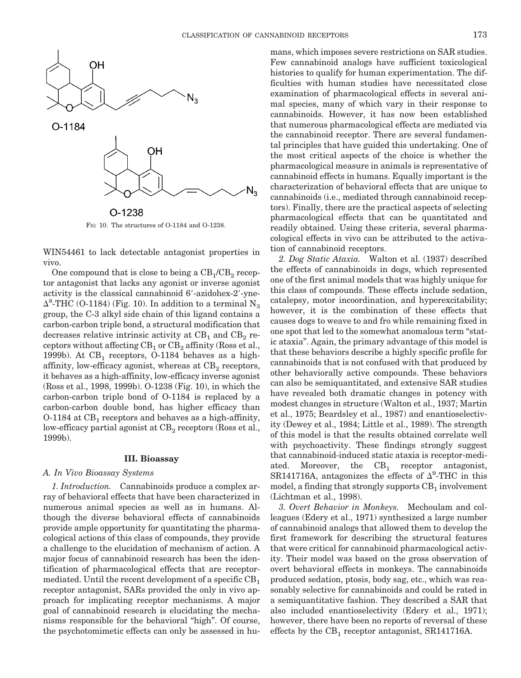

FIG 10. The structures of O-1184 and O-1238.

WIN54461 to lack detectable antagonist properties in vivo.

One compound that is close to being a  $CB_1/CB_2$  receptor antagonist that lacks any agonist or inverse agonist activity is the classical cannabinoid 6'-azidohex-2'-yne- $\Delta^8$ -THC (O-1184) (Fig. 10). In addition to a terminal  $N_3$ group, the C-3 alkyl side chain of this ligand contains a carbon-carbon triple bond, a structural modification that decreases relative intrinsic activity at  $CB<sub>1</sub>$  and  $CB<sub>2</sub>$  receptors without affecting  $CB_1$  or  $CB_2$  affinity (Ross et al., 1999b). At  $CB_1$  receptors, O-1184 behaves as a highaffinity, low-efficacy agonist, whereas at  $CB<sub>2</sub>$  receptors, it behaves as a high-affinity, low-efficacy inverse agonist (Ross et al., 1998, 1999b). O-1238 (Fig. 10), in which the carbon-carbon triple bond of O-1184 is replaced by a carbon-carbon double bond, has higher efficacy than  $O-1184$  at  $CB_1$  receptors and behaves as a high-affinity, low-efficacy partial agonist at  $CB_2$  receptors (Ross et al., 1999b).

#### **III. Bioassay**

#### *A. In Vivo Bioassay Systems*

*1. Introduction.* Cannabinoids produce a complex array of behavioral effects that have been characterized in numerous animal species as well as in humans. Although the diverse behavioral effects of cannabinoids provide ample opportunity for quantitating the pharmacological actions of this class of compounds, they provide a challenge to the elucidation of mechanism of action. A major focus of cannabinoid research has been the identification of pharmacological effects that are receptormediated. Until the recent development of a specific  $CB_1$ receptor antagonist, SARs provided the only in vivo approach for implicating receptor mechanisms. A major goal of cannabinoid research is elucidating the mechanisms responsible for the behavioral "high". Of course, the psychotomimetic effects can only be assessed in humans, which imposes severe restrictions on SAR studies. Few cannabinoid analogs have sufficient toxicological histories to qualify for human experimentation. The difficulties with human studies have necessitated close examination of pharmacological effects in several animal species, many of which vary in their response to cannabinoids. However, it has now been established that numerous pharmacological effects are mediated via the cannabinoid receptor. There are several fundamental principles that have guided this undertaking. One of the most critical aspects of the choice is whether the pharmacological measure in animals is representative of cannabinoid effects in humans. Equally important is the characterization of behavioral effects that are unique to cannabinoids (i.e., mediated through cannabinoid receptors). Finally, there are the practical aspects of selecting pharmacological effects that can be quantitated and readily obtained. Using these criteria, several pharmacological effects in vivo can be attributed to the activation of cannabinoid receptors.

*2. Dog Static Ataxia.* Walton et al. (1937) described the effects of cannabinoids in dogs, which represented one of the first animal models that was highly unique for this class of compounds. These effects include sedation, catalepsy, motor incoordination, and hyperexcitability; however, it is the combination of these effects that causes dogs to weave to and fro while remaining fixed in one spot that led to the somewhat anomalous term "static ataxia". Again, the primary advantage of this model is that these behaviors describe a highly specific profile for cannabinoids that is not confused with that produced by other behaviorally active compounds. These behaviors can also be semiquantitated, and extensive SAR studies have revealed both dramatic changes in potency with modest changes in structure (Walton et al., 1937; Martin et al., 1975; Beardsley et al., 1987) and enantioselectivity (Dewey et al., 1984; Little et al., 1989). The strength of this model is that the results obtained correlate well with psychoactivity. These findings strongly suggest that cannabinoid-induced static ataxia is receptor-mediated. Moreover, the  $CB_1$  receptor antagonist, SR141716A, antagonizes the effects of  $\Delta^9$ -THC in this model, a finding that strongly supports  $CB<sub>1</sub>$  involvement (Lichtman et al., 1998).

*3. Overt Behavior in Monkeys.* Mechoulam and colleagues (Edery et al., 1971) synthesized a large number of cannabinoid analogs that allowed them to develop the first framework for describing the structural features that were critical for cannabinoid pharmacological activity. Their model was based on the gross observation of overt behavioral effects in monkeys. The cannabinoids produced sedation, ptosis, body sag, etc., which was reasonably selective for cannabinoids and could be rated in a semiquantitative fashion. They described a SAR that also included enantioselectivity (Edery et al., 1971); however, there have been no reports of reversal of these effects by the  $CB_1$  receptor antagonist, SR141716A.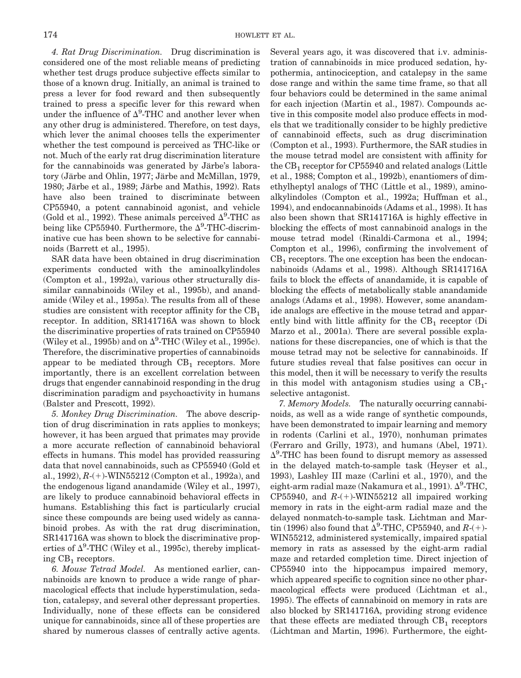*4. Rat Drug Discrimination.* Drug discrimination is considered one of the most reliable means of predicting whether test drugs produce subjective effects similar to those of a known drug. Initially, an animal is trained to press a lever for food reward and then subsequently trained to press a specific lever for this reward when under the influence of  $\Delta^9$ -THC and another lever when any other drug is administered. Therefore, on test days, which lever the animal chooses tells the experimenter whether the test compound is perceived as THC-like or not. Much of the early rat drug discrimination literature for the cannabinoids was generated by Järbe's laboratory (Järbe and Ohlin, 1977; Järbe and McMillan, 1979, 1980; Järbe et al., 1989; Järbe and Mathis, 1992). Rats have also been trained to discriminate between CP55940, a potent cannabinoid agonist, and vehicle (Gold et al., 1992). These animals perceived  $\Delta^9$ -THC as being like CP55940. Furthermore, the  $\Delta^9$ -THC-discriminative cue has been shown to be selective for cannabinoids (Barrett et al., 1995).

SAR data have been obtained in drug discrimination experiments conducted with the aminoalkylindoles (Compton et al., 1992a), various other structurally dissimilar cannabinoids (Wiley et al., 1995b), and anandamide (Wiley et al., 1995a). The results from all of these studies are consistent with receptor affinity for the  $CB_1$ receptor. In addition, SR141716A was shown to block the discriminative properties of rats trained on CP55940 (Wiley et al., 1995b) and on  $\Delta^9$ -THC (Wiley et al., 1995c). Therefore, the discriminative properties of cannabinoids appear to be mediated through  $CB_1$  receptors. More importantly, there is an excellent correlation between drugs that engender cannabinoid responding in the drug discrimination paradigm and psychoactivity in humans (Balster and Prescott, 1992).

*5. Monkey Drug Discrimination.* The above description of drug discrimination in rats applies to monkeys; however, it has been argued that primates may provide a more accurate reflection of cannabinoid behavioral effects in humans. This model has provided reassuring data that novel cannabinoids, such as CP55940 (Gold et al., 1992),  $R-+$ -WIN55212 (Compton et al., 1992a), and the endogenous ligand anandamide (Wiley et al., 1997), are likely to produce cannabinoid behavioral effects in humans. Establishing this fact is particularly crucial since these compounds are being used widely as cannabinoid probes. As with the rat drug discrimination, SR141716A was shown to block the discriminative properties of  $\Delta^9$ -THC (Wiley et al., 1995c), thereby implicating  $CB_1$  receptors.

*6. Mouse Tetrad Model.* As mentioned earlier, cannabinoids are known to produce a wide range of pharmacological effects that include hyperstimulation, sedation, catalepsy, and several other depressant properties. Individually, none of these effects can be considered unique for cannabinoids, since all of these properties are shared by numerous classes of centrally active agents.

Several years ago, it was discovered that i.v. administration of cannabinoids in mice produced sedation, hypothermia, antinociception, and catalepsy in the same dose range and within the same time frame, so that all four behaviors could be determined in the same animal for each injection (Martin et al., 1987). Compounds active in this composite model also produce effects in models that we traditionally consider to be highly predictive of cannabinoid effects, such as drug discrimination (Compton et al., 1993). Furthermore, the SAR studies in the mouse tetrad model are consistent with affinity for the  $CB_1$  receptor for  $CP55940$  and related analogs (Little et al., 1988; Compton et al., 1992b), enantiomers of dimethylheptyl analogs of THC (Little et al., 1989), aminoalkylindoles (Compton et al., 1992a; Huffman et al., 1994), and endocannabinoids (Adams et al., 1998). It has also been shown that SR141716A is highly effective in blocking the effects of most cannabinoid analogs in the mouse tetrad model (Rinaldi-Carmona et al., 1994; Compton et al., 1996), confirming the involvement of  $CB<sub>1</sub>$  receptors. The one exception has been the endocannabinoids (Adams et al., 1998). Although SR141716A fails to block the effects of anandamide, it is capable of blocking the effects of metabolically stable anandamide analogs (Adams et al., 1998). However, some anandamide analogs are effective in the mouse tetrad and apparently bind with little affinity for the  $CB_1$  receptor (Di Marzo et al., 2001a). There are several possible explanations for these discrepancies, one of which is that the mouse tetrad may not be selective for cannabinoids. If future studies reveal that false positives can occur in this model, then it will be necessary to verify the results in this model with antagonism studies using a  $CB_1$ selective antagonist.

*7. Memory Models.* The naturally occurring cannabinoids, as well as a wide range of synthetic compounds, have been demonstrated to impair learning and memory in rodents (Carlini et al., 1970), nonhuman primates (Ferraro and Grilly, 1973), and humans (Abel, 1971).  $\Delta^9$ -THC has been found to disrupt memory as assessed in the delayed match-to-sample task (Heyser et al., 1993), Lashley III maze (Carlini et al., 1970), and the eight-arm radial maze (Nakamura et al., 1991).  $\Delta^9\text{-THC}$ ,  $CP55940$ , and  $R-$ (+)-WIN55212 all impaired working memory in rats in the eight-arm radial maze and the delayed nonmatch-to-sample task. Lichtman and Martin (1996) also found that  $\overline{\Delta}^9\text{-THC}$ , CP55940, and  $R$ -(+)-WIN55212, administered systemically, impaired spatial memory in rats as assessed by the eight-arm radial maze and retarded completion time. Direct injection of CP55940 into the hippocampus impaired memory, which appeared specific to cognition since no other pharmacological effects were produced (Lichtman et al., 1995). The effects of cannabinoid on memory in rats are also blocked by SR141716A, providing strong evidence that these effects are mediated through  $CB_1$  receptors (Lichtman and Martin, 1996). Furthermore, the eight-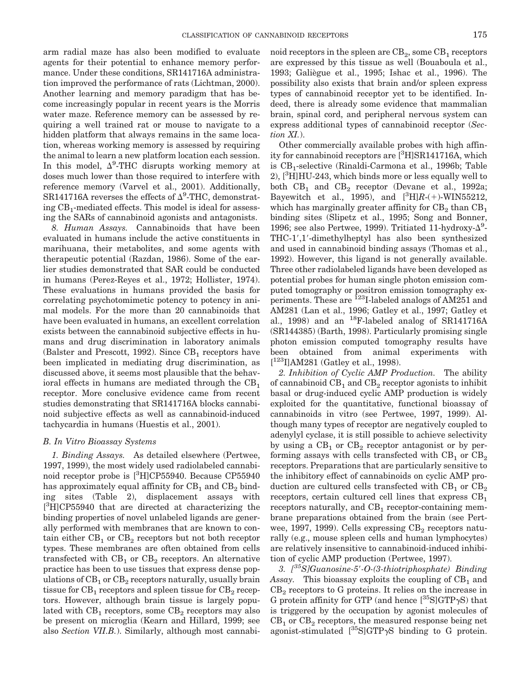arm radial maze has also been modified to evaluate agents for their potential to enhance memory performance. Under these conditions, SR141716A administration improved the performance of rats (Lichtman, 2000). Another learning and memory paradigm that has become increasingly popular in recent years is the Morris water maze. Reference memory can be assessed by requiring a well trained rat or mouse to navigate to a hidden platform that always remains in the same location, whereas working memory is assessed by requiring the animal to learn a new platform location each session. In this model,  $\Delta^9$ -THC disrupts working memory at doses much lower than those required to interfere with reference memory (Varvel et al., 2001). Additionally, SR141716A reverses the effects of  $\Delta^9$ -THC, demonstrating CB1-mediated effects. This model is ideal for assessing the SARs of cannabinoid agonists and antagonists.

*8. Human Assays.* Cannabinoids that have been evaluated in humans include the active constituents in marihuana, their metabolites, and some agents with therapeutic potential (Razdan, 1986). Some of the earlier studies demonstrated that SAR could be conducted in humans (Perez-Reyes et al., 1972; Hollister, 1974). These evaluations in humans provided the basis for correlating psychotomimetic potency to potency in animal models. For the more than 20 cannabinoids that have been evaluated in humans, an excellent correlation exists between the cannabinoid subjective effects in humans and drug discrimination in laboratory animals (Balster and Prescott, 1992). Since  $CB_1$  receptors have been implicated in mediating drug discrimination, as discussed above, it seems most plausible that the behavioral effects in humans are mediated through the  $CB_1$ receptor. More conclusive evidence came from recent studies demonstrating that SR141716A blocks cannabinoid subjective effects as well as cannabinoid-induced tachycardia in humans (Huestis et al., 2001).

#### *B. In Vitro Bioassay Systems*

*1. Binding Assays.* As detailed elsewhere (Pertwee, 1997, 1999), the most widely used radiolabeled cannabinoid receptor probe is [3H]CP55940. Because CP55940 has approximately equal affinity for  $CB_1$  and  $CB_2$  binding sites (Table 2), displacement assays with [ 3 H]CP55940 that are directed at characterizing the binding properties of novel unlabeled ligands are generally performed with membranes that are known to contain either  $CB_1$  or  $CB_2$  receptors but not both receptor types. These membranes are often obtained from cells transfected with  $CB_1$  or  $CB_2$  receptors. An alternative practice has been to use tissues that express dense populations of  $CB_1$  or  $CB_2$  receptors naturally, usually brain tissue for  $CB_1$  receptors and spleen tissue for  $CB_2$  receptors. However, although brain tissue is largely populated with  $CB_1$  receptors, some  $CB_2$  receptors may also be present on microglia (Kearn and Hillard, 1999; see also *Section VII.B.*). Similarly, although most cannabinoid receptors in the spleen are  $CB_2$ , some  $CB_1$  receptors are expressed by this tissue as well (Bouaboula et al., 1993; Galiègue et al., 1995; Ishac et al., 1996). The possibility also exists that brain and/or spleen express types of cannabinoid receptor yet to be identified. Indeed, there is already some evidence that mammalian brain, spinal cord, and peripheral nervous system can express additional types of cannabinoid receptor (*Section XI.*).

Other commercially available probes with high affinity for cannabinoid receptors are [<sup>3</sup>H]SR141716A, which is CB<sub>1</sub>-selective (Rinaldi-Carmona et al., 1996b; Table 2),  $[^{3}H]HU-243$ , which binds more or less equally well to both  $CB_1$  and  $CB_2$  receptor (Devane et al., 1992a; Bayewitch et al., 1995), and  $[{}^{3}H]R-(+)$ -WIN55212, which has marginally greater affinity for  $CB<sub>2</sub>$  than  $CB<sub>1</sub>$ binding sites (Slipetz et al., 1995; Song and Bonner, 1996; see also Pertwee, 1999). Tritiated 11-hydroxy- $\Delta^9$ -THC-1,1-dimethylheptyl has also been synthesized and used in cannabinoid binding assays (Thomas et al., 1992). However, this ligand is not generally available. Three other radiolabeled ligands have been developed as potential probes for human single photon emission computed tomography or positron emission tomography experiments. These are  $^{123}$ I-labeled analogs of AM251 and AM281 (Lan et al., 1996; Gatley et al., 1997; Gatley et al., 1998) and an  $^{18}$ F-labeled analog of SR141716A (SR144385) (Barth, 1998). Particularly promising single photon emission computed tomography results have been obtained from animal experiments with [<sup>123</sup>I]AM281 (Gatley et al., 1998).

*2. Inhibition of Cyclic AMP Production.* The ability of cannabinoid  $CB_1$  and  $CB_2$  receptor agonists to inhibit basal or drug-induced cyclic AMP production is widely exploited for the quantitative, functional bioassay of cannabinoids in vitro (see Pertwee, 1997, 1999). Although many types of receptor are negatively coupled to adenylyl cyclase, it is still possible to achieve selectivity by using a  $CB_1$  or  $CB_2$  receptor antagonist or by performing assays with cells transfected with  $CB_1$  or  $CB_2$ receptors. Preparations that are particularly sensitive to the inhibitory effect of cannabinoids on cyclic AMP production are cultured cells transfected with  $CB_1$  or  $CB_2$ receptors, certain cultured cell lines that express  $CB_1$ receptors naturally, and  $CB_1$  receptor-containing membrane preparations obtained from the brain (see Pertwee, 1997, 1999). Cells expressing  $CB_2$  receptors naturally (e.g., mouse spleen cells and human lymphocytes) are relatively insensitive to cannabinoid-induced inhibition of cyclic AMP production (Pertwee, 1997).

*3. [35S]Guanosine-5-O-(3-thiotriphosphate) Binding Assay.* This bioassay exploits the coupling of  $CB<sub>1</sub>$  and  $CB<sub>2</sub>$  receptors to G proteins. It relies on the increase in G protein affinity for GTP (and hence  $[^{35}S]GTP\gamma S$ ) that is triggered by the occupation by agonist molecules of  $CB<sub>1</sub>$  or  $CB<sub>2</sub>$  receptors, the measured response being net agonist-stimulated  $[^{35}S]GTP\gamma S$  binding to G protein.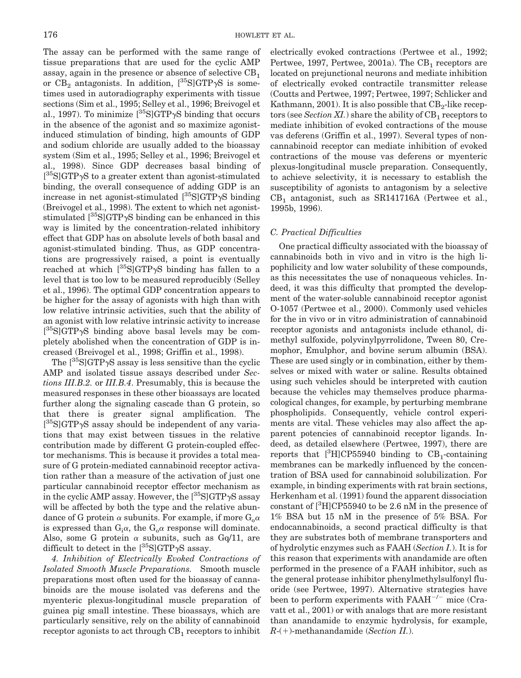The assay can be performed with the same range of tissue preparations that are used for the cyclic AMP assay, again in the presence or absence of selective CB1 or  $CB_2$  antagonists. In addition,  $[35S]GTP\gamma S$  is sometimes used in autoradiography experiments with tissue sections (Sim et al., 1995; Selley et al., 1996; Breivogel et al., 1997). To minimize  $[35S]GTP\gamma S$  binding that occurs in the absence of the agonist and so maximize agonistinduced stimulation of binding, high amounts of GDP and sodium chloride are usually added to the bioassay system (Sim et al., 1995; Selley et al., 1996; Breivogel et al., 1998). Since GDP decreases basal binding of  $[^{35}S]GTP\gamma S$  to a greater extent than agonist-stimulated binding, the overall consequence of adding GDP is an increase in net agonist-stimulated  $[^{35}S]GTP\gamma S$  binding (Breivogel et al., 1998). The extent to which net agoniststimulated  $[35S]GTP<sub>Y</sub>S$  binding can be enhanced in this way is limited by the concentration-related inhibitory effect that GDP has on absolute levels of both basal and agonist-stimulated binding. Thus, as GDP concentrations are progressively raised, a point is eventually reached at which  $[35S]GTP\gamma S$  binding has fallen to a level that is too low to be measured reproducibly (Selley et al., 1996). The optimal GDP concentration appears to be higher for the assay of agonists with high than with low relative intrinsic activities, such that the ability of an agonist with low relative intrinsic activity to increase [ 35S]GTPS binding above basal levels may be completely abolished when the concentration of GDP is increased (Breivogel et al., 1998; Griffin et al., 1998).

The  $[35S]GTP\gamma S$  assay is less sensitive than the cyclic AMP and isolated tissue assays described under *Sections III.B.2.* or *III.B.4*. Presumably, this is because the measured responses in these other bioassays are located further along the signaling cascade than G protein, so that there is greater signal amplification. The [<sup>35</sup>S]GTP<sub>Y</sub>S assay should be independent of any variations that may exist between tissues in the relative contribution made by different G protein-coupled effector mechanisms. This is because it provides a total measure of G protein-mediated cannabinoid receptor activation rather than a measure of the activation of just one particular cannabinoid receptor effector mechanism as in the cyclic AMP assay. However, the  $[^{35}S]GTP\gamma S$  assay will be affected by both the type and the relative abundance of G protein  $\alpha$  subunits. For example, if more  $\mathrm{G}_{\mathrm{o}}\alpha$ is expressed than  $G_i \alpha$ , the  $G_o \alpha$  response will dominate. Also, some G protein  $\alpha$  subunits, such as Gq/11, are difficult to detect in the  $[35S]GTP<sub>\gamma</sub>S$  assay.

*4. Inhibition of Electrically Evoked Contractions of Isolated Smooth Muscle Preparations.* Smooth muscle preparations most often used for the bioassay of cannabinoids are the mouse isolated vas deferens and the myenteric plexus-longitudinal muscle preparation of guinea pig small intestine. These bioassays, which are particularly sensitive, rely on the ability of cannabinoid receptor agonists to act through  $CB_1$  receptors to inhibit

electrically evoked contractions (Pertwee et al., 1992; Pertwee, 1997, Pertwee, 2001a). The  $CB_1$  receptors are located on prejunctional neurons and mediate inhibition of electrically evoked contractile transmitter release (Coutts and Pertwee, 1997; Pertwee, 1997; Schlicker and Kathmann, 2001). It is also possible that  $CB_2$ -like receptors (see *Section XI.*) share the ability of  $CB_1$  receptors to mediate inhibition of evoked contractions of the mouse vas deferens (Griffin et al., 1997). Several types of noncannabinoid receptor can mediate inhibition of evoked contractions of the mouse vas deferens or myenteric plexus-longitudinal muscle preparation. Consequently, to achieve selectivity, it is necessary to establish the susceptibility of agonists to antagonism by a selective  $CB<sub>1</sub>$  antagonist, such as SR141716A (Pertwee et al., 1995b, 1996).

#### *C. Practical Difficulties*

One practical difficulty associated with the bioassay of cannabinoids both in vivo and in vitro is the high lipophilicity and low water solubility of these compounds, as this necessitates the use of nonaqueous vehicles. Indeed, it was this difficulty that prompted the development of the water-soluble cannabinoid receptor agonist O-1057 (Pertwee et al., 2000). Commonly used vehicles for the in vivo or in vitro administration of cannabinoid receptor agonists and antagonists include ethanol, dimethyl sulfoxide, polyvinylpyrrolidone, Tween 80, Cremophor, Emulphor, and bovine serum albumin (BSA). These are used singly or in combination, either by themselves or mixed with water or saline. Results obtained using such vehicles should be interpreted with caution because the vehicles may themselves produce pharmacological changes, for example, by perturbing membrane phospholipids. Consequently, vehicle control experiments are vital. These vehicles may also affect the apparent potencies of cannabinoid receptor ligands. Indeed, as detailed elsewhere (Pertwee, 1997), there are reports that  $[^{3}H]$ CP55940 binding to CB<sub>1</sub>-containing membranes can be markedly influenced by the concentration of BSA used for cannabinoid solubilization. For example, in binding experiments with rat brain sections, Herkenham et al. (1991) found the apparent dissociation constant of  $[^{3}H]$ CP55940 to be 2.6 nM in the presence of 1% BSA but 15 nM in the presence of 5% BSA. For endocannabinoids, a second practical difficulty is that they are substrates both of membrane transporters and of hydrolytic enzymes such as FAAH (*Section I.*). It is for this reason that experiments with anandamide are often performed in the presence of a FAAH inhibitor, such as the general protease inhibitor phenylmethylsulfonyl fluoride (see Pertwee, 1997). Alternative strategies have been to perform experiments with  $FAAH^{-/-}$  mice (Cravatt et al., 2001) or with analogs that are more resistant than anandamide to enzymic hydrolysis, for example, *R*-(-)-methanandamide (*Section II.*).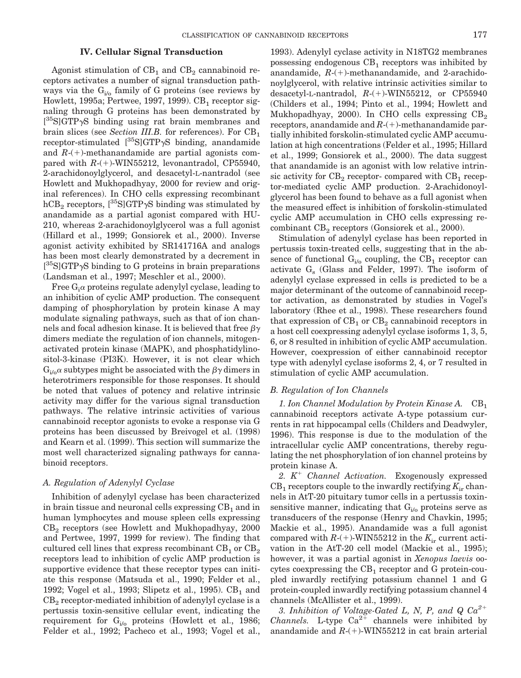#### **IV. Cellular Signal Transduction**

Agonist stimulation of  $CB_1$  and  $CB_2$  cannabinoid receptors activates a number of signal transduction pathways via the  $G<sub>i/o</sub>$  family of G proteins (see reviews by Howlett, 1995a; Pertwee, 1997, 1999).  $CB_1$  receptor signaling through G proteins has been demonstrated by [ 35S]GTPS binding using rat brain membranes and brain slices (see *Section III.B.* for references). For CB<sub>1</sub> receptor-stimulated  $[35S]$ GTP $\gamma$ S binding, anandamide and  $R(+)$ -methanandamide are partial agonists compared with  $R-$ (+)-WIN55212, levonantradol, CP55940, 2-arachidonoylglycerol, and desacetyl-L-nantradol (see Howlett and Mukhopadhyay, 2000 for review and original references). In CHO cells expressing recombinant  $hCB<sub>2</sub>$  receptors,  $[^{35}S]GTP\gamma S$  binding was stimulated by anandamide as a partial agonist compared with HU-210, whereas 2-arachidonoylglycerol was a full agonist (Hillard et al., 1999; Gonsiorek et al., 2000). Inverse agonist activity exhibited by SR141716A and analogs has been most clearly demonstrated by a decrement in [<sup>35</sup>S]GTP<sub>Y</sub>S binding to G proteins in brain preparations (Landsman et al., 1997; Meschler et al., 2000).

Free  $\mathrm{G}_\mathrm{i}\alpha$  proteins regulate adenylyl cyclase, leading to an inhibition of cyclic AMP production. The consequent damping of phosphorylation by protein kinase A may modulate signaling pathways, such as that of ion channels and focal adhesion kinase. It is believed that free  $\beta\gamma$ dimers mediate the regulation of ion channels, mitogenactivated protein kinase (MAPK), and phosphatidylinositol-3-kinase (PI3K). However, it is not clear which  $\mathrm{G}_\mathrm{i/o}\alpha$  subtypes might be associated with the  $\beta\gamma$  dimers in heterotrimers responsible for those responses. It should be noted that values of potency and relative intrinsic activity may differ for the various signal transduction pathways. The relative intrinsic activities of various cannabinoid receptor agonists to evoke a response via G proteins has been discussed by Breivogel et al. (1998) and Kearn et al. (1999). This section will summarize the most well characterized signaling pathways for cannabinoid receptors.

#### *A. Regulation of Adenylyl Cyclase*

Inhibition of adenylyl cyclase has been characterized in brain tissue and neuronal cells expressing  $CB_1$  and in human lymphocytes and mouse spleen cells expressing  $CB<sub>2</sub>$  receptors (see Howlett and Mukhopadhyay, 2000 and Pertwee, 1997, 1999 for review). The finding that cultured cell lines that express recombinant  $CB_1$  or  $CB_2$ receptors lead to inhibition of cyclic AMP production is supportive evidence that these receptor types can initiate this response (Matsuda et al., 1990; Felder et al., 1992; Vogel et al., 1993; Slipetz et al., 1995).  $CB_1$  and  $CB<sub>2</sub>$  receptor-mediated inhibition of adenylyl cyclase is a pertussis toxin-sensitive cellular event, indicating the requirement for  $G_{i/0}$  proteins (Howlett et al., 1986; Felder et al., 1992; Pacheco et al., 1993; Vogel et al.,

1993). Adenylyl cyclase activity in N18TG2 membranes possessing endogenous  $CB_1$  receptors was inhibited by anandamide,  $R-(+)$ -methanandamide, and 2-arachidonoylglycerol, with relative intrinsic activities similar to desacetyl-L-nantradol, *R*-(-)-WIN55212, or CP55940 (Childers et al., 1994; Pinto et al., 1994; Howlett and Mukhopadhyay, 2000). In CHO cells expressing  $CB<sub>2</sub>$  $receptors, an and amide and  $R-(+)$ -methanandamide par$ tially inhibited forskolin-stimulated cyclic AMP accumulation at high concentrations (Felder et al., 1995; Hillard et al., 1999; Gonsiorek et al., 2000). The data suggest that anandamide is an agonist with low relative intrinsic activity for  $CB_2$  receptor- compared with  $CB_1$  receptor-mediated cyclic AMP production. 2-Arachidonoylglycerol has been found to behave as a full agonist when the measured effect is inhibition of forskolin-stimulated cyclic AMP accumulation in CHO cells expressing recombinant  $CB_2$  receptors (Gonsiorek et al., 2000).

Stimulation of adenylyl cyclase has been reported in pertussis toxin-treated cells, suggesting that in the absence of functional  $G_{i/0}$  coupling, the CB<sub>1</sub> receptor can activate  $G_s$  (Glass and Felder, 1997). The isoform of adenylyl cyclase expressed in cells is predicted to be a major determinant of the outcome of cannabinoid receptor activation, as demonstrated by studies in Vogel's laboratory (Rhee et al., 1998). These researchers found that expression of  $CB_1$  or  $CB_2$  cannabinoid receptors in a host cell coexpressing adenylyl cyclase isoforms 1, 3, 5, 6, or 8 resulted in inhibition of cyclic AMP accumulation. However, coexpression of either cannabinoid receptor type with adenylyl cyclase isoforms 2, 4, or 7 resulted in stimulation of cyclic AMP accumulation.

#### *B. Regulation of Ion Channels*

1. Ion Channel Modulation by Protein Kinase A.  $CB_1$ cannabinoid receptors activate A-type potassium currents in rat hippocampal cells (Childers and Deadwyler, 1996). This response is due to the modulation of the intracellular cyclic AMP concentrations, thereby regulating the net phosphorylation of ion channel proteins by protein kinase A.

*2. K*- *Channel Activation.* Exogenously expressed  $CB_1$  receptors couple to the inwardly rectifying  $K_{ir}$  channels in AtT-20 pituitary tumor cells in a pertussis toxinsensitive manner, indicating that  $G_{i\alpha}$  proteins serve as transducers of the response (Henry and Chavkin, 1995; Mackie et al., 1995). Anandamide was a full agonist  $\emph{compared with}$   $\emph{R-}(+)$ -WIN $55212$  in the  $\emph{K}_{\rm ir}$  current activation in the AtT-20 cell model (Mackie et al., 1995); however, it was a partial agonist in *Xenopus laevis* oocytes coexpressing the  $CB_1$  receptor and G protein-coupled inwardly rectifying potassium channel 1 and G protein-coupled inwardly rectifying potassium channel 4 channels (McAllister et al., 1999).

*3. Inhibition of Voltage-Gated L, N, P, and Q Ca2*- *Channels.* L-type  $Ca^{2+}$  channels were inhibited by anandamide and  $R$ -(+)-WIN55212 in cat brain arterial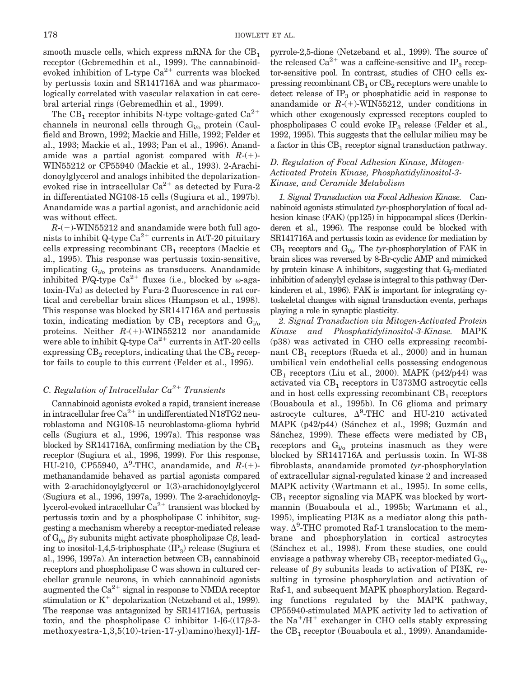smooth muscle cells, which express mRNA for the  $CB_1$ receptor (Gebremedhin et al., 1999). The cannabinoidevoked inhibition of L-type  $Ca^{2+}$  currents was blocked by pertussis toxin and SR141716A and was pharmacologically correlated with vascular relaxation in cat cerebral arterial rings (Gebremedhin et al., 1999).

The CB<sub>1</sub> receptor inhibits N-type voltage-gated Ca<sup>2+</sup> channels in neuronal cells through  $G_{i\prime o}$  protein (Caulfield and Brown, 1992; Mackie and Hille, 1992; Felder et al., 1993; Mackie et al., 1993; Pan et al., 1996). Anandamide was a partial agonist compared with  $R-(+)$ WIN55212 or CP55940 (Mackie et al., 1993). 2-Arachidonoylglycerol and analogs inhibited the depolarizationevoked rise in intracellular  $Ca^{2+}$  as detected by Fura-2 in differentiated NG108-15 cells (Sugiura et al., 1997b). Anandamide was a partial agonist, and arachidonic acid was without effect.

 $R$ - $(+)$ -WIN55212 and anandamide were both full agonists to inhibit Q-type  $\text{Ca}^{2+}$  currents in AtT-20 pituitary cells expressing recombinant  $CB<sub>1</sub>$  receptors (Mackie et al., 1995). This response was pertussis toxin-sensitive, implicating  $G_{i/0}$  proteins as transducers. Anandamide inhibited P/Q-type  $Ca^{2+}$  fluxes (i.e., blocked by  $\omega$ -agatoxin-IVa) as detected by Fura-2 fluorescence in rat cortical and cerebellar brain slices (Hampson et al., 1998). This response was blocked by SR141716A and pertussis toxin, indicating mediation by  $CB_1$  receptors and  $G_{i\prime o}$ proteins. Neither  $R-(+)$ -WIN55212 nor anandamide were able to inhibit Q-type  $Ca^{2+}$  currents in AtT-20 cells expressing  $CB_2$  receptors, indicating that the  $CB_2$  receptor fails to couple to this current (Felder et al., 1995).

# *C. Regulation of Intracellular Ca2*- *Transients*

Cannabinoid agonists evoked a rapid, transient increase in intracellular free  $Ca^{2+}$  in undifferentiated N18TG2 neuroblastoma and NG108-15 neuroblastoma-glioma hybrid cells (Sugiura et al., 1996, 1997a). This response was blocked by SR141716A, confirming mediation by the  $CB_1$ receptor (Sugiura et al., 1996, 1999). For this response, HU-210, CP55940,  $\Delta^9$ -THC, anandamide, and  $R$ -(+)methanandamide behaved as partial agonists compared with 2-arachidonoylglycerol or 1(3)-arachidonoylglycerol (Sugiura et al., 1996, 1997a, 1999). The 2-arachidonoylglycerol-evoked intracellular  $Ca^{2+}$  transient was blocked by pertussis toxin and by a phospholipase C inhibitor, suggesting a mechanism whereby a receptor-mediated release of  $G_{i\alpha}$   $\beta\gamma$  subunits might activate phospholipase C $\beta$ , leading to inositol-1,4,5-triphosphate  $(\text{IP}_3)$  release (Sugiura et al., 1996, 1997a). An interaction between  $CB<sub>1</sub>$  cannabinoid receptors and phospholipase C was shown in cultured cerebellar granule neurons, in which cannabinoid agonists augmented the  $Ca^{2+}$  signal in response to NMDA receptor stimulation or  $K^+$  depolarization (Netzeband et al., 1999). The response was antagonized by SR141716A, pertussis toxin, and the phospholipase C inhibitor  $1-[6-(17\beta-3-1)]$ methoxyestra-1,3,5(10)-trien-17-yl)amino)hexyl]-1*H*-

pyrrole-2,5-dione (Netzeband et al., 1999). The source of the released  $Ca^{2+}$  was a caffeine-sensitive and IP<sub>3</sub> receptor-sensitive pool. In contrast, studies of CHO cells expressing recombinant  $CB_1$  or  $CB_2$  receptors were unable to detect release of  $IP_3$  or phosphatidic acid in response to anandamide or  $R-+1$ -WIN55212, under conditions in which other exogenously expressed receptors coupled to phospholipases C could evoke  $IP_3$  release (Felder et al., 1992, 1995). This suggests that the cellular milieu may be a factor in this  $CB_1$  receptor signal transduction pathway.

## *D. Regulation of Focal Adhesion Kinase, Mitogen-Activated Protein Kinase, Phosphatidylinositol-3- Kinase, and Ceramide Metabolism*

*1. Signal Transduction via Focal Adhesion Kinase.* Cannabinoid agonists stimulated *tyr*-phosphorylation of focal adhesion kinase (FAK) (pp125) in hippocampal slices (Derkinderen et al., 1996). The response could be blocked with SR141716A and pertussis toxin as evidence for mediation by  $CB_1$  receptors and  $G_{i/0}$ . The *tyr*-phosphorylation of FAK in brain slices was reversed by 8-Br-cyclic AMP and mimicked by protein kinase A inhibitors, suggesting that G<sub>i</sub>-mediated inhibition of adenylyl cyclase is integral to this pathway (Derkinderen et al., 1996). FAK is important for integrating cytoskeletal changes with signal transduction events, perhaps playing a role in synaptic plasticity.

*2. Signal Transduction via Mitogen-Activated Protein Kinase and Phosphatidylinositol-3-Kinase.* MAPK (p38) was activated in CHO cells expressing recombinant  $CB_1$  receptors (Rueda et al., 2000) and in human umbilical vein endothelial cells possessing endogenous  $CB_1$  receptors (Liu et al., 2000). MAPK (p42/p44) was activated via  $CB_1$  receptors in U373MG astrocytic cells and in host cells expressing recombinant  $CB<sub>1</sub>$  receptors (Bouaboula et al., 1995b). In C6 glioma and primary astrocyte cultures,  $\Delta^9$ -THC and HU-210 activated MAPK (p42/p44) (Sánchez et al., 1998; Guzmán and Sánchez, 1999). These effects were mediated by  $CB_1$ receptors and  $G_{i/0}$  proteins inasmuch as they were blocked by SR141716A and pertussis toxin. In WI-38 fibroblasts, anandamide promoted *tyr*-phosphorylation of extracellular signal-regulated kinase 2 and increased MAPK activity (Wartmann et al., 1995). In some cells,  $CB<sub>1</sub>$  receptor signaling via MAPK was blocked by wortmannin (Bouaboula et al., 1995b; Wartmann et al., 1995), implicating PI3K as a mediator along this pathway.  $\Delta^9$ -THC promoted Raf-1 translocation to the membrane and phosphorylation in cortical astrocytes (Sánchez et al., 1998). From these studies, one could envisage a pathway whereby  $CB_1$  receptor-mediated  $G_{i\prime o}$ release of  $\beta\gamma$  subunits leads to activation of PI3K, resulting in tyrosine phosphorylation and activation of Raf-1, and subsequent MAPK phosphorylation. Regarding functions regulated by the MAPK pathway, CP55940-stimulated MAPK activity led to activation of the  $\text{Na}^+/\text{H}^+$  exchanger in CHO cells stably expressing the  $CB_1$  receptor (Bouaboula et al., 1999). Anandamide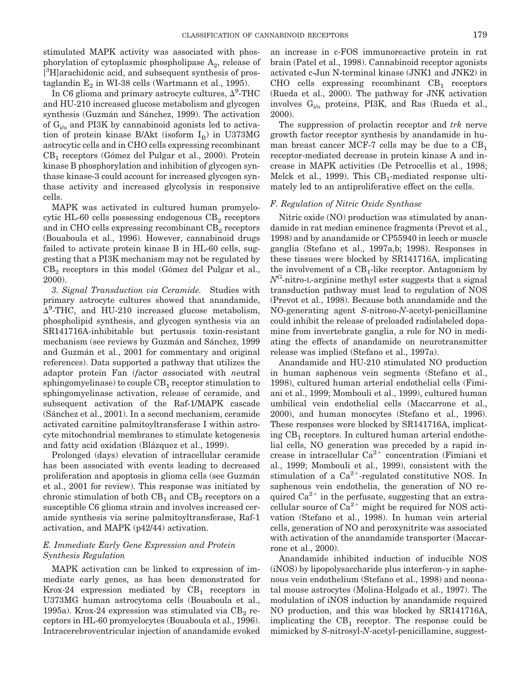stimulated MAPK activity was associated with phosphorylation of cytoplasmic phospholipase  $A_2$ , release of <sup>[3</sup>H]arachidonic acid, and subsequent synthesis of prostaglandin  $E_2$  in WI-38 cells (Wartmann et al., 1995).

In C6 glioma and primary astrocyte cultures,  $\Delta^9$ -THC and HU-210 increased glucose metabolism and glycogen synthesis (Guzmán and Sánchez, 1999). The activation of  $G_{i\prime o}$  and PI3K by cannabinoid agonists led to activation of protein kinase B/Akt (isoform  $I_B$ ) in U373MG astrocytic cells and in CHO cells expressing recombinant CB<sub>1</sub> receptors (Gómez del Pulgar et al., 2000). Protein kinase B phosphorylation and inhibition of glycogen synthase kinase-3 could account for increased glycogen synthase activity and increased glycolysis in responsive cells.

MAPK was activated in cultured human promyelocytic HL-60 cells possessing endogenous  $CB<sub>2</sub>$  receptors and in CHO cells expressing recombinant  $CB<sub>2</sub>$  receptors (Bouaboula et al., 1996). However, cannabinoid drugs failed to activate protein kinase B in HL-60 cells, suggesting that a PI3K mechanism may not be regulated by  $CB<sub>2</sub>$  receptors in this model (Gómez del Pulgar et al., 2000).

*3. Signal Transduction via Ceramide.* Studies with primary astrocyte cultures showed that anandamide,  $\Delta^9$ -THC, and HU-210 increased glucose metabolism, phospholipid synthesis, and glycogen synthesis via an SR141716A-inhibitable but pertussis toxin-resistant mechanism (see reviews by Guzmán and Sánchez, 1999 and Guzmán et al., 2001 for commentary and original references). Data supported a pathway that utilizes the adaptor protein Fan (*f*actor *a*ssociated with *n*eutral sphingomyelinase) to couple  $CB_1$  receptor stimulation to sphingomyelinase activation, release of ceramide, and subsequent activation of the Raf-1/MAPK cascade (Sánchez et al., 2001). In a second mechanism, ceramide activated carnitine palmitoyltransferase I within astrocyte mitochondrial membranes to stimulate ketogenesis and fatty acid oxidation (Blázquez et al., 1999).

Prolonged (days) elevation of intracellular ceramide has been associated with events leading to decreased proliferation and apoptosis in glioma cells (see Guzmán) et al., 2001 for review). This response was initiated by chronic stimulation of both  $CB_1$  and  $CB_2$  receptors on a susceptible C6 glioma strain and involves increased ceramide synthesis via serine palmitoyltransferase, Raf-1 activation, and MAPK (p42/44) activation.

## *E. Immediate Early Gene Expression and Protein Synthesis Regulation*

MAPK activation can be linked to expression of immediate early genes, as has been demonstrated for Krox-24 expression mediated by  $CB_1$  receptors in U373MG human astrocytoma cells (Bouaboula et al., 1995a). Krox-24 expression was stimulated via  $CB<sub>2</sub>$  receptors in HL-60 promyelocytes (Bouaboula et al., 1996). Intracerebroventricular injection of anandamide evoked

an increase in c-FOS immunoreactive protein in rat brain (Patel et al., 1998). Cannabinoid receptor agonists activated c-Jun N-terminal kinase (JNK1 and JNK2) in  $CHO$  cells expressing recombinant  $CB<sub>1</sub>$  receptors (Rueda et al., 2000). The pathway for JNK activation involves  $G_{i\prime}$  proteins, PI3K, and Ras (Rueda et al., 2000).

The suppression of prolactin receptor and *trk* nerve growth factor receptor synthesis by anandamide in human breast cancer MCF-7 cells may be due to a  $CB_1$ receptor-mediated decrease in protein kinase A and increase in MAPK activities (De Petrocellis et al., 1998; Melck et al., 1999). This  $CB_1$ -mediated response ultimately led to an antiproliferative effect on the cells.

#### *F. Regulation of Nitric Oxide Synthase*

Nitric oxide (NO) production was stimulated by anandamide in rat median eminence fragments (Prevot et al., 1998) and by anandamide or CP55940 in leech or muscle ganglia (Stefano et al., 1997a,b; 1998). Responses in these tissues were blocked by SR141716A, implicating the involvement of a  $CB_1$ -like receptor. Antagonism by  $N<sup>G</sup>$ -nitro-L-arginine methyl ester suggests that a signal transduction pathway must lead to regulation of NOS (Prevot et al., 1998). Because both anandamide and the NO-generating agent *S*-nitroso-*N*-acetyl-penicillamine could inhibit the release of preloaded radiolabeled dopamine from invertebrate ganglia, a role for NO in mediating the effects of anandamide on neurotransmitter release was implied (Stefano et al., 1997a).

Anandamide and HU-210 stimulated NO production in human saphenous vein segments (Stefano et al., 1998), cultured human arterial endothelial cells (Fimiani et al., 1999; Mombouli et al., 1999), cultured human umbilical vein endothelial cells (Maccarrone et al., 2000), and human monocytes (Stefano et al., 1996). These responses were blocked by SR141716A, implicating  $CB_1$  receptors. In cultured human arterial endothelial cells, NO generation was preceded by a rapid increase in intracellular  $Ca^{2+}$  concentration (Fimiani et al., 1999; Mombouli et al., 1999), consistent with the stimulation of a  $Ca^{2+}$ -regulated constitutive NOS. In saphenous vein endothelia, the generation of NO required  $Ca^{2+}$  in the perfusate, suggesting that an extracellular source of  $Ca^{2+}$  might be required for NOS activation (Stefano et al., 1998). In human vein arterial cells, generation of NO and peroxynitrite was associated with activation of the anandamide transporter (Maccarrone et al., 2000).

Anandamide inhibited induction of inducible NOS (iNOS) by lipopolysaccharide plus interferon- $\gamma$  in saphenous vein endothelium (Stefano et al., 1998) and neonatal mouse astrocytes (Molina-Holgado et al., 1997). The modulation of iNOS induction by anandamide required NO production, and this was blocked by SR141716A, implicating the  $CB_1$  receptor. The response could be mimicked by *S*-nitrosyl-*N*-acetyl-penicillamine, suggest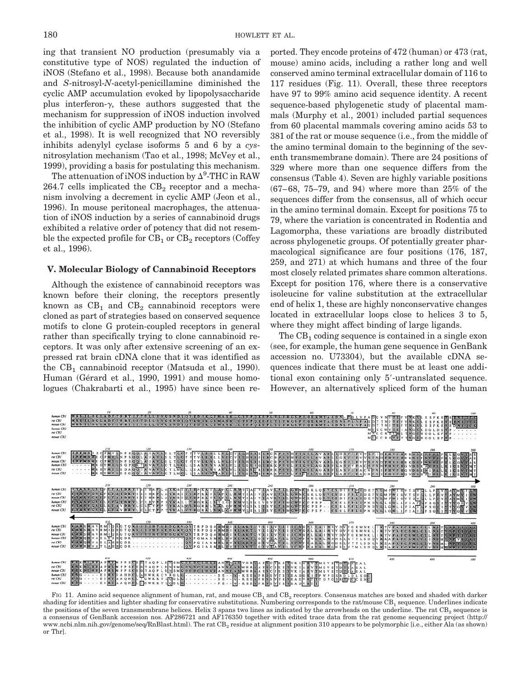ing that transient NO production (presumably via a constitutive type of NOS) regulated the induction of iNOS (Stefano et al., 1998). Because both anandamide and *S*-nitrosyl-*N*-acetyl-penicillamine diminished the cyclic AMP accumulation evoked by lipopolysaccharide plus interferon- $\nu$ , these authors suggested that the mechanism for suppression of iNOS induction involved the inhibition of cyclic AMP production by NO (Stefano et al., 1998). It is well recognized that NO reversibly inhibits adenylyl cyclase isoforms 5 and 6 by a *cys*nitrosylation mechanism (Tao et al., 1998; McVey et al., 1999), providing a basis for postulating this mechanism.

The attenuation of iNOS induction by  $\Delta^9$ -THC in RAW 264.7 cells implicated the  $CB_2$  receptor and a mechanism involving a decrement in cyclic AMP (Jeon et al., 1996). In mouse peritoneal macrophages, the attenuation of iNOS induction by a series of cannabinoid drugs exhibited a relative order of potency that did not resemble the expected profile for  $CB_1$  or  $CB_2$  receptors (Coffey et al., 1996).

## **V. Molecular Biology of Cannabinoid Receptors**

Although the existence of cannabinoid receptors was known before their cloning, the receptors presently known as  $CB_1$  and  $CB_2$  cannabinoid receptors were cloned as part of strategies based on conserved sequence motifs to clone G protein-coupled receptors in general rather than specifically trying to clone cannabinoid receptors. It was only after extensive screening of an expressed rat brain cDNA clone that it was identified as the  $CB_1$  cannabinoid receptor (Matsuda et al., 1990). Human (Gérard et al., 1990, 1991) and mouse homologues (Chakrabarti et al., 1995) have since been re-

ported. They encode proteins of 472 (human) or 473 (rat, mouse) amino acids, including a rather long and well conserved amino terminal extracellular domain of 116 to 117 residues (Fig. 11). Overall, these three receptors have 97 to 99% amino acid sequence identity. A recent sequence-based phylogenetic study of placental mammals (Murphy et al., 2001) included partial sequences from 60 placental mammals covering amino acids 53 to 381 of the rat or mouse sequence (i.e., from the middle of the amino terminal domain to the beginning of the seventh transmembrane domain). There are 24 positions of 329 where more than one sequence differs from the consensus (Table 4). Seven are highly variable positions (67–68, 75–79, and 94) where more than 25% of the sequences differ from the consensus, all of which occur in the amino terminal domain. Except for positions 75 to 79, where the variation is concentrated in Rodentia and Lagomorpha, these variations are broadly distributed across phylogenetic groups. Of potentially greater pharmacological significance are four positions (176, 187, 259, and 271) at which humans and three of the four most closely related primates share common alterations. Except for position 176, where there is a conservative isoleucine for valine substitution at the extracellular end of helix 1, these are highly nonconservative changes located in extracellular loops close to helices 3 to 5, where they might affect binding of large ligands.

The  $CB_1$  coding sequence is contained in a single exon (see, for example, the human gene sequence in GenBank accession no. U73304), but the available cDNA sequences indicate that there must be at least one additional exon containing only 5-untranslated sequence. However, an alternatively spliced form of the human



FIG 11. Amino acid sequence alignment of human, rat, and mouse  $CB_1$  and  $CB_2$  receptors. Consensus matches are boxed and shaded with darker shading for identities and lighter shading for conservative substitutions. Numbering corresponds to the rat/mouse  $CB_1$  sequence. Underlines indicate the positions of the seven transmembrane helices. Helix 3 spans two lines as indicated by the arrowheads on the underline. The rat  $CB_2$  sequence is a consensus of GenBank accession nos. AF286721 and AF176350 together with edited trace data from the rat genome sequencing project (http:// www.ncbi.nlm.nih.gov/genome/seq/RnBlast.html). The rat  $CB_2$  residue at alignment position 310 appears to be polymorphic [i.e., either Ala (as shown) or Thr].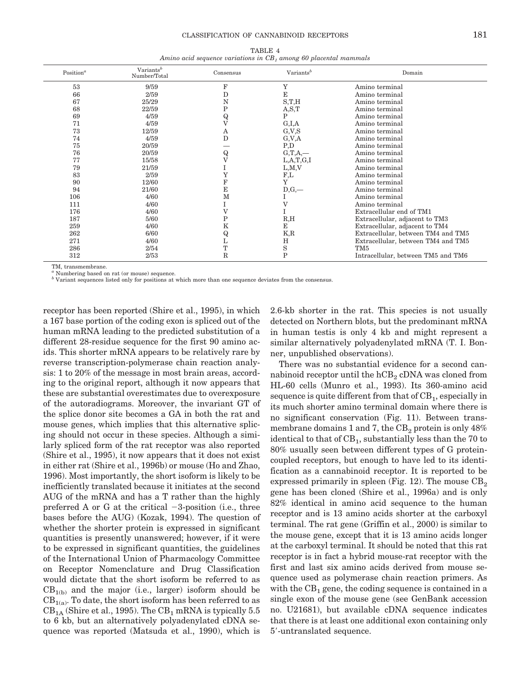| TABLE 4 |  |  |                                                                     |  |  |  |  |  |  |
|---------|--|--|---------------------------------------------------------------------|--|--|--|--|--|--|
|         |  |  | Amino acid sequence variations in $CB$ , among 60 placental mammals |  |  |  |  |  |  |

| Position <sup>a</sup> | Variants <sup>b</sup><br>Number/Total | Consensus               | Variants <sup>b</sup> | Domain                             |
|-----------------------|---------------------------------------|-------------------------|-----------------------|------------------------------------|
| 53                    | 9/59                                  | F                       | Y                     | Amino terminal                     |
| 66                    | 2/59                                  | D                       | E                     | Amino terminal                     |
| 67                    | 25/29                                 | N                       | S,T,H                 | Amino terminal                     |
| 68                    | 22/59                                 | ${\bf P}$               | A, S, T               | Amino terminal                     |
| 69                    | 4/59                                  | Q                       | P                     | Amino terminal                     |
| 71                    | 4/59                                  | $\overline{\mathbf{V}}$ | G,I,A                 | Amino terminal                     |
| 73                    | 12/59                                 | Α                       | G, V, S               | Amino terminal                     |
| 74                    | 4/59                                  | D                       | G, V, A               | Amino terminal                     |
| 75                    | 20/59                                 |                         | P,D                   | Amino terminal                     |
| 76                    | 20/59                                 | Q                       | $G,T,A,\rightarrow$   | Amino terminal                     |
| 77                    | 15/58                                 | $\overline{\mathbf{V}}$ | L, A, T, G, I         | Amino terminal                     |
| 79                    | 21/59                                 |                         | L,M,V                 | Amino terminal                     |
| 83                    | 2/59                                  | Y                       | $_{\rm F,L}$          | Amino terminal                     |
| 90                    | 12/60                                 | $\mathbf F$             | Y                     | Amino terminal                     |
| 94                    | 21/60                                 | E                       | D,G,                  | Amino terminal                     |
| 106                   | 4/60                                  | M                       |                       | Amino terminal                     |
| 111                   | 4/60                                  |                         |                       | Amino terminal                     |
| 176                   | 4/60                                  | V                       |                       | Extracellular end of TM1           |
| 187                   | 5/60                                  | P                       | R, H                  | Extracellular, adjacent to TM3     |
| 259                   | 4/60                                  | $\mathbf K$             | E                     | Extracellular, adjacent to TM4     |
| 262                   | 6/60                                  | Q                       | K, R                  | Extracellular, between TM4 and TM5 |
| 271                   | 4/60                                  | L                       | H                     | Extracellular, between TM4 and TM5 |
| 286                   | 2/54                                  | T                       | $\rm S$               | TM <sub>5</sub>                    |
| 312                   | 2/53                                  | $\mathbf R$             | ${\bf P}$             | Intracellular, between TM5 and TM6 |

TM, transmembrane.

*<sup>a</sup>* Numbering based on rat (or mouse) sequence.

*<sup>b</sup>* Variant sequences listed only for positions at which more than one sequence deviates from the consensus.

receptor has been reported (Shire et al., 1995), in which a 167 base portion of the coding exon is spliced out of the human mRNA leading to the predicted substitution of a different 28-residue sequence for the first 90 amino acids. This shorter mRNA appears to be relatively rare by reverse transcription-polymerase chain reaction analysis: 1 to 20% of the message in most brain areas, according to the original report, although it now appears that these are substantial overestimates due to overexposure of the autoradiograms. Moreover, the invariant GT of the splice donor site becomes a GA in both the rat and mouse genes, which implies that this alternative splicing should not occur in these species. Although a similarly spliced form of the rat receptor was also reported (Shire et al., 1995), it now appears that it does not exist in either rat (Shire et al., 1996b) or mouse (Ho and Zhao, 1996). Most importantly, the short isoform is likely to be inefficiently translated because it initiates at the second AUG of the mRNA and has a T rather than the highly preferred A or G at the critical  $-3$ -position (i.e., three bases before the AUG) (Kozak, 1994). The question of whether the shorter protein is expressed in significant quantities is presently unanswered; however, if it were to be expressed in significant quantities, the guidelines of the International Union of Pharmacology Committee on Receptor Nomenclature and Drug Classification would dictate that the short isoform be referred to as  $CB_{1(b)}$  and the major (i.e., larger) isoform should be  $CB_{1(a)}$ . To date, the short isoform has been referred to as  $CB_{1A}$  (Shire et al., 1995). The  $CB_1$  mRNA is typically 5.5 to 6 kb, but an alternatively polyadenylated cDNA sequence was reported (Matsuda et al., 1990), which is

2.6-kb shorter in the rat. This species is not usually detected on Northern blots, but the predominant mRNA in human testis is only 4 kb and might represent a similar alternatively polyadenylated mRNA (T. I. Bonner, unpublished observations).

There was no substantial evidence for a second cannabinoid receptor until the  $hCB_2$  cDNA was cloned from HL-60 cells (Munro et al., 1993). Its 360-amino acid sequence is quite different from that of  $CB<sub>1</sub>$ , especially in its much shorter amino terminal domain where there is no significant conservation (Fig. 11). Between transmembrane domains 1 and 7, the  $CB<sub>2</sub>$  protein is only 48% identical to that of  $CB_1$ , substantially less than the 70 to 80% usually seen between different types of G proteincoupled receptors, but enough to have led to its identification as a cannabinoid receptor. It is reported to be expressed primarily in spleen (Fig. 12). The mouse  $CB<sub>2</sub>$ gene has been cloned (Shire et al., 1996a) and is only 82% identical in amino acid sequence to the human receptor and is 13 amino acids shorter at the carboxyl terminal. The rat gene (Griffin et al., 2000) is similar to the mouse gene, except that it is 13 amino acids longer at the carboxyl terminal. It should be noted that this rat receptor is in fact a hybrid mouse-rat receptor with the first and last six amino acids derived from mouse sequence used as polymerase chain reaction primers. As with the  $CB<sub>1</sub>$  gene, the coding sequence is contained in a single exon of the mouse gene (see GenBank accession no. U21681), but available cDNA sequence indicates that there is at least one additional exon containing only 5-untranslated sequence.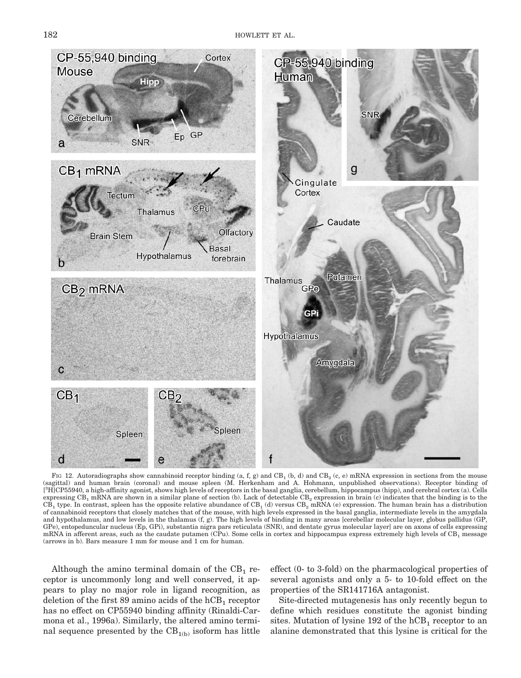

FIG 12. Autoradiographs show cannabinoid receptor binding (a, f, g) and CB<sub>1</sub> (b, d) and CB<sub>2</sub> (c, e) mRNA expression in sections from the mouse (sagittal) and human brain (coronal) and mouse spleen (M. Herkenham and A. H [ 3 H]CP55940, a high-affinity agonist, shows high levels of receptors in the basal ganglia, cerebellum, hippocampus (hipp), and cerebral cortex (a). Cells expressing  $CB_1$  mRNA are shown in a similar plane of section (b). Lack of detectable  $CB_2$  expression in brain (c) indicates that the binding is to the  $CB_1$  type. In contrast, spleen has the opposite relative abundance of  $CB_1$  (d) versus  $CB_2$  mRNA (e) expression. The human brain has a distribution of cannabinoid receptors that closely matches that of the mouse, with high levels expressed in the basal ganglia, intermediate levels in the amygdala and hypothalamus, and low levels in the thalamus (f, g). The high levels of binding in many areas [cerebellar molecular layer, globus pallidus (GP, GPe), entopeduncular nucleus (Ep, GPi), substantia nigra pars reticulata (SNR), and dentate gyrus molecular layer] are on axons of cells expressing mRNA in afferent areas, such as the caudate putamen (CPu). Some cells in cortex and hippocampus express extremely high levels of  $CB_1$  message (arrows in b). Bars measure 1 mm for mouse and 1 cm for human.

Although the amino terminal domain of the  $CB<sub>1</sub>$  receptor is uncommonly long and well conserved, it appears to play no major role in ligand recognition, as deletion of the first 89 amino acids of the  $hCB_1$  receptor has no effect on CP55940 binding affinity (Rinaldi-Carmona et al., 1996a). Similarly, the altered amino terminal sequence presented by the  $CB_{1(b)}$  isoform has little effect (0- to 3-fold) on the pharmacological properties of several agonists and only a 5- to 10-fold effect on the properties of the SR141716A antagonist.

Site-directed mutagenesis has only recently begun to define which residues constitute the agonist binding sites. Mutation of lysine 192 of the  $hCB_1$  receptor to an alanine demonstrated that this lysine is critical for the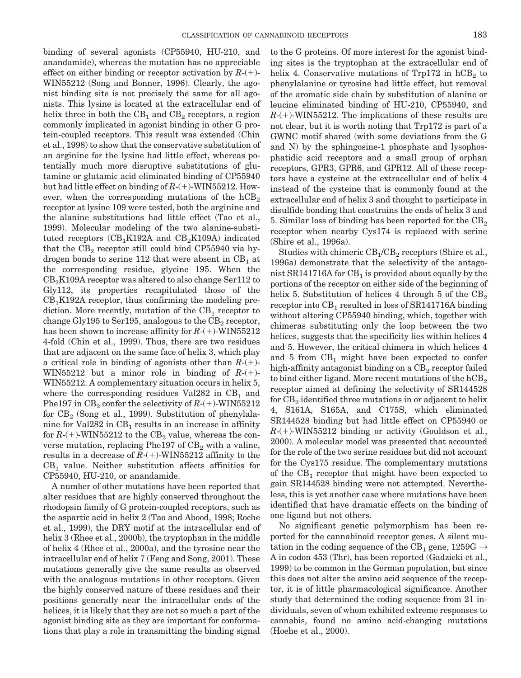binding of several agonists (CP55940, HU-210, and anandamide), whereas the mutation has no appreciable effect on either binding or receptor activation by  $R-(+)$ WIN55212 (Song and Bonner, 1996). Clearly, the agonist binding site is not precisely the same for all agonists. This lysine is located at the extracellular end of helix three in both the  $CB_1$  and  $CB_2$  receptors, a region commonly implicated in agonist binding in other G protein-coupled receptors. This result was extended (Chin et al., 1998) to show that the conservative substitution of an arginine for the lysine had little effect, whereas potentially much more disruptive substitutions of glutamine or glutamic acid eliminated binding of CP55940 but had little effect on binding of  $R$ - $(+)$ -WIN55212. However, when the corresponding mutations of the  $hCB<sub>2</sub>$ receptor at lysine 109 were tested, both the arginine and the alanine substitutions had little effect (Tao et al., 1999). Molecular modeling of the two alanine-substituted receptors  $(CB_1K192A$  and  $CB_2K109A)$  indicated that the  $CB<sub>2</sub>$  receptor still could bind CP55940 via hydrogen bonds to serine 112 that were absent in  $CB_1$  at the corresponding residue, glycine 195. When the  $CB<sub>2</sub>K109A$  receptor was altered to also change Ser112 to Gly112, its properties recapitulated those of the  $CB<sub>1</sub>K192A$  receptor, thus confirming the modeling prediction. More recently, mutation of the  $CB_1$  receptor to change Gly195 to Ser195, analogous to the  $CB_2$  receptor, has been shown to increase affinity for  $R$ -(+)-WIN55212 4-fold (Chin et al., 1999). Thus, there are two residues that are adjacent on the same face of helix 3, which play a critical role in binding of agonists other than  $R-(+)$ WIN55212 but a minor role in binding of  $R-(+)$ WIN55212. A complementary situation occurs in helix 5, where the corresponding residues Val282 in  $CB_1$  and Phe $197$  in  $\text{CB}_2$  confer the selectivity of  $R$ -(+)-WIN55212 for  $CB_2$  (Song et al., 1999). Substitution of phenylalanine for Val282 in  $CB_1$  results in an increase in affinity for  $R$ -(+)-WIN55212 to the  $\text{CB}_2$  value, whereas the converse mutation, replacing Phe197 of  $CB<sub>2</sub>$  with a valine, results in a decrease of  $R-+1$ -WIN55212 affinity to the  $CB<sub>1</sub>$  value. Neither substitution affects affinities for CP55940, HU-210, or anandamide.

A number of other mutations have been reported that alter residues that are highly conserved throughout the rhodopsin family of G protein-coupled receptors, such as the aspartic acid in helix 2 (Tao and Abood, 1998; Roche et al., 1999), the DRY motif at the intracellular end of helix 3 (Rhee et al., 2000b), the tryptophan in the middle of helix 4 (Rhee et al., 2000a), and the tyrosine near the intracellular end of helix 7 (Feng and Song, 2001). These mutations generally give the same results as observed with the analogous mutations in other receptors. Given the highly conserved nature of these residues and their positions generally near the intracellular ends of the helices, it is likely that they are not so much a part of the agonist binding site as they are important for conformations that play a role in transmitting the binding signal

to the G proteins. Of more interest for the agonist binding sites is the tryptophan at the extracellular end of helix 4. Conservative mutations of Trp172 in  $hCB<sub>2</sub>$  to phenylalanine or tyrosine had little effect, but removal of the aromatic side chain by substitution of alanine or leucine eliminated binding of HU-210, CP55940, and  $R-$ (+)-WIN55212. The implications of these results are not clear, but it is worth noting that Trp172 is part of a GWNC motif shared (with some deviations from the G and N) by the sphingosine-1 phosphate and lysophosphatidic acid receptors and a small group of orphan receptors, GPR3, GPR6, and GPR12. All of these receptors have a cysteine at the extracellular end of helix 4 instead of the cysteine that is commonly found at the extracellular end of helix 3 and thought to participate in disulfide bonding that constrains the ends of helix 3 and 5. Similar loss of binding has been reported for the  $CB<sub>2</sub>$ receptor when nearby Cys174 is replaced with serine (Shire et al., 1996a).

Studies with chimeric  $CB<sub>1</sub>/CB<sub>2</sub>$  receptors (Shire et al., 1996a) demonstrate that the selectivity of the antagonist SR141716A for  $CB_1$  is provided about equally by the portions of the receptor on either side of the beginning of helix 5. Substitution of helices 4 through 5 of the  $CB<sub>2</sub>$ receptor into  $CB_1$  resulted in loss of SR141716A binding without altering CP55940 binding, which, together with chimeras substituting only the loop between the two helices, suggests that the specificity lies within helices 4 and 5. However, the critical chimera in which helices 4 and 5 from  $CB_1$  might have been expected to confer high-affinity antagonist binding on a  $CB<sub>2</sub>$  receptor failed to bind either ligand. More recent mutations of the  $hCB<sub>2</sub>$ receptor aimed at defining the selectivity of SR144528 for  $CB<sub>2</sub>$  identified three mutations in or adjacent to helix 4, S161A, S165A, and C175S, which eliminated SR144528 binding but had little effect on CP55940 or *R*-(+)-WIN55212 binding or activity (Gouldson et al., 2000). A molecular model was presented that accounted for the role of the two serine residues but did not account for the Cys175 residue. The complementary mutations of the  $CB_1$  receptor that might have been expected to gain SR144528 binding were not attempted. Nevertheless, this is yet another case where mutations have been identified that have dramatic effects on the binding of one ligand but not others.

No significant genetic polymorphism has been reported for the cannabinoid receptor genes. A silent mutation in the coding sequence of the CB<sub>1</sub> gene,  $1259G \rightarrow$ A in codon 453 (Thr), has been reported (Gadzicki et al., 1999) to be common in the German population, but since this does not alter the amino acid sequence of the receptor, it is of little pharmacological significance. Another study that determined the coding sequence from 21 individuals, seven of whom exhibited extreme responses to cannabis, found no amino acid-changing mutations (Hoehe et al., 2000).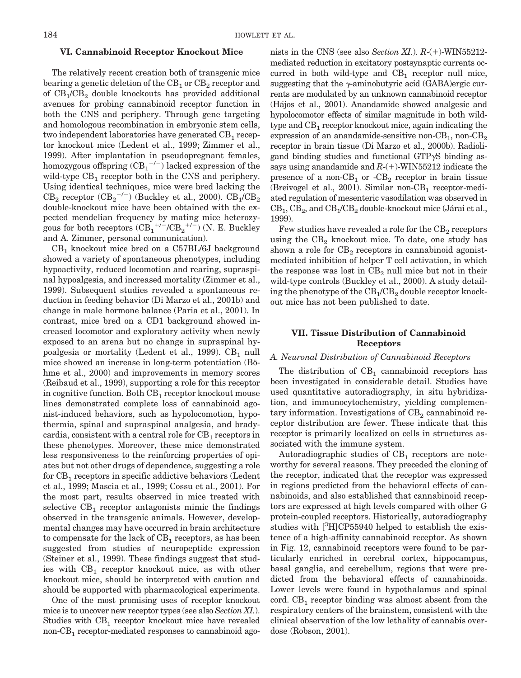#### **VI. Cannabinoid Receptor Knockout Mice**

The relatively recent creation both of transgenic mice bearing a genetic deletion of the  $CB_1$  or  $CB_2$  receptor and of  $CB<sub>1</sub>/CB<sub>2</sub>$  double knockouts has provided additional avenues for probing cannabinoid receptor function in both the CNS and periphery. Through gene targeting and homologous recombination in embryonic stem cells, two independent laboratories have generated  $CB_1$  receptor knockout mice (Ledent et al., 1999; Zimmer et al., 1999). After implantation in pseudopregnant females, homozygous offspring  $(CB_1^{-/-})$  lacked expression of the wild-type  $CB_1$  receptor both in the CNS and periphery. Using identical techniques, mice were bred lacking the  $CB_2$  receptor  $(CB_2^{-/-})$  (Buckley et al., 2000).  $CB_1 / CB_2$ double-knockout mice have been obtained with the expected mendelian frequency by mating mice heterozygous for both receptors  $(\overline{CB_1}^{+/-}/CB_2^{+/-})$  (N. E. Buckley and A. Zimmer, personal communication).

 $CB<sub>1</sub>$  knockout mice bred on a C57BL/6J background showed a variety of spontaneous phenotypes, including hypoactivity, reduced locomotion and rearing, supraspinal hypoalgesia, and increased mortality (Zimmer et al., 1999). Subsequent studies revealed a spontaneous reduction in feeding behavior (Di Marzo et al., 2001b) and change in male hormone balance (Paria et al., 2001). In contrast, mice bred on a CD1 background showed increased locomotor and exploratory activity when newly exposed to an arena but no change in supraspinal hypoalgesia or mortality (Ledent et al., 1999).  $CB<sub>1</sub>$  null mice showed an increase in long-term potentiation (Böhme et al., 2000) and improvements in memory scores (Reibaud et al., 1999), supporting a role for this receptor in cognitive function. Both  $CB_1$  receptor knockout mouse lines demonstrated complete loss of cannabinoid agonist-induced behaviors, such as hypolocomotion, hypothermia, spinal and supraspinal analgesia, and bradycardia, consistent with a central role for  $CB_1$  receptors in these phenotypes. Moreover, these mice demonstrated less responsiveness to the reinforcing properties of opiates but not other drugs of dependence, suggesting a role for  $CB_1$  receptors in specific addictive behaviors (Ledent et al., 1999; Mascia et al., 1999; Cossu et al., 2001). For the most part, results observed in mice treated with selective  $CB_1$  receptor antagonists mimic the findings observed in the transgenic animals. However, developmental changes may have occurred in brain architecture to compensate for the lack of  $CB_1$  receptors, as has been suggested from studies of neuropeptide expression (Steiner et al., 1999). These findings suggest that studies with  $CB_1$  receptor knockout mice, as with other knockout mice, should be interpreted with caution and should be supported with pharmacological experiments.

One of the most promising uses of receptor knockout mice is to uncover new receptor types (see also *Section XI.*). Studies with  $CB_1$  receptor knockout mice have revealed non- $CB_1$  receptor-mediated responses to cannabinoid ago-

nists in the CNS (see also *Section XI.*).  $R-(+)$ -WIN55212mediated reduction in excitatory postsynaptic currents occurred in both wild-type and  $CB_1$  receptor null mice, suggesting that the  $\gamma$ -aminobutyric acid (GABA)ergic currents are modulated by an unknown cannabinoid receptor (Ha´jos et al., 2001). Anandamide showed analgesic and hypolocomotor effects of similar magnitude in both wildtype and  $CB_1$  receptor knockout mice, again indicating the expression of an anandamide-sensitive non- $CB_1$ , non- $CB_2$ receptor in brain tissue (Di Marzo et al., 2000b). Radioligand binding studies and functional  $GTP\gamma S$  binding assays using anandamide and  $R$ - $(+)$ -WIN55212 indicate the presence of a non- $CB_1$  or  $-CB_2$  receptor in brain tissue (Breivogel et al., 2001). Similar non- $CB_1$  receptor-mediated regulation of mesenteric vasodilation was observed in  $CB_1, CB_2,$  and  $CB_1/CB_2$  double-knockout mice (Járai et al., 1999).

Few studies have revealed a role for the  $CB<sub>2</sub>$  receptors using the  $CB<sub>2</sub>$  knockout mice. To date, one study has shown a role for  $CB_2$  receptors in cannabinoid agonistmediated inhibition of helper T cell activation, in which the response was lost in  $CB_2$  null mice but not in their wild-type controls (Buckley et al., 2000). A study detailing the phenotype of the  $CB<sub>1</sub>/CB<sub>2</sub>$  double receptor knockout mice has not been published to date.

## **VII. Tissue Distribution of Cannabinoid Receptors**

#### *A. Neuronal Distribution of Cannabinoid Receptors*

The distribution of  $CB_1$  cannabinoid receptors has been investigated in considerable detail. Studies have used quantitative autoradiography, in situ hybridization, and immunocytochemistry, yielding complementary information. Investigations of  $CB<sub>2</sub>$  cannabinoid receptor distribution are fewer. These indicate that this receptor is primarily localized on cells in structures associated with the immune system.

Autoradiographic studies of  $CB<sub>1</sub>$  receptors are noteworthy for several reasons. They preceded the cloning of the receptor, indicated that the receptor was expressed in regions predicted from the behavioral effects of cannabinoids, and also established that cannabinoid receptors are expressed at high levels compared with other G protein-coupled receptors. Historically, autoradiography studies with [3H]CP55940 helped to establish the existence of a high-affinity cannabinoid receptor. As shown in Fig. 12, cannabinoid receptors were found to be particularly enriched in cerebral cortex, hippocampus, basal ganglia, and cerebellum, regions that were predicted from the behavioral effects of cannabinoids. Lower levels were found in hypothalamus and spinal cord.  $CB_1$  receptor binding was almost absent from the respiratory centers of the brainstem, consistent with the clinical observation of the low lethality of cannabis overdose (Robson, 2001).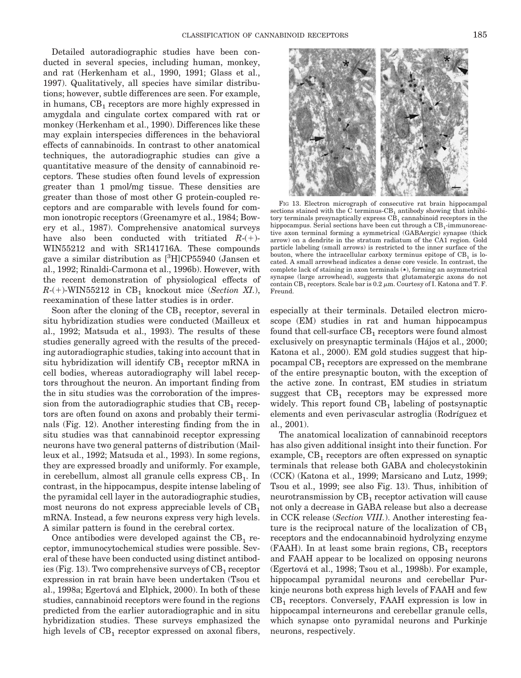Detailed autoradiographic studies have been conducted in several species, including human, monkey, and rat (Herkenham et al., 1990, 1991; Glass et al., 1997). Qualitatively, all species have similar distributions; however, subtle differences are seen. For example, in humans,  $CB_1$  receptors are more highly expressed in amygdala and cingulate cortex compared with rat or monkey (Herkenham et al., 1990). Differences like these may explain interspecies differences in the behavioral effects of cannabinoids. In contrast to other anatomical techniques, the autoradiographic studies can give a quantitative measure of the density of cannabinoid receptors. These studies often found levels of expression greater than 1 pmol/mg tissue. These densities are greater than those of most other G protein-coupled receptors and are comparable with levels found for common ionotropic receptors (Greenamyre et al., 1984; Bowery et al., 1987). Comprehensive anatomical surveys have also been conducted with tritiated  $R-(+)$ -WIN55212 and with SR141716A. These compounds gave a similar distribution as [3H]CP55940 (Jansen et al., 1992; Rinaldi-Carmona et al., 1996b). However, with the recent demonstration of physiological effects of  $R-$ (+)-WIN55212 in  $CB_1$  knockout mice (*Section XI*.), reexamination of these latter studies is in order.

Soon after the cloning of the  $CB_1$  receptor, several in situ hybridization studies were conducted (Mailleux et al., 1992; Matsuda et al., 1993). The results of these studies generally agreed with the results of the preceding autoradiographic studies, taking into account that in situ hybridization will identify  $CB_1$  receptor mRNA in cell bodies, whereas autoradiography will label receptors throughout the neuron. An important finding from the in situ studies was the corroboration of the impression from the autoradiographic studies that  $CB_1$  receptors are often found on axons and probably their terminals (Fig. 12). Another interesting finding from the in situ studies was that cannabinoid receptor expressing neurons have two general patterns of distribution (Mailleux et al., 1992; Matsuda et al., 1993). In some regions, they are expressed broadly and uniformly. For example, in cerebellum, almost all granule cells express  $CB_1$ . In contrast, in the hippocampus, despite intense labeling of the pyramidal cell layer in the autoradiographic studies, most neurons do not express appreciable levels of  $CB_1$ mRNA. Instead, a few neurons express very high levels. A similar pattern is found in the cerebral cortex.

Once antibodies were developed against the  $CB<sub>1</sub>$  receptor, immunocytochemical studies were possible. Several of these have been conducted using distinct antibodies (Fig. 13). Two comprehensive surveys of  $CB_1$  receptor expression in rat brain have been undertaken (Tsou et al., 1998a; Egertová and Elphick, 2000). In both of these studies, cannabinoid receptors were found in the regions predicted from the earlier autoradiographic and in situ hybridization studies. These surveys emphasized the high levels of  $CB_1$  receptor expressed on axonal fibers,



FIG 13. Electron micrograph of consecutive rat brain hippocampal sections stained with the  $C$  terminus- $CB_1$  antibody showing that inhibitory terminals presynaptically express  $CB_1$  cannabinoid receptors in the hippocampus. Serial sections have been cut through a  $CB_1$ -immunoreactive axon terminal forming a symmetrical (GABAergic) synapse (thick arrow) on a dendrite in the stratum radiatum of the CA1 region. Gold particle labeling (small arrows) is restricted to the inner surface of the bouton, where the intracellular carboxy terminus epitope of  $CB<sub>1</sub>$  is located. A small arrowhead indicates a dense core vesicle. In contrast, the complete lack of staining in axon terminals  $(\star)$ , forming an asymmetrical synapse (large arrowhead), suggests that glutamatergic axons do not contain  $CB_1$  receptors. Scale bar is 0.2  $\mu$ m. Courtesy of I. Katona and T. F. Freund.

especially at their terminals. Detailed electron microscope (EM) studies in rat and human hippocampus found that cell-surface  $CB_1$  receptors were found almost exclusively on presynaptic terminals (Hájos et al., 2000; Katona et al., 2000). EM gold studies suggest that hippocampal  $CB_1$  receptors are expressed on the membrane of the entire presynaptic bouton, with the exception of the active zone. In contrast, EM studies in striatum suggest that  $CB_1$  receptors may be expressed more widely. This report found  $CB_1$  labeling of postsynaptic elements and even perivascular astroglia (Rodríguez et al., 2001).

The anatomical localization of cannabinoid receptors has also given additional insight into their function. For example,  $CB_1$  receptors are often expressed on synaptic terminals that release both GABA and cholecystokinin (CCK) (Katona et al., 1999; Marsicano and Lutz, 1999; Tsou et al., 1999; see also Fig. 13). Thus, inhibition of neurotransmission by  $CB_1$  receptor activation will cause not only a decrease in GABA release but also a decrease in CCK release (*Section VIII.*). Another interesting feature is the reciprocal nature of the localization of  $CB_1$ receptors and the endocannabinoid hydrolyzing enzyme  $(FAAH)$ . In at least some brain regions,  $CB_1$  receptors and FAAH appear to be localized on opposing neurons (Egertová et al., 1998; Tsou et al., 1998b). For example, hippocampal pyramidal neurons and cerebellar Purkinje neurons both express high levels of FAAH and few  $CB<sub>1</sub>$  receptors. Conversely, FAAH expression is low in hippocampal interneurons and cerebellar granule cells, which synapse onto pyramidal neurons and Purkinje neurons, respectively.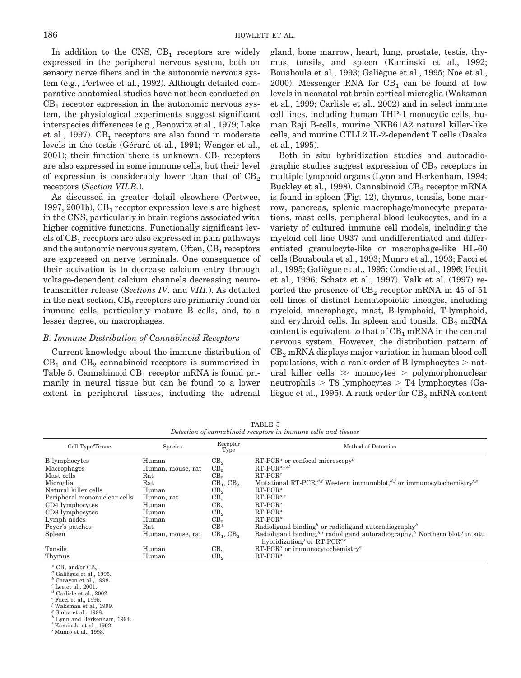In addition to the CNS,  $CB_1$  receptors are widely expressed in the peripheral nervous system, both on sensory nerve fibers and in the autonomic nervous system (e.g., Pertwee et al., 1992). Although detailed comparative anatomical studies have not been conducted on  $CB<sub>1</sub>$  receptor expression in the autonomic nervous system, the physiological experiments suggest significant interspecies differences (e.g., Benowitz et al., 1979; Lake et al., 1997).  $CB_1$  receptors are also found in moderate levels in the testis (Gérard et al., 1991; Wenger et al.,  $2001$ ); their function there is unknown.  $CB_1$  receptors are also expressed in some immune cells, but their level of expression is considerably lower than that of  $CB<sub>2</sub>$ receptors (*Section VII.B.*).

As discussed in greater detail elsewhere (Pertwee, 1997, 2001b),  $CB_1$  receptor expression levels are highest in the CNS, particularly in brain regions associated with higher cognitive functions. Functionally significant levels of  $CB<sub>1</sub>$  receptors are also expressed in pain pathways and the autonomic nervous system. Often,  $CB_1$  receptors are expressed on nerve terminals. One consequence of their activation is to decrease calcium entry through voltage-dependent calcium channels decreasing neurotransmitter release (*Sections IV.* and *VIII.*). As detailed in the next section,  $CB_2$  receptors are primarily found on immune cells, particularly mature B cells, and, to a lesser degree, on macrophages.

#### *B. Immune Distribution of Cannabinoid Receptors*

Current knowledge about the immune distribution of  $CB<sub>1</sub>$  and  $CB<sub>2</sub>$  cannabinoid receptors is summarized in Table 5. Cannabinoid  $CB_1$  receptor mRNA is found primarily in neural tissue but can be found to a lower extent in peripheral tissues, including the adrenal

gland, bone marrow, heart, lung, prostate, testis, thymus, tonsils, and spleen (Kaminski et al., 1992; Bouaboula et al., 1993; Galiègue et al., 1995; Noe et al.,  $2000$ ). Messenger RNA for  $CB_1$  can be found at low levels in neonatal rat brain cortical microglia (Waksman et al., 1999; Carlisle et al., 2002) and in select immune cell lines, including human THP-1 monocytic cells, human Raji B-cells, murine NKB61A2 natural killer-like cells, and murine CTLL2 IL-2-dependent T cells (Daaka et al., 1995).

Both in situ hybridization studies and autoradiographic studies suggest expression of  $CB<sub>2</sub>$  receptors in multiple lymphoid organs (Lynn and Herkenham, 1994; Buckley et al., 1998). Cannabinoid  $CB_2$  receptor mRNA is found in spleen (Fig. 12), thymus, tonsils, bone marrow, pancreas, splenic macrophage/monocyte preparations, mast cells, peripheral blood leukocytes, and in a variety of cultured immune cell models, including the myeloid cell line U937 and undifferentiated and differentiated granulocyte-like or macrophage-like HL-60 cells (Bouaboula et al., 1993; Munro et al., 1993; Facci et al., 1995; Galie`gue et al., 1995; Condie et al., 1996; Pettit et al., 1996; Schatz et al., 1997). Valk et al. (1997) reported the presence of  $CB_2$  receptor mRNA in 45 of 51 cell lines of distinct hematopoietic lineages, including myeloid, macrophage, mast, B-lymphoid, T-lymphoid, and erythroid cells. In spleen and tonsils,  $CB<sub>2</sub>$  mRNA content is equivalent to that of  $CB_1$  mRNA in the central nervous system. However, the distribution pattern of  $CB<sub>2</sub>$  mRNA displays major variation in human blood cell populations, with a rank order of B lymphocytes  $>$  natural killer cells  $\gg$  monocytes  $>$  polymorphonuclear neutrophils  $>$  T8 lymphocytes  $>$  T4 lymphocytes (Galiègue et al., 1995). A rank order for  $CB_2$  mRNA content

| Cell Type/Tissue             | Species           | Receptor<br>Type | Method of Detection                                                                                                                                 |  |  |  |  |
|------------------------------|-------------------|------------------|-----------------------------------------------------------------------------------------------------------------------------------------------------|--|--|--|--|
| <b>B</b> lymphocytes         | Human             | CB <sub>o</sub>  | $RT$ -PCR <sup><math>a</math></sup> or confocal microscopy <sup>b</sup>                                                                             |  |  |  |  |
| Macrophages                  | Human, mouse, rat | CB <sub>2</sub>  | $RT-PCR^{a,c,d}$                                                                                                                                    |  |  |  |  |
| Mast cells                   | Rat               | CB <sub>2</sub>  | $RT$ -PCR <sup>e</sup>                                                                                                                              |  |  |  |  |
| Microglia                    | Rat               | $CB_1$ , $CB_2$  | Mutational RT-PCR, $d, f$ Western immunoblot, $d, f$ or immunocytochemistry $f, g$                                                                  |  |  |  |  |
| Natural killer cells         | Human             | CB <sub>2</sub>  | $RT-PCR^a$                                                                                                                                          |  |  |  |  |
| Peripheral mononuclear cells | Human, rat        | CB <sub>2</sub>  | $RT-PCR^{a,e}$                                                                                                                                      |  |  |  |  |
| CD4 lymphocytes              | Human             | CB <sub>o</sub>  | $RT-PCR^a$                                                                                                                                          |  |  |  |  |
| CD8 lymphocytes              | Human             | CB <sub>2</sub>  | $RT-PCR^a$                                                                                                                                          |  |  |  |  |
| Lymph nodes                  | Human             | CB <sub>2</sub>  | $RT$ -PCR <sup>a</sup>                                                                                                                              |  |  |  |  |
| Peyer's patches              | Rat               | $CB^*$           | Radioligand binding <sup>h</sup> or radioligand autoradiography <sup>h</sup>                                                                        |  |  |  |  |
| Spleen                       | Human, mouse, rat | $CB1$ , $CB2$    | Radioligand binding, $h_i$ radioligand autoradiography, <sup>h</sup> Northern blot, in situ<br>hybridization, <sup>j</sup> or RT-PCR <sup>a,e</sup> |  |  |  |  |
| Tonsils                      | Human             | CB <sub>2</sub>  | $RT$ -PCR <sup>a</sup> or immunocytochemistry <sup>a</sup>                                                                                          |  |  |  |  |
| Thymus                       | Human             | CB <sub>2</sub>  | $RT$ -PCR <sup>a</sup>                                                                                                                              |  |  |  |  |

TABLE 5 *Detection of cannabinoid receptors in immune cells and tissues*

 $^a$  Galiègue et al., 1995.  $^a$ Galiègue et al., 1995.  $^b$  Carayon et al., 1998.

*Lee et al., 2001.* 

*<sup>d</sup>* Carlisle et al., 2002. *<sup>e</sup>* Facci et al., 1995.

*<sup>f</sup>* Waksman et al., 1999.

*<sup>g</sup>* Sinha et al., 1998.

*<sup>h</sup>* Lynn and Herkenham, 1994. *<sup>i</sup>* Kaminski et al., 1992.

*<sup>j</sup>* Munro et al., 1993.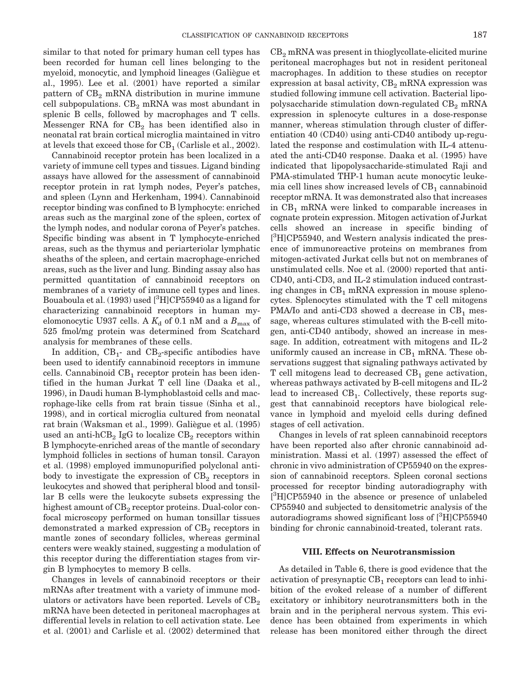similar to that noted for primary human cell types has been recorded for human cell lines belonging to the myeloid, monocytic, and lymphoid lineages (Galiègue et al., 1995). Lee et al. (2001) have reported a similar pattern of CB<sub>2</sub> mRNA distribution in murine immune cell subpopulations.  $CB<sub>2</sub>$  mRNA was most abundant in splenic B cells, followed by macrophages and T cells. Messenger RNA for  $CB<sub>2</sub>$  has been identified also in neonatal rat brain cortical microglia maintained in vitro at levels that exceed those for  $CB<sub>1</sub>$  (Carlisle et al., 2002).

Cannabinoid receptor protein has been localized in a variety of immune cell types and tissues. Ligand binding assays have allowed for the assessment of cannabinoid receptor protein in rat lymph nodes, Peyer's patches, and spleen (Lynn and Herkenham, 1994). Cannabinoid receptor binding was confined to B lymphocyte: enriched areas such as the marginal zone of the spleen, cortex of the lymph nodes, and nodular corona of Peyer's patches. Specific binding was absent in T lymphocyte-enriched areas, such as the thymus and periarteriolar lymphatic sheaths of the spleen, and certain macrophage-enriched areas, such as the liver and lung. Binding assay also has permitted quantitation of cannabinoid receptors on membranes of a variety of immune cell types and lines. Bouaboula et al. (1993) used [3H]CP55940 as a ligand for characterizing cannabinoid receptors in human myelomonocytic U937 cells. A  $K_d$  of 0.1 nM and a  $B_{\text{max}}$  of 525 fmol/mg protein was determined from Scatchard analysis for membranes of these cells.

In addition,  $CB_1$ - and  $CB_2$ -specific antibodies have been used to identify cannabinoid receptors in immune cells. Cannabinoid  $CB_1$  receptor protein has been identified in the human Jurkat T cell line (Daaka et al., 1996), in Daudi human B-lymphoblastoid cells and macrophage-like cells from rat brain tissue (Sinha et al., 1998), and in cortical microglia cultured from neonatal rat brain (Waksman et al., 1999). Galiègue et al. (1995) used an anti-hCB<sub>2</sub> IgG to localize  $CB_2$  receptors within B lymphocyte-enriched areas of the mantle of secondary lymphoid follicles in sections of human tonsil. Carayon et al. (1998) employed immunopurified polyclonal antibody to investigate the expression of  $CB<sub>2</sub>$  receptors in leukocytes and showed that peripheral blood and tonsillar B cells were the leukocyte subsets expressing the highest amount of  $CB_2$  receptor proteins. Dual-color confocal microscopy performed on human tonsillar tissues demonstrated a marked expression of  $CB<sub>2</sub>$  receptors in mantle zones of secondary follicles, whereas germinal centers were weakly stained, suggesting a modulation of this receptor during the differentiation stages from virgin B lymphocytes to memory B cells.

Changes in levels of cannabinoid receptors or their mRNAs after treatment with a variety of immune modulators or activators have been reported. Levels of  $CB<sub>2</sub>$ mRNA have been detected in peritoneal macrophages at differential levels in relation to cell activation state. Lee et al. (2001) and Carlisle et al. (2002) determined that

 $CB<sub>2</sub>$  mRNA was present in thioglycollate-elicited murine peritoneal macrophages but not in resident peritoneal macrophages. In addition to these studies on receptor expression at basal activity,  $CB<sub>2</sub>$  mRNA expression was studied following immune cell activation. Bacterial lipopolysaccharide stimulation down-regulated  $CB<sub>2</sub>$  mRNA expression in splenocyte cultures in a dose-response manner, whereas stimulation through cluster of differentiation 40 (CD40) using anti-CD40 antibody up-regulated the response and costimulation with IL-4 attenuated the anti-CD40 response. Daaka et al. (1995) have indicated that lipopolysaccharide-stimulated Raji and PMA-stimulated THP-1 human acute monocytic leukemia cell lines show increased levels of  $CB_1$  cannabinoid receptor mRNA. It was demonstrated also that increases in  $CB_1$  mRNA were linked to comparable increases in cognate protein expression. Mitogen activation of Jurkat cells showed an increase in specific binding of [<sup>3</sup>H]CP55940, and Western analysis indicated the presence of immunoreactive proteins on membranes from mitogen-activated Jurkat cells but not on membranes of unstimulated cells. Noe et al. (2000) reported that anti-CD40, anti-CD3, and IL-2 stimulation induced contrasting changes in  $CB_1$  mRNA expression in mouse splenocytes. Splenocytes stimulated with the T cell mitogens PMA/Io and anti-CD3 showed a decrease in  $CB<sub>1</sub>$  message, whereas cultures stimulated with the B-cell mitogen, anti-CD40 antibody, showed an increase in message. In addition, cotreatment with mitogens and IL-2 uniformly caused an increase in  $CB_1$  mRNA. These observations suggest that signaling pathways activated by T cell mitogens lead to decreased  $CB<sub>1</sub>$  gene activation, whereas pathways activated by B-cell mitogens and IL-2 lead to increased  $CB_1$ . Collectively, these reports suggest that cannabinoid receptors have biological relevance in lymphoid and myeloid cells during defined stages of cell activation.

Changes in levels of rat spleen cannabinoid receptors have been reported also after chronic cannabinoid administration. Massi et al. (1997) assessed the effect of chronic in vivo administration of CP55940 on the expression of cannabinoid receptors. Spleen coronal sections processed for receptor binding autoradiography with [<sup>3</sup>H]CP55940 in the absence or presence of unlabeled CP55940 and subjected to densitometric analysis of the autoradiograms showed significant loss of [3H]CP55940 binding for chronic cannabinoid-treated, tolerant rats.

## **VIII. Effects on Neurotransmission**

As detailed in Table 6, there is good evidence that the activation of presynaptic  $CB_1$  receptors can lead to inhibition of the evoked release of a number of different excitatory or inhibitory neurotransmitters both in the brain and in the peripheral nervous system. This evidence has been obtained from experiments in which release has been monitored either through the direct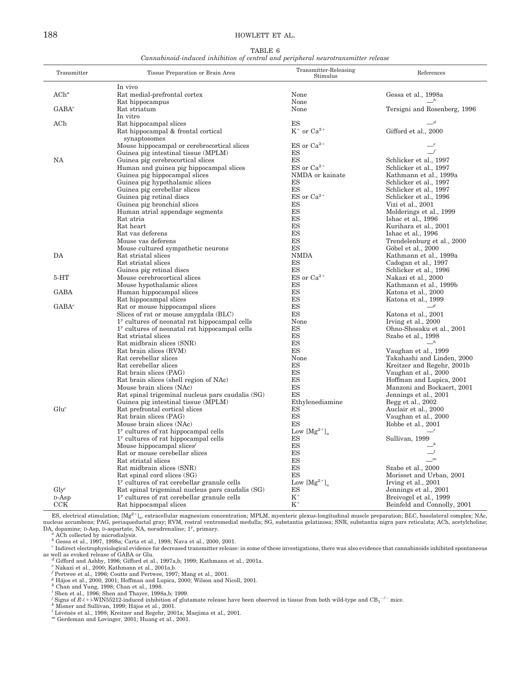#### 188 HOWLETT ET AL.

#### TABLE 6

*Cannabinoid-induced inhibition of central and peripheral neurotransmitter release*

| In vivo<br>$ACh^a$<br>Rat medial-prefrontal cortex<br>None<br>Gessa et al., 1998a<br>$\overline{b}$<br>None<br>Rat hippocampus<br>$GABA^c$<br>Rat striatum<br>None<br>Tersigni and Rosenberg, 1996<br>In vitro<br>$\overline{d}$<br><b>ES</b><br>ACh<br>Rat hippocampal slices<br>$K^+$ or $Ca^{2+}$<br>Gifford et al., 2000<br>Rat hippocampal & frontal cortical<br>synaptosomes<br>$ES$ or $Ca^{2+}$<br>Mouse hippocampal or cerebrocortical slices<br>$_{\rm ES}$<br>Guinea pig intestinal tissue (MPLM)<br>$_{\rm ES}$<br><b>NA</b><br>Guinea pig cerebrocortical slices<br>Schlicker et al., 1997<br>$ES$ or $Ca^{2+}$<br>Schlicker et al., 1997<br>Human and guinea pig hippocampal slices<br>NMDA or kainate<br>Guinea pig hippocampal slices<br>Kathmann et al., 1999a<br>Guinea pig hypothalamic slices<br>ES<br>Schlicker et al., 1997 |  |
|---------------------------------------------------------------------------------------------------------------------------------------------------------------------------------------------------------------------------------------------------------------------------------------------------------------------------------------------------------------------------------------------------------------------------------------------------------------------------------------------------------------------------------------------------------------------------------------------------------------------------------------------------------------------------------------------------------------------------------------------------------------------------------------------------------------------------------------------------|--|
|                                                                                                                                                                                                                                                                                                                                                                                                                                                                                                                                                                                                                                                                                                                                                                                                                                                   |  |
|                                                                                                                                                                                                                                                                                                                                                                                                                                                                                                                                                                                                                                                                                                                                                                                                                                                   |  |
|                                                                                                                                                                                                                                                                                                                                                                                                                                                                                                                                                                                                                                                                                                                                                                                                                                                   |  |
|                                                                                                                                                                                                                                                                                                                                                                                                                                                                                                                                                                                                                                                                                                                                                                                                                                                   |  |
|                                                                                                                                                                                                                                                                                                                                                                                                                                                                                                                                                                                                                                                                                                                                                                                                                                                   |  |
|                                                                                                                                                                                                                                                                                                                                                                                                                                                                                                                                                                                                                                                                                                                                                                                                                                                   |  |
|                                                                                                                                                                                                                                                                                                                                                                                                                                                                                                                                                                                                                                                                                                                                                                                                                                                   |  |
|                                                                                                                                                                                                                                                                                                                                                                                                                                                                                                                                                                                                                                                                                                                                                                                                                                                   |  |
|                                                                                                                                                                                                                                                                                                                                                                                                                                                                                                                                                                                                                                                                                                                                                                                                                                                   |  |
|                                                                                                                                                                                                                                                                                                                                                                                                                                                                                                                                                                                                                                                                                                                                                                                                                                                   |  |
|                                                                                                                                                                                                                                                                                                                                                                                                                                                                                                                                                                                                                                                                                                                                                                                                                                                   |  |
|                                                                                                                                                                                                                                                                                                                                                                                                                                                                                                                                                                                                                                                                                                                                                                                                                                                   |  |
| ES<br>Guinea pig cerebellar slices<br>Schlicker et al., 1997                                                                                                                                                                                                                                                                                                                                                                                                                                                                                                                                                                                                                                                                                                                                                                                      |  |
| $ES$ or $Ca^{2+}$<br>Guinea pig retinal discs<br>Schlicker et al., 1996                                                                                                                                                                                                                                                                                                                                                                                                                                                                                                                                                                                                                                                                                                                                                                           |  |
| <b>ES</b><br>Guinea pig bronchial slices<br>Vizi et al., 2001                                                                                                                                                                                                                                                                                                                                                                                                                                                                                                                                                                                                                                                                                                                                                                                     |  |
| ES<br>Human atrial appendage segments<br>Molderings et al., 1999                                                                                                                                                                                                                                                                                                                                                                                                                                                                                                                                                                                                                                                                                                                                                                                  |  |
| $_{\rm ES}$<br>Rat atria<br>Ishac et al., 1996                                                                                                                                                                                                                                                                                                                                                                                                                                                                                                                                                                                                                                                                                                                                                                                                    |  |
| Rat heart<br>ES<br>Kurihara et al., 2001                                                                                                                                                                                                                                                                                                                                                                                                                                                                                                                                                                                                                                                                                                                                                                                                          |  |
| ES<br>Rat vas deferens<br>Ishac et al., 1996                                                                                                                                                                                                                                                                                                                                                                                                                                                                                                                                                                                                                                                                                                                                                                                                      |  |
| ES<br>Mouse vas deferens<br>Trendelenburg et al., 2000                                                                                                                                                                                                                                                                                                                                                                                                                                                                                                                                                                                                                                                                                                                                                                                            |  |
| Mouse cultured sympathetic neurons<br>ES<br>Göbel et al., 2000                                                                                                                                                                                                                                                                                                                                                                                                                                                                                                                                                                                                                                                                                                                                                                                    |  |
| DA<br><b>NMDA</b><br>Rat striatal slices<br>Kathmann et al., 1999a<br><b>ES</b>                                                                                                                                                                                                                                                                                                                                                                                                                                                                                                                                                                                                                                                                                                                                                                   |  |
| Rat striatal slices<br>Cadogan et al., 1997<br><b>ES</b><br>Guinea pig retinal discs<br>Schlicker et al., 1996                                                                                                                                                                                                                                                                                                                                                                                                                                                                                                                                                                                                                                                                                                                                    |  |
| $ES$ or $Ca^{2+}$<br>$5-HT$<br>Mouse cerebrocortical slices<br>Nakazi et al., 2000                                                                                                                                                                                                                                                                                                                                                                                                                                                                                                                                                                                                                                                                                                                                                                |  |
| ES<br>Mouse hypothalamic slices<br>Kathmann et al., 1999b                                                                                                                                                                                                                                                                                                                                                                                                                                                                                                                                                                                                                                                                                                                                                                                         |  |
| <b>GABA</b><br>ES<br>Human hippocampal slices<br>Katona et al., 2000                                                                                                                                                                                                                                                                                                                                                                                                                                                                                                                                                                                                                                                                                                                                                                              |  |
| ES<br>Rat hippocampal slices<br>Katona et al., 1999                                                                                                                                                                                                                                                                                                                                                                                                                                                                                                                                                                                                                                                                                                                                                                                               |  |
| $GABA^c$<br>ES<br>Rat or mouse hippocampal slices<br>$-\mathscr{E}$                                                                                                                                                                                                                                                                                                                                                                                                                                                                                                                                                                                                                                                                                                                                                                               |  |
| ES<br>Slices of rat or mouse amygdala (BLC)<br>Katona et al., 2001                                                                                                                                                                                                                                                                                                                                                                                                                                                                                                                                                                                                                                                                                                                                                                                |  |
| None<br>$1y$ cultures of neonatal rat hippocampal cells<br>Irving et al., 2000                                                                                                                                                                                                                                                                                                                                                                                                                                                                                                                                                                                                                                                                                                                                                                    |  |
| <b>ES</b><br>$1y$ cultures of neonatal rat hippocampal cells<br>Ohno-Shosaku et al., 2001<br>ES<br>Szabo et al., 1998<br>Rat striatal slices                                                                                                                                                                                                                                                                                                                                                                                                                                                                                                                                                                                                                                                                                                      |  |
| h<br>$_{\rm ES}$<br>Rat midbrain slices (SNR)                                                                                                                                                                                                                                                                                                                                                                                                                                                                                                                                                                                                                                                                                                                                                                                                     |  |
| ES<br>Rat brain slices (RVM)<br>Vaughan et al., 1999                                                                                                                                                                                                                                                                                                                                                                                                                                                                                                                                                                                                                                                                                                                                                                                              |  |
| Rat cerebellar slices<br>None<br>Takahashi and Linden, 2000                                                                                                                                                                                                                                                                                                                                                                                                                                                                                                                                                                                                                                                                                                                                                                                       |  |
| Rat cerebellar slices<br>ES<br>Kreitzer and Regehr, 2001b                                                                                                                                                                                                                                                                                                                                                                                                                                                                                                                                                                                                                                                                                                                                                                                         |  |
| ES<br>Rat brain slices (PAG)<br>Vaughan et al., 2000                                                                                                                                                                                                                                                                                                                                                                                                                                                                                                                                                                                                                                                                                                                                                                                              |  |
| ES<br>Rat brain slices (shell region of NAc)<br>Hoffman and Lupica, 2001                                                                                                                                                                                                                                                                                                                                                                                                                                                                                                                                                                                                                                                                                                                                                                          |  |
| <b>ES</b><br>Mouse brain slices (NAc)<br>Manzoni and Bockaert, 2001                                                                                                                                                                                                                                                                                                                                                                                                                                                                                                                                                                                                                                                                                                                                                                               |  |
| ES<br>Rat spinal trigeminal nucleus pars caudalis (SG)<br>Jennings et al., 2001                                                                                                                                                                                                                                                                                                                                                                                                                                                                                                                                                                                                                                                                                                                                                                   |  |
| Ethylenediamine<br>Begg et al., 2002<br>Guinea pig intestinal tissue (MPLM)<br>Glu <sup>c</sup><br>ES<br>Rat prefrontal cortical slices<br>Auclair et al., 2000                                                                                                                                                                                                                                                                                                                                                                                                                                                                                                                                                                                                                                                                                   |  |
| ES<br>Rat brain slices (PAG)<br>Vaughan et al., 2000                                                                                                                                                                                                                                                                                                                                                                                                                                                                                                                                                                                                                                                                                                                                                                                              |  |
| ES<br>Mouse brain slices (NAc)<br>Robbe et al., 2001                                                                                                                                                                                                                                                                                                                                                                                                                                                                                                                                                                                                                                                                                                                                                                                              |  |
| Low $[Mg^{2+}]_{\alpha}$<br>$1y$ cultures of rat hippocampal cells                                                                                                                                                                                                                                                                                                                                                                                                                                                                                                                                                                                                                                                                                                                                                                                |  |
| ES<br>$1y$ cultures of rat hippocampal cells<br>Sullivan, 1999                                                                                                                                                                                                                                                                                                                                                                                                                                                                                                                                                                                                                                                                                                                                                                                    |  |
| Mouse hippocampal slices'<br>ES                                                                                                                                                                                                                                                                                                                                                                                                                                                                                                                                                                                                                                                                                                                                                                                                                   |  |
| $\frac{l}{l}$<br>Rat or mouse cerebellar slices<br>ES                                                                                                                                                                                                                                                                                                                                                                                                                                                                                                                                                                                                                                                                                                                                                                                             |  |
| $\mathbb{R}$<br>ES<br>Rat striatal slices                                                                                                                                                                                                                                                                                                                                                                                                                                                                                                                                                                                                                                                                                                                                                                                                         |  |
| Rat midbrain slices (SNR)<br>ES<br>Szabo et al., 2000                                                                                                                                                                                                                                                                                                                                                                                                                                                                                                                                                                                                                                                                                                                                                                                             |  |
| ES<br>Rat spinal cord slices (SG)<br>Morisset and Urban, 2001<br>Low $[Mg^{2+}]_0$<br>$1y$ cultures of rat cerebellar granule cells                                                                                                                                                                                                                                                                                                                                                                                                                                                                                                                                                                                                                                                                                                               |  |
| Irving et al., 2001<br>$\mathrm{Gly}^c$<br>Rat spinal trigeminal nucleus pars caudalis (SG)<br>ES<br>Jennings et al., 2001                                                                                                                                                                                                                                                                                                                                                                                                                                                                                                                                                                                                                                                                                                                        |  |
| $K^+$<br>$D-Asp$<br>$1y$ cultures of rat cerebellar granule cells<br>Breivogel et al., 1999                                                                                                                                                                                                                                                                                                                                                                                                                                                                                                                                                                                                                                                                                                                                                       |  |
| $K^+$<br>CCK<br>Rat hippocampal slices<br>Beinfeld and Connolly, 2001                                                                                                                                                                                                                                                                                                                                                                                                                                                                                                                                                                                                                                                                                                                                                                             |  |

 $ES$ , electrical stimulation;  $[Mg^{2+}]_o$ , extracellular magnesium concentration; MPLM, myenteric plexus-longitudinal muscle preparation; BLC, basolateral complex; NAc, nucleus accumbens; PAG, periaqueductal gray; RVM, rost DA, dopamine; D-Asp, D-aspartate; NA, noradrenaline; 1<sup>y</sup>, primary.<br><sup>*a*</sup> ACh collected by microdialysis.

*b* Gessa et al., 1997, 1998a; Carta et al., 1998; Nava et al., 2000, 2001.

*<sup>c</sup>* Indirect electrophysiological evidence for decreased transmitter release: in some of these investigations, there was also evidence that cannabinoids inhibited spontaneous

as well as evoked release of GABA or Glu. *<sup>d</sup>* Gifford and Ashby, 1996; Gifford et al., 1997a,b; 1999; Kathmann et al., 2001a. *<sup>e</sup>* Nakazi et al., 2000; Kathmann et al., 2001a,b.

f Pertwee et al., 1996; Coutts and Pertwee, 1997; Mang et al., 2001.<br><sup>*h*</sup> Hájos et al., 2000, 2001; Hoffman and Lupica, 2000; Wilson and Nicoll, 2001.<br><sup>*h*</sup> Chan and Yung, 1998; Chan et al., 1998.<br><sup>*h*</sup> Chan and Yung, 19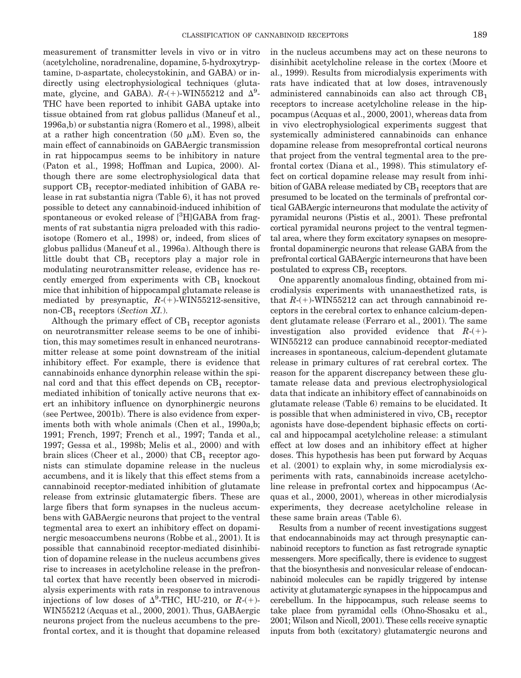measurement of transmitter levels in vivo or in vitro (acetylcholine, noradrenaline, dopamine, 5-hydroxytryptamine, D-aspartate, cholecystokinin, and GABA) or indirectly using electrophysiological techniques (glutamate, glycine, and GABA).  $R-(+)$ -WIN55212 and  $\Delta^9$ -THC have been reported to inhibit GABA uptake into tissue obtained from rat globus pallidus (Maneuf et al., 1996a,b) or substantia nigra (Romero et al., 1998), albeit at a rather high concentration (50  $\mu$ M). Even so, the main effect of cannabinoids on GABAergic transmission in rat hippocampus seems to be inhibitory in nature (Paton et al., 1998; Hoffman and Lupica, 2000). Although there are some electrophysiological data that support  $CB_1$  receptor-mediated inhibition of GABA release in rat substantia nigra (Table 6), it has not proved possible to detect any cannabinoid-induced inhibition of spontaneous or evoked release of [3H]GABA from fragments of rat substantia nigra preloaded with this radioisotope (Romero et al., 1998) or, indeed, from slices of globus pallidus (Maneuf et al., 1996a). Although there is little doubt that  $CB_1$  receptors play a major role in modulating neurotransmitter release, evidence has recently emerged from experiments with  $CB<sub>1</sub>$  knockout mice that inhibition of hippocampal glutamate release is mediated by presynaptic,  $R-(+)$ -WIN55212-sensitive, non-CB<sub>1</sub> receptors (*Section XI.*).

Although the primary effect of  $CB<sub>1</sub>$  receptor agonists on neurotransmitter release seems to be one of inhibition, this may sometimes result in enhanced neurotransmitter release at some point downstream of the initial inhibitory effect. For example, there is evidence that cannabinoids enhance dynorphin release within the spinal cord and that this effect depends on  $CB_1$  receptormediated inhibition of tonically active neurons that exert an inhibitory influence on dynorphinergic neurons (see Pertwee, 2001b). There is also evidence from experiments both with whole animals (Chen et al., 1990a,b; 1991; French, 1997; French et al., 1997; Tanda et al., 1997; Gessa et al., 1998b; Melis et al., 2000) and with brain slices (Cheer et al., 2000) that  $CB_1$  receptor agonists can stimulate dopamine release in the nucleus accumbens, and it is likely that this effect stems from a cannabinoid receptor-mediated inhibition of glutamate release from extrinsic glutamatergic fibers. These are large fibers that form synapses in the nucleus accumbens with GABAergic neurons that project to the ventral tegmental area to exert an inhibitory effect on dopaminergic mesoaccumbens neurons (Robbe et al., 2001). It is possible that cannabinoid receptor-mediated disinhibition of dopamine release in the nucleus accumbens gives rise to increases in acetylcholine release in the prefrontal cortex that have recently been observed in microdialysis experiments with rats in response to intravenous injections of low doses of  $\Delta^9$ -THC, HU-210, or  $R$ -(+)-WIN55212 (Acquas et al., 2000, 2001). Thus, GABAergic neurons project from the nucleus accumbens to the prefrontal cortex, and it is thought that dopamine released in the nucleus accumbens may act on these neurons to disinhibit acetylcholine release in the cortex (Moore et al., 1999). Results from microdialysis experiments with rats have indicated that at low doses, intravenously administered cannabinoids can also act through  $CB_1$ receptors to increase acetylcholine release in the hippocampus (Acquas et al., 2000, 2001), whereas data from in vivo electrophysiological experiments suggest that systemically administered cannabinoids can enhance dopamine release from mesoprefrontal cortical neurons that project from the ventral tegmental area to the prefrontal cortex (Diana et al., 1998). This stimulatory effect on cortical dopamine release may result from inhibition of GABA release mediated by  $CB_1$  receptors that are presumed to be located on the terminals of prefrontal cortical GABAergic interneurons that modulate the activity of pyramidal neurons (Pistis et al., 2001). These prefrontal cortical pyramidal neurons project to the ventral tegmental area, where they form excitatory synapses on mesoprefrontal dopaminergic neurons that release GABA from the prefrontal cortical GABAergic interneurons that have been postulated to express  $CB<sub>1</sub>$  receptors.

One apparently anomalous finding, obtained from microdialysis experiments with unanaesthetized rats, is that  $R-(+)$ -WIN55212 can act through cannabinoid receptors in the cerebral cortex to enhance calcium-dependent glutamate release (Ferraro et al., 2001). The same  $investigation$  also provided evidence that  $R- (+)$ WIN55212 can produce cannabinoid receptor-mediated increases in spontaneous, calcium-dependent glutamate release in primary cultures of rat cerebral cortex. The reason for the apparent discrepancy between these glutamate release data and previous electrophysiological data that indicate an inhibitory effect of cannabinoids on glutamate release (Table 6) remains to be elucidated. It is possible that when administered in vivo,  $CB<sub>1</sub>$  receptor agonists have dose-dependent biphasic effects on cortical and hippocampal acetylcholine release: a stimulant effect at low doses and an inhibitory effect at higher doses. This hypothesis has been put forward by Acquas et al. (2001) to explain why, in some microdialysis experiments with rats, cannabinoids increase acetylcholine release in prefrontal cortex and hippocampus (Acquas et al., 2000, 2001), whereas in other microdialysis experiments, they decrease acetylcholine release in these same brain areas (Table 6).

Results from a number of recent investigations suggest that endocannabinoids may act through presynaptic cannabinoid receptors to function as fast retrograde synaptic messengers. More specifically, there is evidence to suggest that the biosynthesis and nonvesicular release of endocannabinoid molecules can be rapidly triggered by intense activity at glutamatergic synapses in the hippocampus and cerebellum. In the hippocampus, such release seems to take place from pyramidal cells (Ohno-Shosaku et al., 2001; Wilson and Nicoll, 2001). These cells receive synaptic inputs from both (excitatory) glutamatergic neurons and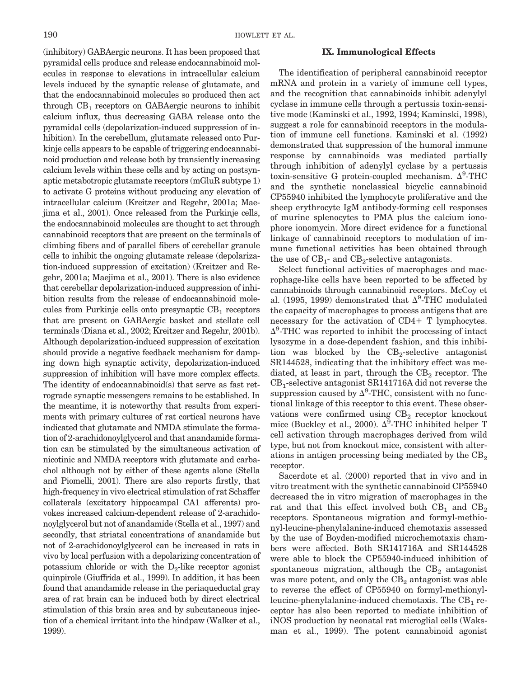(inhibitory) GABAergic neurons. It has been proposed that pyramidal cells produce and release endocannabinoid molecules in response to elevations in intracellular calcium levels induced by the synaptic release of glutamate, and that the endocannabinoid molecules so produced then act through  $CB_1$  receptors on GABAergic neurons to inhibit calcium influx, thus decreasing GABA release onto the pyramidal cells (depolarization-induced suppression of inhibition). In the cerebellum, glutamate released onto Purkinje cells appears to be capable of triggering endocannabinoid production and release both by transiently increasing calcium levels within these cells and by acting on postsynaptic metabotropic glutamate receptors (mGluR subtype 1) to activate G proteins without producing any elevation of intracellular calcium (Kreitzer and Regehr, 2001a; Maejima et al., 2001). Once released from the Purkinje cells, the endocannabinoid molecules are thought to act through cannabinoid receptors that are present on the terminals of climbing fibers and of parallel fibers of cerebellar granule cells to inhibit the ongoing glutamate release (depolarization-induced suppression of excitation) (Kreitzer and Regehr, 2001a; Maejima et al., 2001). There is also evidence that cerebellar depolarization-induced suppression of inhibition results from the release of endocannabinoid molecules from Purkinje cells onto presynaptic  $CB_1$  receptors that are present on GABAergic basket and stellate cell terminals (Diana et al., 2002; Kreitzer and Regehr, 2001b). Although depolarization-induced suppression of excitation should provide a negative feedback mechanism for damping down high synaptic activity, depolarization-induced suppression of inhibition will have more complex effects. The identity of endocannabinoid(s) that serve as fast retrograde synaptic messengers remains to be established. In the meantime, it is noteworthy that results from experiments with primary cultures of rat cortical neurons have indicated that glutamate and NMDA stimulate the formation of 2-arachidonoylglycerol and that anandamide formation can be stimulated by the simultaneous activation of nicotinic and NMDA receptors with glutamate and carbachol although not by either of these agents alone (Stella and Piomelli, 2001). There are also reports firstly, that high-frequency in vivo electrical stimulation of rat Schaffer collaterals (excitatory hippocampal CA1 afferents) provokes increased calcium-dependent release of 2-arachidonoylglycerol but not of anandamide (Stella et al., 1997) and secondly, that striatal concentrations of anandamide but not of 2-arachidonoylglycerol can be increased in rats in vivo by local perfusion with a depolarizing concentration of potassium chloride or with the  $D_2$ -like receptor agonist quinpirole (Giuffrida et al., 1999). In addition, it has been found that anandamide release in the periaqueductal gray area of rat brain can be induced both by direct electrical stimulation of this brain area and by subcutaneous injection of a chemical irritant into the hindpaw (Walker et al., 1999).

#### **IX. Immunological Effects**

The identification of peripheral cannabinoid receptor mRNA and protein in a variety of immune cell types, and the recognition that cannabinoids inhibit adenylyl cyclase in immune cells through a pertussis toxin-sensitive mode (Kaminski et al., 1992, 1994; Kaminski, 1998), suggest a role for cannabinoid receptors in the modulation of immune cell functions. Kaminski et al. (1992) demonstrated that suppression of the humoral immune response by cannabinoids was mediated partially through inhibition of adenylyl cyclase by a pertussis toxin-sensitive G protein-coupled mechanism.  $\Delta^9$ -THC and the synthetic nonclassical bicyclic cannabinoid CP55940 inhibited the lymphocyte proliferative and the sheep erythrocyte IgM antibody-forming cell responses of murine splenocytes to PMA plus the calcium ionophore ionomycin. More direct evidence for a functional linkage of cannabinoid receptors to modulation of immune functional activities has been obtained through the use of  $CB_1$ - and  $CB_2$ -selective antagonists.

Select functional activities of macrophages and macrophage-like cells have been reported to be affected by cannabinoids through cannabinoid receptors. McCoy et al. (1995, 1999) demonstrated that  $\Delta^9$ -THC modulated the capacity of macrophages to process antigens that are necessary for the activation of CD4- T lymphocytes.  $\Delta^9$ -THC was reported to inhibit the processing of intact lysozyme in a dose-dependent fashion, and this inhibition was blocked by the  $CB_2$ -selective antagonist SR144528, indicating that the inhibitory effect was mediated, at least in part, through the  $CB<sub>2</sub>$  receptor. The  $CB<sub>1</sub>$ -selective antagonist SR141716A did not reverse the suppression caused by  $\Delta^9$ -THC, consistent with no functional linkage of this receptor to this event. These observations were confirmed using  $CB<sub>2</sub>$  receptor knockout mice (Buckley et al., 2000).  $\Delta^9$ -THC inhibited helper T cell activation through macrophages derived from wild type, but not from knockout mice, consistent with alterations in antigen processing being mediated by the  $CB<sub>2</sub>$ receptor.

Sacerdote et al. (2000) reported that in vivo and in vitro treatment with the synthetic cannabinoid CP55940 decreased the in vitro migration of macrophages in the rat and that this effect involved both  $CB_1$  and  $CB_2$ receptors. Spontaneous migration and formyl-methionyl-leucine-phenylalanine-induced chemotaxis assessed by the use of Boyden-modified microchemotaxis chambers were affected. Both SR141716A and SR144528 were able to block the CP55940-induced inhibition of spontaneous migration, although the  $CB<sub>2</sub>$  antagonist was more potent, and only the  $CB_2$  antagonist was able to reverse the effect of CP55940 on formyl-methionylleucine-phenylalanine-induced chemotaxis. The  $CB<sub>1</sub>$  receptor has also been reported to mediate inhibition of iNOS production by neonatal rat microglial cells (Waksman et al., 1999). The potent cannabinoid agonist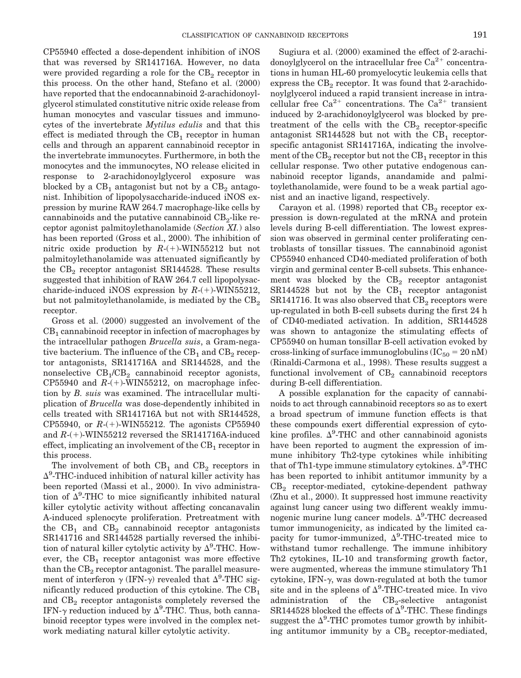CP55940 effected a dose-dependent inhibition of iNOS that was reversed by SR141716A. However, no data were provided regarding a role for the  $CB<sub>2</sub>$  receptor in this process. On the other hand, Stefano et al. (2000) have reported that the endocannabinoid 2-arachidonoylglycerol stimulated constitutive nitric oxide release from human monocytes and vascular tissues and immunocytes of the invertebrate *Mytilus edulis* and that this effect is mediated through the  $CB_1$  receptor in human cells and through an apparent cannabinoid receptor in the invertebrate immunocytes. Furthermore, in both the monocytes and the immunocytes, NO release elicited in response to 2-arachidonoylglycerol exposure was blocked by a  $CB_1$  antagonist but not by a  $CB_2$  antagonist. Inhibition of lipopolysaccharide-induced iNOS expression by murine RAW 264.7 macrophage-like cells by cannabinoids and the putative cannabinoid  $CB<sub>2</sub>$ -like receptor agonist palmitoylethanolamide (*Section XI.*) also has been reported (Gross et al., 2000). The inhibition of nitric oxide production by  $R-(+)$ -WIN55212 but not palmitoylethanolamide was attenuated significantly by the  $CB_2$  receptor antagonist SR144528. These results suggested that inhibition of RAW 264.7 cell lipopolysaccharide-induced iNOS expression by  $R-(+)$ -WIN55212, but not palmitoylethanolamide, is mediated by the  $CB<sub>2</sub>$ receptor.

Gross et al. (2000) suggested an involvement of the  $CB<sub>1</sub>$  cannabinoid receptor in infection of macrophages by the intracellular pathogen *Brucella suis*, a Gram-negative bacterium. The influence of the  $CB_1$  and  $CB_2$  receptor antagonists, SR141716A and SR144528, and the nonselective  $CB_1/CB_2$  cannabinoid receptor agonists,  $CP55940$  and  $R-$ (+)-WIN55212, on macrophage infection by *B. suis* was examined. The intracellular multiplication of *Brucella* was dose-dependently inhibited in cells treated with SR141716A but not with SR144528,  $CP55940$ , or  $R-+$ -WIN55212. The agonists CP55940 and  $R$ - $(+)$ -WIN55212 reversed the SR141716A-induced effect, implicating an involvement of the  $CB_1$  receptor in this process.

The involvement of both  $CB_1$  and  $CB_2$  receptors in  $\Delta^9$ -THC-induced inhibition of natural killer activity has been reported (Massi et al., 2000). In vivo administration of  $\Delta^9$ -THC to mice significantly inhibited natural killer cytolytic activity without affecting concanavalin A-induced splenocyte proliferation. Pretreatment with the  $CB_1$  and  $CB_2$  cannabinoid receptor antagonists SR141716 and SR144528 partially reversed the inhibition of natural killer cytolytic activity by  $\Delta^9$ -THC. However, the  $CB_1$  receptor antagonist was more effective than the  $CB<sub>2</sub>$  receptor antagonist. The parallel measurement of interferon  $\gamma$  (IFN- $\gamma$ ) revealed that  $\Delta^9$ -THC significantly reduced production of this cytokine. The  $CB_1$ and  $CB<sub>2</sub>$  receptor antagonists completely reversed the IFN- $\gamma$  reduction induced by  $\Delta^9$ -THC. Thus, both cannabinoid receptor types were involved in the complex network mediating natural killer cytolytic activity.

Sugiura et al. (2000) examined the effect of 2-arachidonoylglycerol on the intracellular free  $Ca^{2+}$  concentrations in human HL-60 promyelocytic leukemia cells that express the  $CB<sub>2</sub>$  receptor. It was found that 2-arachidonoylglycerol induced a rapid transient increase in intracellular free Ca<sup>2+</sup> concentrations. The Ca<sup>2+</sup> transient induced by 2-arachidonoylglycerol was blocked by pretreatment of the cells with the  $CB<sub>2</sub>$  receptor-specific antagonist SR144528 but not with the  $CB_1$  receptorspecific antagonist SR141716A, indicating the involvement of the  $CB<sub>2</sub>$  receptor but not the  $CB<sub>1</sub>$  receptor in this cellular response. Two other putative endogenous cannabinoid receptor ligands, anandamide and palmitoylethanolamide, were found to be a weak partial agonist and an inactive ligand, respectively.

Carayon et al. (1998) reported that  $CB<sub>2</sub>$  receptor expression is down-regulated at the mRNA and protein levels during B-cell differentiation. The lowest expression was observed in germinal center proliferating centroblasts of tonsillar tissues. The cannabinoid agonist CP55940 enhanced CD40-mediated proliferation of both virgin and germinal center B-cell subsets. This enhancement was blocked by the  $CB<sub>2</sub>$  receptor antagonist  $SR144528$  but not by the  $CB_1$  receptor antagonist SR141716. It was also observed that  $CB_2$  receptors were up-regulated in both B-cell subsets during the first 24 h of CD40-mediated activation. In addition, SR144528 was shown to antagonize the stimulating effects of CP55940 on human tonsillar B-cell activation evoked by cross-linking of surface immunoglobulins ( $IC_{50} = 20$  nM) (Rinaldi-Carmona et al., 1998). These results suggest a functional involvement of  $CB<sub>2</sub>$  cannabinoid receptors during B-cell differentiation.

A possible explanation for the capacity of cannabinoids to act through cannabinoid receptors so as to exert a broad spectrum of immune function effects is that these compounds exert differential expression of cytokine profiles.  $\Delta^9$ -THC and other cannabinoid agonists have been reported to augment the expression of immune inhibitory Th2-type cytokines while inhibiting that of Th1-type immune stimulatory cytokines.  $\Delta^9$ -THC has been reported to inhibit antitumor immunity by a  $CB<sub>2</sub>$  receptor-mediated, cytokine-dependent pathway (Zhu et al., 2000). It suppressed host immune reactivity against lung cancer using two different weakly immunogenic murine lung cancer models.  $\Delta^9$ -THC decreased tumor immunogenicity, as indicated by the limited capacity for tumor-immunized,  $\Delta^9$ -THC-treated mice to withstand tumor rechallenge. The immune inhibitory Th2 cytokines, IL-10 and transforming growth factor, were augmented, whereas the immune stimulatory Th1 cytokine, IFN- $\gamma$ , was down-regulated at both the tumor site and in the spleens of  $\Delta^9$ -THC-treated mice. In vivo administration of the  $CB_2$ -selective antagonist SR144528 blocked the effects of  $\overline{\Delta}^9$ -THC. These findings suggest the  $\Delta^9$ -THC promotes tumor growth by inhibiting antitumor immunity by a  $CB<sub>2</sub>$  receptor-mediated,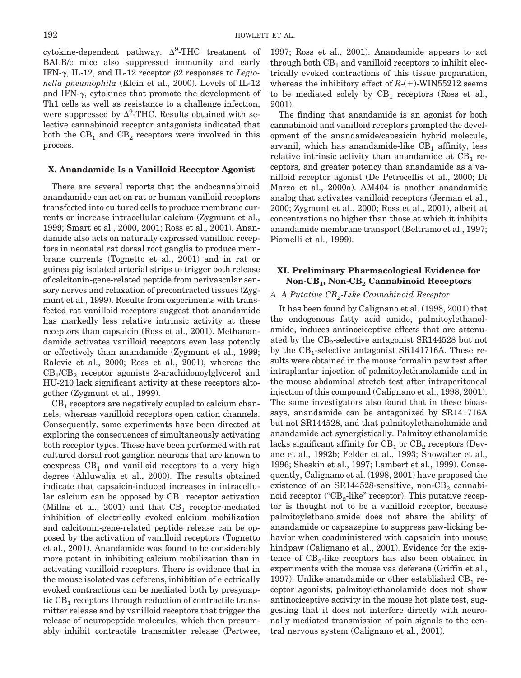cytokine-dependent pathway.  $\Delta^9$ -THC treatment of BALB/c mice also suppressed immunity and early IFN- $\gamma$ , IL-12, and IL-12 receptor  $\beta$ 2 responses to *Legionella pneumophila* (Klein et al., 2000). Levels of IL-12 and IFN- $\gamma$ , cytokines that promote the development of Th1 cells as well as resistance to a challenge infection, were suppressed by  $\Delta^9$ -THC. Results obtained with selective cannabinoid receptor antagonists indicated that both the  $CB_1$  and  $CB_2$  receptors were involved in this process.

#### **X. Anandamide Is a Vanilloid Receptor Agonist**

There are several reports that the endocannabinoid anandamide can act on rat or human vanilloid receptors transfected into cultured cells to produce membrane currents or increase intracellular calcium (Zygmunt et al., 1999; Smart et al., 2000, 2001; Ross et al., 2001). Anandamide also acts on naturally expressed vanilloid receptors in neonatal rat dorsal root ganglia to produce membrane currents (Tognetto et al., 2001) and in rat or guinea pig isolated arterial strips to trigger both release of calcitonin-gene-related peptide from perivascular sensory nerves and relaxation of precontracted tissues (Zygmunt et al., 1999). Results from experiments with transfected rat vanilloid receptors suggest that anandamide has markedly less relative intrinsic activity at these receptors than capsaicin (Ross et al., 2001). Methanandamide activates vanilloid receptors even less potently or effectively than anandamide (Zygmunt et al., 1999; Ralevic et al., 2000; Ross et al., 2001), whereas the  $CB<sub>1</sub>/CB<sub>2</sub>$  receptor agonists 2-arachidonoylglycerol and HU-210 lack significant activity at these receptors altogether (Zygmunt et al., 1999).

 $CB<sub>1</sub>$  receptors are negatively coupled to calcium channels, whereas vanilloid receptors open cation channels. Consequently, some experiments have been directed at exploring the consequences of simultaneously activating both receptor types. These have been performed with rat cultured dorsal root ganglion neurons that are known to coexpress  $CB_1$  and vanilloid receptors to a very high degree (Ahluwalia et al., 2000). The results obtained indicate that capsaicin-induced increases in intracellular calcium can be opposed by  $CB_1$  receptor activation (Millns et al., 2001) and that  $CB_1$  receptor-mediated inhibition of electrically evoked calcium mobilization and calcitonin-gene-related peptide release can be opposed by the activation of vanilloid receptors (Tognetto et al., 2001). Anandamide was found to be considerably more potent in inhibiting calcium mobilization than in activating vanilloid receptors. There is evidence that in the mouse isolated vas deferens, inhibition of electrically evoked contractions can be mediated both by presynaptic  $CB_1$  receptors through reduction of contractile transmitter release and by vanilloid receptors that trigger the release of neuropeptide molecules, which then presumably inhibit contractile transmitter release (Pertwee,

1997; Ross et al., 2001). Anandamide appears to act through both  $CB<sub>1</sub>$  and vanilloid receptors to inhibit electrically evoked contractions of this tissue preparation, whereas the inhibitory effect of  $R$ -(+)-WIN55212 seems to be mediated solely by  $CB_1$  receptors (Ross et al., 2001).

The finding that anandamide is an agonist for both cannabinoid and vanilloid receptors prompted the development of the anandamide/capsaicin hybrid molecule, arvanil, which has anandamide-like  $CB_1$  affinity, less relative intrinsic activity than anandamide at  $CB<sub>1</sub>$  receptors, and greater potency than anandamide as a vanilloid receptor agonist (De Petrocellis et al., 2000; Di Marzo et al., 2000a). AM404 is another anandamide analog that activates vanilloid receptors (Jerman et al., 2000; Zygmunt et al., 2000; Ross et al., 2001), albeit at concentrations no higher than those at which it inhibits anandamide membrane transport (Beltramo et al., 1997; Piomelli et al., 1999).

## **XI. Preliminary Pharmacological Evidence for Non-CB1, Non-CB2 Cannabinoid Receptors**

## *A. A Putative CB2-Like Cannabinoid Receptor*

It has been found by Calignano et al. (1998, 2001) that the endogenous fatty acid amide, palmitoylethanolamide, induces antinociceptive effects that are attenuated by the  $CB_2$ -selective antagonist SR144528 but not by the  $CB_1$ -selective antagonist SR141716A. These results were obtained in the mouse formalin paw test after intraplantar injection of palmitoylethanolamide and in the mouse abdominal stretch test after intraperitoneal injection of this compound (Calignano et al., 1998, 2001). The same investigators also found that in these bioassays, anandamide can be antagonized by SR141716A but not SR144528, and that palmitoylethanolamide and anandamide act synergistically. Palmitoylethanolamide lacks significant affinity for  $CB_1$  or  $CB_2$  receptors (Devane et al., 1992b; Felder et al., 1993; Showalter et al., 1996; Sheskin et al., 1997; Lambert et al., 1999). Consequently, Calignano et al. (1998, 2001) have proposed the existence of an SR144528-sensitive, non-CB<sub>2</sub> cannabinoid receptor (" $CB_2$ -like" receptor). This putative receptor is thought not to be a vanilloid receptor, because palmitoylethanolamide does not share the ability of anandamide or capsazepine to suppress paw-licking behavior when coadministered with capsaicin into mouse hindpaw (Calignano et al., 2001). Evidence for the existence of  $CB_2$ -like receptors has also been obtained in experiments with the mouse vas deferens (Griffin et al., 1997). Unlike anandamide or other established  $CB_1$  receptor agonists, palmitoylethanolamide does not show antinociceptive activity in the mouse hot plate test, suggesting that it does not interfere directly with neuronally mediated transmission of pain signals to the central nervous system (Calignano et al., 2001).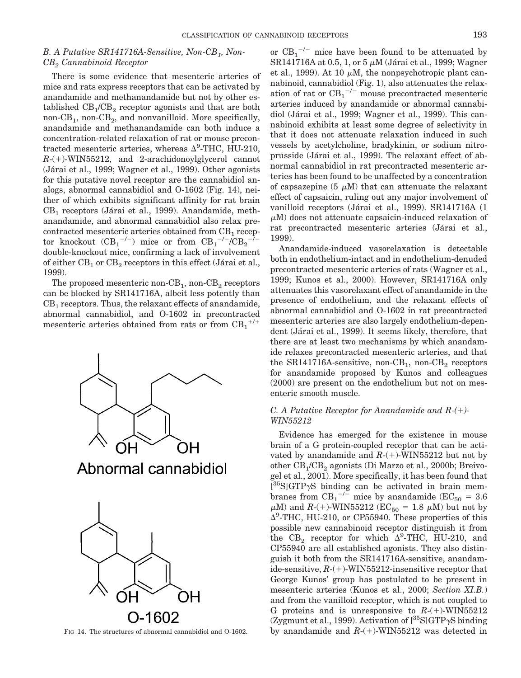## B. A Putative SR141716A-Sensitive, Non-CB<sub>1</sub>, Non-*CB2 Cannabinoid Receptor*

There is some evidence that mesenteric arteries of mice and rats express receptors that can be activated by anandamide and methanandamide but not by other established  $CB_1/CB_2$  receptor agonists and that are both non- $CB_1$ , non- $CB_2$ , and nonvanilloid. More specifically, anandamide and methanandamide can both induce a concentration-related relaxation of rat or mouse precontracted mesenteric arteries, whereas  $\Delta^9$ -THC, HU-210,  $R$ -(+)-WIN55212, and 2-arachidonoylglycerol cannot (Járai et al., 1999; Wagner et al., 1999). Other agonists for this putative novel receptor are the cannabidiol analogs, abnormal cannabidiol and O-1602 (Fig. 14), neither of which exhibits significant affinity for rat brain  $CB<sub>1</sub>$  receptors (Járai et al., 1999). Anandamide, methanandamide, and abnormal cannabidiol also relax precontracted mesenteric arteries obtained from  $\text{CB}_1$  receptor knockout  $(CB_1^{-/-})$  mice or from  $CB_1^{-/-}/CB_2^{-/-}$ double-knockout mice, confirming a lack of involvement of either  $CB_1$  or  $CB_2$  receptors in this effect (Járai et al., 1999).

The proposed mesenteric non- $CB_1$ , non- $CB_2$  receptors can be blocked by SR141716A, albeit less potently than  $CB<sub>1</sub>$  receptors. Thus, the relaxant effects of anandamide, abnormal cannabidiol, and O-1602 in precontracted mesenteric arteries obtained from rats or from  $\text{CB}_1$ <sup>+/+</sup>



FIG 14. The structures of abnormal cannabidiol and O-1602.

or  $CB_1^{-/-}$  mice have been found to be attenuated by SR141716A at 0.5, 1, or  $5 \mu M$  (Járai et al., 1999; Wagner et al., 1999). At 10  $\mu$ M, the nonpsychotropic plant cannabinoid, cannabidiol (Fig. 1), also attenuates the relaxation of rat or  $CB_1^{-/-}$  mouse precontracted mesenteric arteries induced by anandamide or abnormal cannabidiol (Járai et al., 1999; Wagner et al., 1999). This cannabinoid exhibits at least some degree of selectivity in that it does not attenuate relaxation induced in such vessels by acetylcholine, bradykinin, or sodium nitroprusside (Járai et al., 1999). The relaxant effect of abnormal cannabidiol in rat precontracted mesenteric arteries has been found to be unaffected by a concentration of capsazepine  $(5 \mu M)$  that can attenuate the relaxant effect of capsaicin, ruling out any major involvement of vanilloid receptors (Járai et al., 1999). SR141716A (1  $\mu$ M) does not attenuate capsaicin-induced relaxation of rat precontracted mesenteric arteries (Járai et al., 1999).

Anandamide-induced vasorelaxation is detectable both in endothelium-intact and in endothelium-denuded precontracted mesenteric arteries of rats (Wagner et al., 1999; Kunos et al., 2000). However, SR141716A only attenuates this vasorelaxant effect of anandamide in the presence of endothelium, and the relaxant effects of abnormal cannabidiol and O-1602 in rat precontracted mesenteric arteries are also largely endothelium-dependent (Járai et al., 1999). It seems likely, therefore, that there are at least two mechanisms by which anandamide relaxes precontracted mesenteric arteries, and that the SR141716A-sensitive, non-CB<sub>1</sub>, non-CB<sub>2</sub> receptors for anandamide proposed by Kunos and colleagues (2000) are present on the endothelium but not on mesenteric smooth muscle.

## *C. A Putative Receptor for Anandamide and R-(*-*)- WIN55212*

Evidence has emerged for the existence in mouse brain of a G protein-coupled receptor that can be activated by anandamide and  $R$ - $(+)$ -WIN55212 but not by other CB<sub>1</sub>/CB<sub>2</sub> agonists (Di Marzo et al., 2000b; Breivogel et al., 2001). More specifically, it has been found that  $[^{35}S]GTP\gamma S$  binding can be activated in brain membranes from  $CB_1^{-/-}$  mice by anandamide (EC<sub>50</sub> = 3.6)  $\mu$ M) and *R*-(+)-WIN55212 (EC<sub>50</sub> = 1.8  $\mu$ M) but not by  $\Delta^9$ -THC, HU-210, or CP55940. These properties of this possible new cannabinoid receptor distinguish it from the  $CB_2$  receptor for which  $\Delta^9$ -THC, HU-210, and CP55940 are all established agonists. They also distinguish it both from the SR141716A-sensitive, anandam- $\mathrm{i}$ de-sensitive,  $R$ -(+)-WIN55212-insensitive receptor that George Kunos' group has postulated to be present in mesenteric arteries (Kunos et al., 2000; *Section XI.B.*) and from the vanilloid receptor, which is not coupled to G proteins and is unresponsive to  $R-$ (+)-WIN55212 (Zygmunt et al., 1999). Activation of  $[{}^{35}S]GTP<sub>Y</sub>S$  binding by anandamide and  $R-(+)$ -WIN55212 was detected in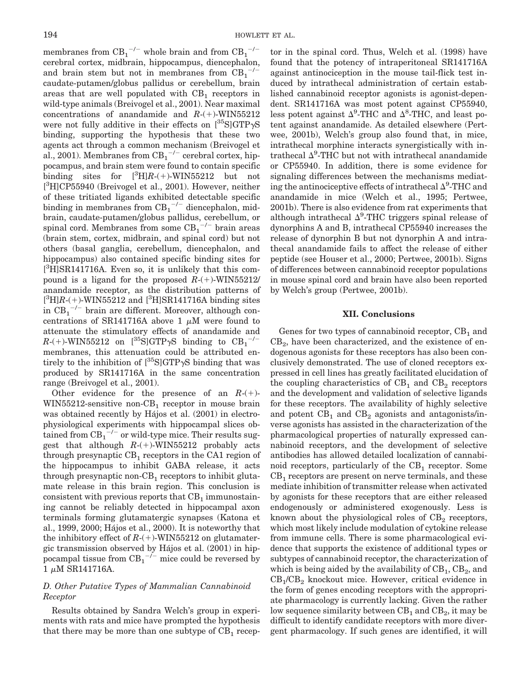membranes from  $CB_1^{-/-}$  whole brain and from  $CB_1^{-/-}$ cerebral cortex, midbrain, hippocampus, diencephalon, and brain stem but not in membranes from  $CB_1$ <sup>-/-</sup> caudate-putamen/globus pallidus or cerebellum, brain areas that are well populated with  $CB_1$  receptors in wild-type animals (Breivogel et al., 2001). Near maximal concentrations of anandamide and  $R-$ (+)-WIN55212 were not fully additive in their effects on  $\binom{35}{5}$ GTP $\gamma$ S binding, supporting the hypothesis that these two agents act through a common mechanism (Breivogel et al., 2001). Membranes from  $\text{CB}_1{}^{-/-}$  cerebral cortex, hippocampus, and brain stem were found to contain specific binding sites for  $[{}^3H]R-(+)$ -WIN55212 but not [<sup>3</sup>H]CP55940 (Breivogel et al., 2001). However, neither of these tritiated ligands exhibited detectable specific binding in membranes from  $\overline{\text{CB}_1}^{-/-}$  diencephalon, midbrain, caudate-putamen/globus pallidus, cerebellum, or spinal cord. Membranes from some  $CB_1^{-/-}$  brain areas (brain stem, cortex, midbrain, and spinal cord) but not others (basal ganglia, cerebellum, diencephalon, and hippocampus) also contained specific binding sites for [<sup>3</sup>H]SR141716A. Even so, it is unlikely that this compound is a ligand for the proposed  $R-(+)$ -WIN55212/ anandamide receptor, as the distribution patterns of  $[^{3}H]R-(+)$ -WIN55212 and  $[^{3}H]SR141716A$  binding sites in  $CB_1^{-/-}$  brain are different. Moreover, although concentrations of SR141716A above 1  $\mu$ M were found to attenuate the stimulatory effects of anandamide and  $R$ -(+)-WIN55212 on  $[^{35}S]GTP\gamma S$  binding to  $CB_1^{-/-}$ membranes, this attenuation could be attributed entirely to the inhibition of  $[^{35}{\rm S}] {\rm GTP} \gamma {\rm S}$  binding that was produced by SR141716A in the same concentration range (Breivogel et al., 2001).

Other evidence for the presence of an  $R-(+)$ WIN55212-sensitive non- $CB_1$  receptor in mouse brain was obtained recently by Hájos et al. (2001) in electrophysiological experiments with hippocampal slices obtained from  $CB_1^{-/-}$  or wild-type mice. Their results suggest that although  $R-$ (+)-WIN55212 probably acts through presynaptic  $CB_1$  receptors in the CA1 region of the hippocampus to inhibit GABA release, it acts through presynaptic non- $CB_1$  receptors to inhibit glutamate release in this brain region. This conclusion is consistent with previous reports that  $CB_1$  immunostaining cannot be reliably detected in hippocampal axon terminals forming glutamatergic synapses (Katona et al., 1999, 2000; Ha´jos et al., 2000). It is noteworthy that the inhibitory effect of  $R-(+)$ -WIN55212 on glutamatergic transmission observed by Hájos et al. (2001) in hippocampal tissue from  $CB_1^{-/-}$  mice could be reversed by  $1 \mu M$  SR141716A.

## *D. Other Putative Types of Mammalian Cannabinoid Receptor*

Results obtained by Sandra Welch's group in experiments with rats and mice have prompted the hypothesis that there may be more than one subtype of  $CB<sub>1</sub>$  receptor in the spinal cord. Thus, Welch et al. (1998) have found that the potency of intraperitoneal SR141716A against antinociception in the mouse tail-flick test induced by intrathecal administration of certain established cannabinoid receptor agonists is agonist-dependent. SR141716A was most potent against CP55940, less potent against  $\Delta^9$ -THC and  $\Delta^8$ -THC, and least potent against anandamide. As detailed elsewhere (Pertwee, 2001b), Welch's group also found that, in mice, intrathecal morphine interacts synergistically with intrathecal  $\Delta^9$ -THC but not with intrathecal anandamide or CP55940. In addition, there is some evidence for signaling differences between the mechanisms mediating the antinociceptive effects of intrathecal  $\Delta^9$ -THC and anandamide in mice (Welch et al., 1995; Pertwee, 2001b). There is also evidence from rat experiments that although intrathecal  $\Delta^9$ -THC triggers spinal release of dynorphins A and B, intrathecal CP55940 increases the release of dynorphin B but not dynorphin A and intrathecal anandamide fails to affect the release of either peptide (see Houser et al., 2000; Pertwee, 2001b). Signs of differences between cannabinoid receptor populations in mouse spinal cord and brain have also been reported by Welch's group (Pertwee, 2001b).

#### **XII. Conclusions**

Genes for two types of cannabinoid receptor,  $CB<sub>1</sub>$  and  $CB<sub>2</sub>$ , have been characterized, and the existence of endogenous agonists for these receptors has also been conclusively demonstrated. The use of cloned receptors expressed in cell lines has greatly facilitated elucidation of the coupling characteristics of  $CB_1$  and  $CB_2$  receptors and the development and validation of selective ligands for these receptors. The availability of highly selective and potent  $CB_1$  and  $CB_2$  agonists and antagonists/inverse agonists has assisted in the characterization of the pharmacological properties of naturally expressed cannabinoid receptors, and the development of selective antibodies has allowed detailed localization of cannabinoid receptors, particularly of the  $CB_1$  receptor. Some  $CB<sub>1</sub>$  receptors are present on nerve terminals, and these mediate inhibition of transmitter release when activated by agonists for these receptors that are either released endogenously or administered exogenously. Less is known about the physiological roles of  $CB<sub>2</sub>$  receptors, which most likely include modulation of cytokine release from immune cells. There is some pharmacological evidence that supports the existence of additional types or subtypes of cannabinoid receptor, the characterization of which is being aided by the availability of  $CB_1$ ,  $CB_2$ , and  $CB<sub>1</sub>/CB<sub>2</sub>$  knockout mice. However, critical evidence in the form of genes encoding receptors with the appropriate pharmacology is currently lacking. Given the rather low sequence similarity between  $CB_1$  and  $CB_2$ , it may be difficult to identify candidate receptors with more divergent pharmacology. If such genes are identified, it will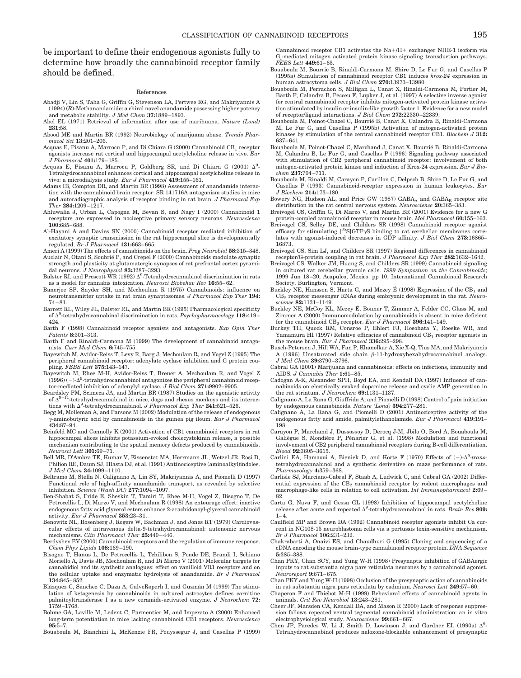be important to define their endogenous agonists fully to determine how broadly the cannabinoid receptor family should be defined.

#### References

- Abadji V, Lin S, Taha G, Griffin G, Stevenson LA, Pertwee RG, and Makriyannis A  $(1994)$   $(R)$ -Methanandamide: a chiral novel anandamide possessing higher potency and metabolic stability. *J Med Chem* **37:**1889–1893.
- Abel EL (1971) Retrieval of information after use of marihuana. *Nature (Lond)* **231:**58.
- Abood ME and Martin BR (1992) Neurobiology of marijuana abuse. *Trends Pharmacol Sci* **13:**201–206.
- Acquas E, Pisanu A, Marrocu P, and Di Chiara G (2000) Cannabinoid CB1 receptor agonists increase rat cortical and hippocampal acetylcholine release in vivo. *Eur J Pharmacol* **401:**179–185.
- Acquas E, Pisanu A, Marrocu P, Goldberg SR, and Di Chiara G (2001)  $\Delta^9$ -Tetrahydrocannabinol enhances cortical and hippocampal acetylcholine release in vivo: a microdialysis study. *Eur J Pharmacol* **419:**155–161.
- Adams IB, Compton DR, and Martin BR (1998) Assessment of anandamide interaction with the cannabinoid brain receptor: SR 141716A antagonism studies in mice and autoradiographic analysis of receptor binding in rat brain. *J Pharmacol Exp Ther* **284:**1209–1217.
- Ahluwalia J, Urban L, Capogna M, Bevan S, and Nagy I (2000) Cannabinoid 1 receptors are expressed in nociceptive primary sensory neurons. *Neuroscience* **100:**685–688.
- Al-Hayani A and Davies SN (2000) Cannabinoid receptor mediated inhibition of excitatory synaptic transmission in the rat hippocampal slice is developmentally regulated. *Br J Pharmacol* **131:**663–665.
- Ameri A (1999) The effects of cannabinoids on the brain. *Prog Neurobiol* **58:**315–348. Auclair N, Otani S, Soubrié P, and Crepel F (2000) Cannabinoids modulate synaptic strength and plasticity at glutamatergic synapses of rat prefrontal cortex pyramidal neurons. *J Neurophysiol* **83:**3287–3293.
- Balster RL and Prescott WR (1992)  $\Delta^9$ -Tetrahydrocannabinol discrimination in rats as a model for cannabis intoxication. *Neurosci Biobehav Rev* **16:**55–62.
- Banerjee SP, Snyder SH, and Mechoulam R (1975) Cannabinoids: influence on neurotransmitter uptake in rat brain synaptosomes. *J Pharmacol Exp Ther* **194:** 74–81.
- Barrett RL, Wiley JL, Balster RL, and Martin BR (1995) Pharmacological specificity of <sup>9</sup> -tetrahydrocannabinol discrimination in rats. *Psychopharmacology* **118:**419– 424.
- Barth F (1998) Cannabinoid receptor agonists and antagonists. *Exp Opin Ther Patents* **8:**301–313.
- Barth F and Rinaldi-Carmona M (1999) The development of cannabinoid antagonists. *Curr Med Chem* **6:**745–755.
- Bayewitch M, Avidor-Reiss T, Levy R, Barg J, Mechoulam R, and Vogel Z (1995) The peripheral cannabinoid receptor: adenylate cyclase inhibition and G protein coupling. *FEBS Lett* **375:**143–147.
- Bayewitch M, Rhee M-H, Avidor-Reiss T, Breuer A, Mechoulam R, and Vogel Z  $(1996)(-)$  $\Delta^9$ -tetrahydrocannabinol antagonizes the peripheral cannabinoid receptor-mediated inhibition of adenylyl cyclase. *J Biol Chem* **271:**9902–9905.
- Beardsley PM, Scimeca JA, and Martin BR (1987) Studies on the agonistic activity of  $\Delta^{9-11}$ -tetrahydrocannabinol in mice, dogs and rhesus monkeys and its interactions with  $\Delta^9$ -tetrahydrocannabinol. *J Pharmacol Exp Ther* 241:521-526.
- Begg M, Molleman A, and Parsons M (2002) Modulation of the release of endogenous -aminobutyric acid by cannabinoids in the guinea pig ileum. *Eur J Pharmacol* **434:**87–94.
- Beinfeld MC and Connolly K (2001) Activation of CB1 cannabinoid receptors in rat hippocampal slices inhibits potassium-evoked cholecystokinin release, a possible mechanism contributing to the spatial memory defects produced by cannabinoids. *Neurosci Lett* **301:**69–71.
- Bell MR, D'Ambra TE, Kumar V, Eissenstat MA, Herrmann JL, Wetzel JR, Rosi D, Philion RE, Daum SJ, Hlasta DJ, et al. (1991) Antinociceptive (aminoalkyl)indoles. *J Med Chem* **34:**1099–1110.
- Beltramo M, Stella N, Calignano A, Lin SY, Makriyannis A, and Piomelli D (1997) Functional role of high-affinity anandamide transport, as revealed by selective inhibition. *Science (Wash DC)* **277:**1094–1097.
- Ben-Shabat S, Fride E, Sheskin T, Tamiri T, Rhee M-H, Vogel Z, Bisogno T, De Petrocellis L, Di Marzo V, and Mechoulam R (1998) An entourage effect: inactive endogenous fatty acid glycerol esters enhance 2-arachidonoyl-glycerol cannabinoid activity. *Eur J Pharmacol* **353:**23–31.
- Benowitz NL, Rosenberg J, Rogers W, Bachman J, and Jones RT (1979) Cardiovascular effects of intravenous delta-9-tetrahydrocannabinol: autonomic nervous mechanisms. *Clin Pharmacol Ther* **25:**440–446.
- Berdyshev EV (2000) Cannabinoid receptors and the regulation of immune response. *Chem Phys Lipids* **108:**169–190.
- Bisogno T, Hanus L, De Petrocellis L, Tchilibon S, Ponde DE, Brandi I, Schiano Moriello A, Davis JB, Mechoulam R, and Di Marzo V (2001) Molecular targets for cannabidiol and its synthetic analogues: effect on vanilloid VR1 receptors and on the cellular uptake and enzymatic hydrolysis of anandamide. *Br J Pharmacol* **134:**845–852.
- Blázquez C, Sánchez C, Daza A, GalveRoperh I, and Guzmán M (1999) The stimulation of ketogenesis by cannabinoids in cultured astrocytes defines carnitine palmitoyltransferase I as a new ceramide-activated enzyme. *J Neurochem* **72:** 1759–1768.
- Böhme GA, Laville M, Ledent C, Parmentier M, and Imperato A (2000) Enhanced long-term potentiation in mice lacking cannabinoid CB1 receptors. *Neuroscience* **95:**5–7.
- Bouaboula M, Bianchini L, McKenzie FR, Pouyssegur J, and Casellas P (1999)

Cannabinoid receptor CB1 activates the  $Na + / H +$  exchanger NHE-1 isoform via Gi -mediated mitogen activated protein kinase signaling transduction pathways. *FEBS Lett* **449:**61–65.

- Bouaboula M, Bourrié B, Rinaldi-Carmona M, Shire D, Le Fur G, and Casellas P (1995a) Stimulation of cannabinoid receptor CB1 induces *krox-24* expression in human astrocytoma cells. *J Biol Chem* **270:**13973–13980.
- Bouaboula M, Perrachon S, Milligan L, Canat X, Rinaldi-Carmona M, Portier M, Barth F, Calandra B, Pecceu F, Lupker J, et al. (1997) A selective inverse agonist for central cannabinoid receptor inhibits mitogen-activated protein kinase activation stimulated by insulin or insulin-like growth factor 1. Evidence for a new model of receptor/ligand interactions. *J Biol Chem* **272:**22330–22339.
- Bouaboula M, Poinot-Chazel C, Bourrié B, Canat X, Calandra B, Rinaldi-Carmona M, Le Fur G, and Casellas P (1995b) Activation of mitogen-activated protein kinases by stimulation of the central cannabinoid receptor CB1. *Biochem J* **312:** 637–641.
- Bouaboula M, Poinot-Chazel C, Marchand J, Canat X, Bourrié B, Rinaldi-Carmona M, Calandra B, Le Fur G, and Casellas P (1996) Signaling pathway associated with stimulation of CB2 peripheral cannabinoid receptor: involvement of both mitogen-activated protein kinase and induction of Krox-24 expression. *Eur J Biochem* **237:**704–711.
- Bouaboula M, Rinaldi M, Carayon P, Carillon C, Delpech B, Shire D, Le Fur G, and Casellas P (1993) Cannabinoid-receptor expression in human leukocytes. *Eur J Biochem* **214:**173–180.
- Bowery NG, Hudson AL, and Price GW (1987)  $GABA_A$  and  $GABA_B$  receptor site distribution in the rat central nervous system. *Neuroscience* **20:**365–383.
- Breivogel CS, Griffin G, Di Marzo V, and Martin BR (2001) Evidence for a new G protein-coupled cannabinoid receptor in mouse brain. *Mol Pharmacol* **60:**155–163.
- Breivogel CS, Selley DE, and Childers SR (1998) Cannabinoid receptor agonist efficacy for stimulating  $[35S]GTP\gamma S$  binding to rat cerebellar membranes correlates with agonist-induced decreases in GDP affinity. *J Biol Chem* **273:**16865– 16873.
- Breivogel CS, Sim LJ, and Childers SR (1997) Regional differences in cannabinoid receptor/G-protein coupling in rat brain. *J Pharmacol Exp Ther* **282:**1632–1642.
- Breivogel CS, Walker JM, Huang S, and Childers SR (1999) Cannabinoid signaling in cultured rat cerebellar granule cells. *1999 Symposium on the Cannabinoids*; 1999 Jun 18–20; Acapulco, Mexico. pp 10, International Cannabinoid Research Society, Burlington, Vermont.
- Buckley NE, Hansson S, Harta G, and Mezey  $\hat{E}$  (1998) Expression of the CB<sub>1</sub> and CB2 receptor messenger RNAs during embryonic development in the rat. *Neuroscience* **82:**1131–1149.
- Buckley NE, McCoy KL, Mezey É, Bonner T, Zimmer A, Felder CC, Glass M, and Zimmer A (2000) Immunomodulation by cannabinoids is absent in mice deficient for the cannabinoid CB<sub>2</sub> receptor. *Eur J Pharmacol* 396:141-149.
- Burkey TH, Quock RM, Consroe P, Ehlert FJ, Hosohata Y, Roeske WR, and Yamamura HI (1997) Relative efficacies of cannabinoid  $CB_1$  receptor agonists in the mouse brain. *Eur J Pharmacol* **336:**295–298.
- Busch-Petersen J, Hill WA, Fan P, Khanolkar A, Xie X-Q, Tius MA, and Makriyannis A (1996) Unsaturated side chain  $\beta$ -11-hydroxyhexahydrocannabinol analogs. *J Med Chem* **39:**3790–3796.
- Cabral GA (2001) Marijuana and cannabinoids: effects on infections, immunity and AIDS. *J Cannabis Ther* **1:**61–85.
- Cadogan A-K, Alexander SPH, Boyd EA, and Kendall DA (1997) Influence of cannabinoids on electrically evoked dopamine release and cyclic AMP generation in the rat striatum. *J Neurochem* **69:**1131–1137.
- Calignano A, La Rana G, Giuffrida A, and Piomelli D (1998) Control of pain initiation by endogenous cannabinoids. *Nature (Lond)* **394:**277–281.
- Calignano A, La Rana G, and Piomelli D (2001) Antinociceptive activity of the endogenous fatty acid amide, palmitylethanolamide. *Eur J Pharmacol* **419:**191– 198.
- Carayon P, Marchand J, Dussossoy D, Derocq J-M, Jbilo O, Bord A, Bouaboula M, Galiègue S, Mondière P, Pénarier G, et al. (1998) Modulation and functional involvement of CB2 peripheral cannabinoid receptors during B-cell differentiation. *Blood* **92:**3605–3615.
- Carlini EA, Hamaoui A, Bieniek D, and Korte F (1970) Effects of  $(-)$ - $\Delta^9$ -transtetrahydrocannabinol and a synthetic derivative on maze performance of rats. *Pharmacology* **4:**359–368.
- Carlisle SJ, Marciano-Cabral F, Staab A, Ludwick C, and Cabral GA (2002) Differential expression of the  $CB_2$  cannabinoid receptor by rodent macrophages and macrophage-like cells in relation to cell activation. *Int Immunopharmacol* **2:**69– 82.
- Carta G, Nava F, and Gessa GL (1998) Inhibition of hippocampal acetylcholine release after acute and repeated  $\Delta^9$ -tetrahydrocannabinol in rats. *Brain Res* 809:  $1 - 4.$
- Caulfield MP and Brown DA (1992) Cannabinoid receptor agonists inhibit Ca current in NG108-15 neuroblastoma cells via a pertussis toxin-sensitive mechanism. *Br J Pharmacol* **106:**231–232.
- Chakrabarti A, Onaivi ES, and Chaudhuri G (1995) Cloning and sequencing of a cDNA encoding the mouse brain-type cannabinoid receptor protein. *DNA Sequence* **5:**385–388.
- Chan PKY, Chan SCY, and Yung W-H (1998) Presynaptic inhibition of GABAergic inputs to rat substantia nigra pars reticulata neurones by a cannabinoid agonist. *Neuroreport* **9:**671–675.
- Chan PKY and Yung W-H (1998) Occlusion of the presynaptic action of cannabinoids in rat substantia nigra pars reticulata by cadmium. *Neurosci Lett* **249:**57–60.
- Chaperon F and Thiébot M-H (1999) Behavioral effects of cannabinoid agents in animals. *Crit Rev Neurobiol* **13:**243–281.
- Cheer JF, Marsden CA, Kendall DA, and Mason R (2000) Lack of response suppression follows repeated ventral tegmental cannabinoid administration: an in vitro electrophysiological study. *Neuroscience* **99:**661–667.
- Chen JP, Paredes W, Li J, Smith D, Lowinson J, and Gardner EL (1990a)  $\Delta^9$ -Tetrahydrocannabinol produces naloxone-blockable enhancement of presynaptic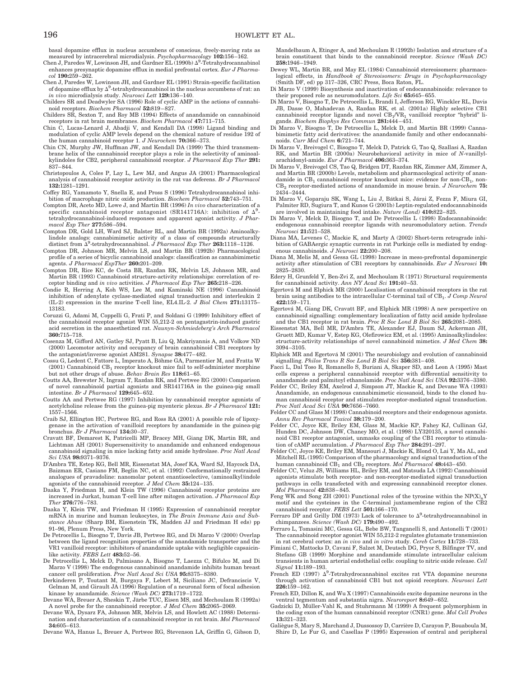basal dopamine efflux in nucleus accumbens of conscious, freely-moving rats as measured by intracerebral microdialysis. *Psychopharmacology* **102:**156–162.

- Chen J, Paredes W, Lowinson JH, and Gardner EL (1990b)  $\Delta^9$ -Tetrahydrocannabinol enhances presynaptic dopamine efflux in medial prefrontal cortex. *Eur J Pharmacol* **190:**259–262.
- Chen J, Paredes W, Lowinson JH, and Gardner EL (1991) Strain-specific facilitation of dopamine efflux by  $\Delta^9$ -tetrahydrocannabinol in the nucleus accumbens of rat: an *in vivo* microdialysis study. *Neurosci Lett* **129:**136–140.
- Childers SR and Deadwyler SA (1996) Role of cyclic AMP in the actions of cannabinoid receptors. *Biochem Pharmacol* **52:**819–827.
- Childers SR, Sexton T, and Roy MB (1994) Effects of anandamide on cannabinoid receptors in rat brain membranes. *Biochem Pharmacol* **47:**711–715.
- Chin C, Lucas-Lenard J, Abadji V, and Kendall DA (1998) Ligand binding and modulation of cyclic AMP levels depend on the chemical nature of residue 192 of the human cannabinoid receptor 1. *J Neurochem* **70:**366–373.
- Chin CN, Murphy JW, Huffman JW, and Kendall DA (1999) The third transmembrane helix of the cannabinoid receptor plays a role in the selectivity of aminoalkylindoles for CB2, peripheral cannabinoid receptor. *J Pharmacol Exp Ther* **291:** 837–844.
- Christopoulos A, Coles P, Lay L, Lew MJ, and Angus JA (2001) Pharmacological analysis of cannabinoid receptor activity in the rat vas deferens. *Br J Pharmacol* **132:**1281–1291.
- Coffey RG, Yamamoto Y, Snella E, and Pross S (1996) Tetrahydrocannabinol inhibition of macrophage nitric oxide production. *Biochem Pharmacol* **52:**743–751.
- Compton DR, Aceto MD, Lowe J, and Martin BR (1996) *In vivo* characterization of a specific cannabinoid receptor antagonist (SR141716A): inhibition of  $\Delta^9$ tetrahydrocannabinol-induced responses and apparent agonist activity. *J Pharmacol Exp Ther* **277:**586–594.
- Compton DR, Gold LH, Ward SJ, Balster RL, and Martin BR (1992a) Aminoalkylindole analogs: cannabimimetic activity of a class of compounds structurally distinct from  $\Delta^9$ -tetrahydrocannabinol. *J Pharmacol Exp Ther* 263:1118-1126.
- Compton DR, Johnson MR, Melvin LS, and Martin BR (1992b) Pharmacological profile of a series of bicyclic cannabinoid analogs: classification as cannabimimetic agents. *J Pharmacol ExpTher* **260:**201–209.
- Compton DR, Rice KC, de Costa BR, Razdan RK, Melvin LS, Johnson MR, and Martin BR (1993) Cannabinoid structure-activity relationships: correlation of receptor binding and *in vivo* activities. *J Pharmacol Exp Ther* **265:**218–226.
- Condie R, Herring A, Koh WS, Lee M, and Kaminski NE (1996) Cannabinoid inhibition of adenylate cyclase-mediated signal transduction and interleukin 2 (IL-2) expression in the murine T-cell line, EL4.IL-2. *J Biol Chem* **271:**13175– 13183.
- Coruzzi G, Adami M, Coppelli G, Frati P, and Soldani G (1999) Inhibitory effect of the cannabinoid receptor agonist WIN 55,212-2 on pentagastrin-induced gastric acid secretion in the anaesthetized rat. *Naunyn-Schmiedeberg's Arch Pharmacol* **360:**715–718.
- Cosenza M, Gifford AN, Gatley SJ, Pyatt B, Liu Q, Makriyannis A, and Volkow ND (2000) Locomotor activity and occupancy of brain cannabinoid CB1 receptors by the antagonist/inverse agonist AM281. *Synapse* **38:**477–482.
- Cossu G, Ledent C, Fattore L, Imperato A, Böhme GA, Parmentier M, and Fratta W (2001) Cannabinoid  $CB_1$  receptor knockout mice fail to self-administer morphine but not other drugs of abuse. *Behav Brain Res* **118:**61–65.
- Coutts AA, Brewster N, Ingram T, Razdan RK, and Pertwee RG (2000) Comparison of novel cannabinoid partial agonists and SR141716A in the guinea-pig small intestine. *Br J Pharmacol* **129:**645–652.
- Coutts AA and Pertwee RG (1997) Inhibition by cannabinoid receptor agonists of acetylcholine release from the guinea-pig myenteric plexus. *Br J Pharmacol* **121:** 1557–1566.
- Craib SJ, Ellington HC, Pertwee RG, and Ross RA (2001) A possible role of lipoxygenase in the activation of vanilloid receptors by anandamide in the guinea-pig bronchus. *Br J Pharmacol* **134:**30–37.
- Cravatt BF, Demarest K, Patricelli MP, Bracey MH, Giang DK, Martin BR, and Lichtman AH (2001) Supersensitivity to anandamide and enhanced endogenous cannabinoid signaling in mice lacking fatty acid amide hydrolase. *Proc Natl Acad Sci USA* **98:**9371–9376.
- D'Ambra TE, Estep KG, Bell MR, Eissenstat MA, Josef KA, Ward SJ, Haycock DA, Baizman ER, Casiano FM, Beglin NC, et al. (1992) Conformationally restrained analogues of pravadoline: nanomolar potent enantioselective, (aminoalkyl)indole agonists of the cannabinoid receptor. *J Med Chem* **35:**124–135.
- Daaka Y, Friedman H, and Klein TW (1996) Cannabinoid receptor proteins are increased in Jurkat, human T-cell line after mitogen activation. *J Pharmacol Exp Ther* **276:**776–783.
- Daaka Y, Klein TW, and Friedman H (1995) Expression of cannabinoid receptor mRNA in murine and human leukocytes, in *The Brain Immune Axis and Sub-stance Abuse* (Sharp BM, Eisenstein TK, Madden JJ and Friedman H eds) pp 91–96, Plenum Press, New York.
- De Petrocellis L, Bisogno T, Davis JB, Pertwee RG, and Di Marzo V (2000) Overlap between the ligand recognition properties of the anandamide transporter and the VR1 vanilloid receptor: inhibitors of anandamide uptake with negligible capsaicinlike activity. *FEBS Lett* **483:**52–56.
- De Petrocellis L, Melck D, Palmisano A, Bisogno T, Laezza C, Bifulco M, and Di Marzo V (1998) The endogenous cannabinoid anandamide inhibits human breast cancer cell proliferation. *Proc Natl Acad Sci USA* **95:**8375–8380.
- Derkinderen P, Toutant M, Burgaya F, Lebert M, Siciliano JC, Defranciscis V, Gelman M, and Girault JA (1996) Regulation of a neuronal form of focal adhesion kinase by anandamide. *Science (Wash DC)* **273:**1719–1722.
- Devane WA, Breuer A, Sheskin T, Järbe TUC, Eisen MS, and Mechoulam R (1992a) A novel probe for the cannabinoid receptor. *J Med Chem* **35:**2065–2069.
- Devane WA, Dysarz FA, Johnson MR, Melvin LS, and Howlett AC (1988) Determination and characterization of a cannabinoid receptor in rat brain. *Mol Pharmacol* **34:**605–613.
- Devane WA, Hanus L, Breuer A, Pertwee RG, Stevenson LA, Griffin G, Gibson D,

Mandelbaum A, Etinger A, and Mechoulam R (1992b) Isolation and structure of a brain constituent that binds to the cannabinoid receptor. *Science (Wash DC)* **258:**1946–1949.

- Dewey WL, Martin BR, and May EL (1984) Cannabinoid stereoisomers: pharmacological effects, in *Handbook of Stereoisomers: Drugs in Psychopharmacology* (Smith DF, ed) pp 317–326, CRC Press, Boca Raton, FL.
- Di Marzo V (1999) Biosynthesis and inactivation of endocannabinoids: relevance to their proposed role as neuromodulators. *Life Sci* **65:**645–655.
- Di Marzo V, Bisogno T, De Petrocellis L, Brandi I, Jefferson RG, Winckler RL, Davis JB, Dasse O, Mahadevan A, Razdan RK, et al. (2001a) Highly selective CB1 cannabinoid receptor ligands and novel  $CB_1/VR_1$  vanilloid receptor "hybrid" ligands. *Biochem Biophys Res Commun* **281:**444–451.
- Di Marzo V, Bisogno T, De Petrocellis L, Melck D, and Martin BR (1999) Cannabimimetic fatty acid derivatives: the anandamide family and other endocannabinoids. *Curr Med Chem* **6:**721–744.
- Di Marzo V, Breivogel C, Bisogno T, Melck D, Patrick G, Tao Q, Szallasi A, Razdan RK, and Martin BR (2000a) Neurobehavioral activity in mice of *N*-vanillylarachidonyl-amide. *Eur J Pharmacol* **406:**363–374.
- Di Marzo V, Breivogel CS, Tao Q, Bridgen DT, Razdan RK, Zimmer AM, Zimmer A, and Martin BR (2000b) Levels, metabolism and pharmacological activity of anandamide in  $CB_1$  cannabinoid receptor knockout mice: evidence for non- $CB_1$ , non-CB2 receptor-mediated actions of anandamide in mouse brain. *J Neurochem* **75:** 2434–2444.
- Di Marzo V, Goparaju SK, Wang L, Liu J, Bátkai S, Járai Z, Fezza F, Miura GI, Palmiter RD, Sugiura T, and Kunos G (2001b) Leptin-regulated endocannabinoids are involved in maintaining food intake. *Nature (Lond)* **410:**822–825.
- Di Marzo V, Melck D, Bisogno T, and De Petrocellis L (1998) Endocannabinoids: endogenous cannabinoid receptor ligands with neuromodulatory action. *Trends Neurosci* **21:**521–528.
- Diana MA, Levenes C, Mackie K, and Marty A (2002) Short-term retrograde inhibition of GABAergic synaptic currents in rat Purkinje cells is mediated by endogenous cannabinoids. *J Neurosci* **22:**200–208.
- Diana M, Melis M, and Gessa GL (1998) Increase in meso-prefrontal dopaminergic activity after stimulation of CB1 receptors by cannabinoids. *Eur J Neurosci* **10:** 2825–2830.
- Edery H, Grunfeld Y, Ben-Zvi Z, and Mechoulam R (1971) Structural requirements for cannabinoid activity. *Ann NY Acad Sci* **191:**40–53.
- Egertová M and Elphick MR (2000) Localisation of cannabinoid receptors in the rat brain using antibodies to the intracellular C-terminal tail of  $CB_1$ . *J Comp Neurol* **422:**159–171.
- Egertová M, Giang DK, Cravatt BF, and Elphick MR (1998) A new perspective on cannabinoid signalling: complementary localization of fatty acid amide hydrolase and the CB1 receptor in rat brain. *Proc R Soc Lond B Biol Sci* **265:**2081–2085.
- Eissenstat MA, Bell MR, D'Ambra TE, Alexander EJ, Daum SJ, Ackerman JH, Gruett MD, Kumar V, Estep KG, Olefirowicz EM, et al. (1995) Aminoalkylindoles: structure-activity relationships of novel cannabinoid mimetics. *J Med Chem* **38:** 3094–3105.
- Elphick MR and Egertová M (2001) The neurobiology and evolution of cannabinoid signalling. *Philos Trans R Soc Lond B Biol Sci* **356:**381–408.
- Facci L, Dal Toso R, Romanello S, Buriani A, Skaper SD, and Leon A (1995) Mast cells express a peripheral cannabinoid receptor with differential sensitivity to anandamide and palmitoyl ethanolamide. *Proc Natl Acad Sci USA* **92:**3376–3380.
- Felder CC, Briley EM, Axelrod J, Simpson JT, Mackie K, and Devane WA (1993) Anandamide, an endogenous cannabimimetic eicosanoid, binds to the cloned human cannabinoid receptor and stimulates receptor-mediated signal transduction. *Proc Natl Acad Sci USA* **90:**7656–7660.
- Felder CC and Glass M (1998) Cannabinoid receptors and their endogenous agonists. *Annu Rev Pharmacol Toxicol* **38:**179–200.
- Felder CC, Joyce KE, Briley EM, Glass M, Mackie KP, Fahey KJ, Cullinan GJ, Hunden DC, Johnson DW, Chaney MO, et al. (1998) LY320135, a novel cannabinoid CB1 receptor antagonist, unmasks coupling of the CB1 receptor to stimulation of cAMP accumulation. *J Pharmacol Exp Ther* **284:**291–297.
- Felder CC, Joyce KE, Briley EM, Mansouri J, Mackie K, Blond O, Lai Y, Ma AL, and Mitchell RL (1995) Comparison of the pharmacology and signal transduction of the human cannabinoid  $\text{CB}_1$  and  $\text{CB}_2$  receptors.  $\textit{Mol}$   $\textit{Pharmacol}$   $\textbf{48:443-450}.$
- Felder CC, Veluz JS, Williams HL, Briley EM, and Matsuda LA (1992) Cannabinoid agonists stimulate both receptor- and non-receptor-mediated signal transduction pathways in cells transfected with and expressing cannabinoid receptor clones. *Mol Pharmacol* **42:**838–845.
- Feng WK and Song ZH (2001) Functional roles of the tyrosine within the  $NP(X)_nY$ motif and the cysteines in the C-terminal juxtamembrane region of the CB2 cannabinoid receptor. *FEBS Lett* **501:**166–170.
- Ferraro DP and Grilly DM (1973) Lack of tolerance to  $\Delta^9$ -tetrahydrocannabinol in chimpanzees. *Science (Wash DC)* **179:**490–492.
- Ferraro L, Tomasini MC, Gessa GL, Bebe BW, Tanganelli S, and Antonelli T (2001) The cannabinoid receptor agonist WIN 55,212-2 regulates glutamate transmission in rat cerebral cortex: an *in vivo* and *in vitro* study. *Cereb Cortex* **11:**728–733.
- Fimiani C, Mattocks D, Cavani F, Salzet M, Deutsch DG, Pryor S, Bilfinger TV, and Stefano GB (1999) Morphine and anandamide stimulate intracellular calcium transients in human arterial endothelial cells: coupling to nitric oxide release. *Cell Signal* **11:**189–193.
- French ED (1997)  $\Delta^9$ -Tetrahydrocannabinol excites rat VTA dopamine neurons through activation of cannabinoid CB1 but not opioid receptors. *Neurosci Lett* **226:**159–162.
- French ED, Dillon K, and Wu X (1997) Cannabinoids excite dopamine neurons in the ventral tegmentum and substantia nigra. *Neuroreport* **8:**649–652.
- Gadzicki D, Müller-Vahl K, and Stuhrmann M (1999) A frequent polymorphism in the coding exon of the human cannabinoid receptor (CNR1) gene. *Mol Cell Probes* **13:**321–323.
- Galiègue S, Mary S, Marchand J, Dussossoy D, Carrière D, Carayon P, Bouaboula M, Shire D, Le Fur G, and Casellas P (1995) Expression of central and peripheral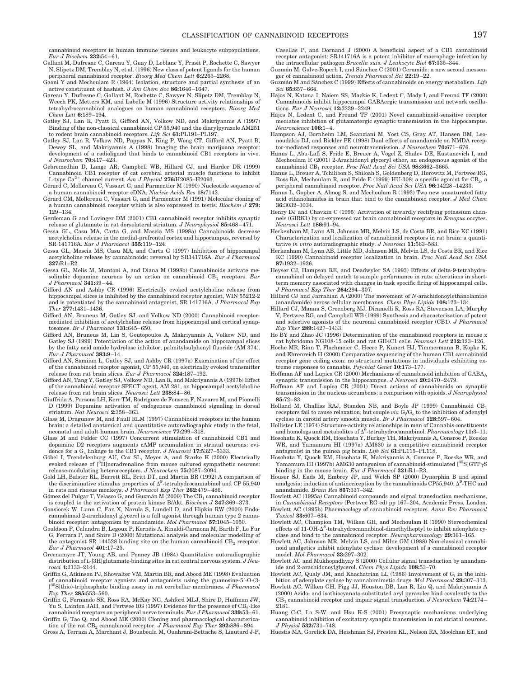cannabinoid receptors in human immune tissues and leukocyte subpopulations. *Eur J Biochem* **232:**54–61.

- Gallant M, Dufresne C, Gareau Y, Guay D, Leblanc Y, Prasit P, Rochette C, Sawyer N, Slipetz DM, Tremblay N, et al. (1996) New class of potent ligands for the human peripheral cannabinoid receptor. *Bioorg Med Chem Lett* **6:**2263–2268.
- Gaoni Y and Mechoulam R (1964) Isolation, structure and partial synthesis of an active constituent of hashish. *J Am Chem Soc* **86:**1646–1647.
- Gareau Y, Dufresne C, Gallant M, Rochette C, Sawyer N, Slipetz DM, Tremblay N, Weech PK, Metters KM, and Labelle M (1996) Structure activity relationships of tetrahydrocannabinol analogues on human cannabinoid receptors. *Bioorg Med Chem Lett* **6:**189–194.
- Gatley SJ, Lan R, Pyatt B, Gifford AN, Volkow ND, and Makriyannis A (1997) Binding of the non-classical cannabinoid CP 55,940 and the diarylpyrazole AM251 to rodent brain cannabinoid receptors. *Life Sci* **61:**PL191–PL197.
- Gatley SJ, Lan R, Volkow ND, Pappas N, King P, Wong CT, Gifford AN, Pyatt B, Dewey SL, and Makriyannis A (1998) Imaging the brain marijuana receptor: development of a radioligand that binds to cannabinoid CB1 receptors in vivo. *J Neurochem* **70:**417–423.
- Gebremedhin D, Lange AR, Campbell WB, Hillard CJ, and Harder DR (1999) Cannabinoid CB1 receptor of cat cerebral arterial muscle functions to inhibit L-type Ca<sup>2+</sup> channel current. *Am J Physiol* **276:**H2085–H2093.
- Gérard C, Mollereau C, Vassart G, and Parmentier M (1990) Nucleotide sequence of a human cannabinoid receptor cDNA. *Nucleic Acids Res* **18:**7142.
- Gérard CM, Mollereau C, Vassart G, and Parmentier M (1991) Molecular cloning of a human cannabinoid receptor which is also expressed in testis. *Biochem J* **279:** 129–134.
- Gerdeman G and Lovinger DM (2001) CB1 cannabinoid receptor inhibits synaptic release of glutamate in rat dorsolateral striatum. *J Neurophysiol* **85:**468–471.
- Gessa GL, Casu MA, Carta G, and Mascia MS (1998a) Cannabinoids decrease acetylcholine release in the medial-prefrontal cortex and hippocampus, reversal by SR 141716A. *Eur J Pharmacol* **355:**119–124.
- Gessa GL, Mascia MS, Casu MA, and Carta G (1997) Inhibition of hippocampal acetylcholine release by cannabinoids: reversal by SR141716A. *Eur J Pharmacol* **327:**R1–R2.
- Gessa GL, Melis M, Muntoni A, and Diana M (1998b) Cannabinoids activate mesolimbic dopamine neurons by an action on cannabinoid CB<sub>1</sub> receptors. *Eur J Pharmacol* **341:**39–44.
- Gifford AN and Ashby CR (1996) Electrically evoked acetylcholine release from hippocampal slices is inhibited by the cannabinoid receptor agonist, WIN 55212-2 and is potentiated by the cannabinoid antagonist, SR 141716A. *J Pharmacol Exp Ther* **277:**1431–1436.
- Gifford AN, Bruneus M, Gatley SJ, and Volkow ND (2000) Cannabinoid receptormediated inhibition of acetylcholine release from hippocampal and cortical synaptosomes. *Br J Pharmacol* **131:**645–650.
- Gifford AN, Bruneus M, Lin S, Goutopoulos A, Makriyannis A, Volkow ND, and Gatley SJ (1999) Potentiation of the action of anandamide on hippocampal slices by the fatty acid amide hydrolase inhibitor, palmitylsulphonyl fluoride (AM 374). *Eur J Pharmacol* **383:**9–14.
- Gifford AN, Samiian L, Gatley SJ, and Ashby CR (1997a) Examination of the effect of the cannabinoid receptor agonist, CP 55,940, on electrically evoked transmitter release from rat brain slices. *Eur J Pharmacol* **324:**187–192.
- Gifford AN, Tang Y, Gatley SJ, Volkow ND, Lan R, and Makriyannis A (1997b) Effect of the cannabinoid receptor SPECT agent, AM 281, on hippocampal acetylcholine release from rat brain slices. *Neurosci Lett* **238:**84–86.
- Giuffrida A, Parsons LH, Kerr TM, Rodríguez de Fonseca F, Navarro M, and Piomelli D (1999) Dopamine activation of endogenous cannabinoid signaling in dorsal striatum. *Nat Neurosci* **2:**358–363.
- Glass M, Dragunow M, and Faull RLM (1997) Cannabinoid receptors in the human brain: a detailed anatomical and quantitative autoradiographic study in the fetal, neonatal and adult human brain. *Neuroscience* **77:**299–318.
- Glass M and Felder CC (1997) Concurrent stimulation of cannabinoid CB1 and dopamine D2 receptors augments cAMP accumulation in striatal neurons: evidence for a G<sub>s</sub> linkage to the CB1 receptor. *J Neurosci* 17:5327-5333.
- Göbel I, Trendelenburg AU, Cox SL, Meyer A, and Starke K (2000) Electrically evoked release of [3H]noradrenaline from mouse cultured sympathetic neurons: release-modulating heteroreceptors. *J Neurochem* **75:**2087–2094.
- Gold LH, Balster RL, Barrett RL, Britt DT, and Martin BR (1992) A comparison of the discriminative stimulus properties of  $\Delta^9$ -tetrahydrocannabinol and CP 55,940 in rats and rhesus monkeys. *J Pharmacol Exp Ther* **262:**479–486.
- Gómez del Pulgar T, Velasco G, and Guzmán M (2000) The CB<sub>1</sub> cannabinoid receptor is coupled to the activation of protein kinase B/Akt. *Biochem J* **347:**369–373. Gonsiorek W, Lunn C, Fan X, Narula S, Lundell D, and Hipkin RW (2000) Endo-
- cannabinoid 2-arachidonyl glycerol is a full agonist through human type 2 cannabinoid receptor: antagonism by anandamide. *Mol Pharmacol* **57:**1045–1050.
- Gouldson P, Calandra B, Legoux P, Kernéis A, Rinaldi-Carmona M, Barth F, Le Fur G, Ferrara P, and Shire D (2000) Mutational analysis and molecular modelling of the antagonist SR 144528 binding site on the human cannabinoid  $CB<sub>2</sub>$  receptor. *Eur J Pharmacol* **401:**17–25.
- Greenamyre JT, Young AB, and Penney JB (1984) Quantitative autoradiographic distribution of L-[3H]glutamate-binding sites in rat central nervous system. *J Neurosci* **4:**2133–2144.
- Griffin G, Atkinson PJ, Showalter VM, Martin BR, and Abood ME (1998) Evaluation of cannabinoid receptor agonists and antagonists using the guanosine-5-O-(3- [ 35S]thio)-triphosphate binding assay in rat cerebellar membranes. *J Pharmacol Exp Ther* **285:**553–560.
- Griffin G, Fernando SR, Ross RA, McKay NG, Ashford MLJ, Shire D, Huffman JW, Yu S, Lainton JAH, and Pertwee RG (1997) Evidence for the presence of  $CB_2$ -like cannabinoid receptors on peripheral nerve terminals. *Eur J Pharmacol* **339:**53–61.
- Griffin G, Tao Q, and Abood ME (2000) Cloning and pharmacological characterization of the rat  $CB_2$  cannabinoid receptor. *J Pharmacol Exp Ther* 292:886-894.
- Gross A, Terraza A, Marchant J, Bouaboula M, Ouahrani-Bettache S, Liautard J-P,

Casellas P, and Dornand J (2000) A beneficial aspect of a CB1 cannabinoid receptor antagonist: SR141716A is a potent inhibitor of macrophage infection by the intracellular pathogen *Brucella suis. J Leukocyte Biol* **67:**335–344. Guzmán M, Galve-Roperh I, and Sánchez C (2001) Ceramide: a new second messen-

- ger of cannabinoid action. *Trends Pharmacol Sci* **22:**19–22. Guzmán M and Sánchez C (1999) Effects of cannabinoids on energy metabolism. Life
- *Sci* **65:**657–664. Ha´jos N, Katona I, Naiem SS, Mackie K, Ledent C, Mody I, and Freund TF (2000)
- Cannabinoids inhibit hippocampal GABAergic transmission and network oscillations. *Eur J Neurosci* **12:**3239–3249.
- Ha´jos N, Ledent C, and Freund TF (2001) Novel cannabinoid-sensitive receptor mediates inhibition of glutamatergic synaptic transmission in the hippocampus. *Neuroscience* **106:**1–4.
- Hampson AJ, Bornheim LM, Scanziani M, Yost CS, Gray AT, Hansen BM, Leonoudakis DJ, and Bickler PE (1998) Dual effects of anandamide on NMDA receptor-mediated responses and neurotransmission. *J Neurochem* **70:**671–676.
- Hanus L, Abu-Lafi S, Fride E, Breuer A, Vogel Z, Shalev DE, Kustanovich I, and Mechoulam R (2001) 2-Arachidonyl glyceryl ether, an endogenous agonist of the cannabinoid CB1 receptor. *Proc Natl Acad Sci USA* **98:**3662–3665.
- Hanus L, Breuer A, Tchilibon S, Shiloah S, Goldenberg D, Horowitz M, Pertwee RG, Ross RA, Mechoulam R, and Fride E (1999) HU-308: a specific agonist for  $CB_2$ , a peripheral cannabinoid receptor. *Proc Natl Acad Sci USA* **96:**14228–14233.
- Hanus L, Gopher A, Almog S, and Mechoulam R (1993) Two new unsaturated fatty acid ethanolamides in brain that bind to the cannabinoid receptor. *J Med Chem* **36:**3032–3034.
- Henry DJ and Chavkin C (1995) Activation of inwardly rectifying potassium channels (GIRK1) by co-expressed rat brain cannabinoid receptors in *Xenopus* oocytes. *Neurosci Lett* **186:**91–94.
- Herkenham M, Lynn AB, Johnson MR, Melvin LS, de Costa BR, and Rice KC (1991) Characterization and localization of cannabinoid receptors in rat brain: a quantitative *in vitro* autoradiographic study. *J Neurosci* **11:**563–583.
- Herkenham M, Lynn AB, Little MD, Johnson MR, Melvin LS, de Costa BR, and Rice KC (1990) Cannabinoid receptor localization in brain. *Proc Natl Acad Sci USA* **87:**1932–1936.
- Heyser CJ, Hampson RE, and Deadwyler SA (1993) Effects of delta-9-tetrahydrocannabinol on delayed match to sample performance in rats: alterations in shortterm memory associated with changes in task specific firing of hippocampal cells. *J Pharmacol Exp Ther* **264:**294–307.
- Hillard CJ and Jarrahian A (2000) The movement of *N*-arachidonoylethanolamine (anandamide) across cellular membranes. *Chem Phys Lipids* **108:**123–134.
- Hillard CJ, Manna S, Greenberg MJ, Dicamelli R, Ross RA, Stevenson LA, Murphy V, Pertwee RG, and Campbell WB (1999) Synthesis and characterization of potent and selective agonists of the neuronal cannabinoid receptor (CB1). *J Pharmacol Exp Ther* **289:**1427–1433.
- Ho BY and Zhao JC (1996) Determination of the cannabinoid receptors in mouse x rat hybridoma NG108-15 cells and rat GH4C1 cells. *Neurosci Lett* **212:**123–126.
- Hoehe MR, Rinn T, Flachmeier C, Heere P, Kunert HJ, Timmermann B, Kopke K, and Ehrenreich H (2000) Comparative sequencing of the human CB1 cannabinoid receptor gene coding exon: no structural mutations in individuals exhibiting extreme responses to cannabis. *Psychiat Genet* **10:**173–177.
- Hoffman AF and Lupica CR (2000) Mechanisms of cannabinoid inhibition of GABA<sub>A</sub> synaptic transmission in the hippocampus. *J Neurosci* **20:**2470–2479.
- Hoffman AF and Lupica CR (2001) Direct actions of cannabinoids on synaptic transmission in the nucleus accumbens: a comparison with opioids. *J Neurophysiol* **85:**72–83.
- Holland M, Challiss RAJ, Standen NB, and Boyle JP (1999) Cannabinoid CB receptors fail to cause relaxation, but couple  $via$   $\mathrm{G_{i}/G_{o}}$  to the inhibition of adenylyl cyclase in carotid artery smooth muscle. *Br J Pharmacol* **128:**597–604.
- Hollister LE (1974) Structure-activity relationships in man of Cannabis constituents and homologs and metabolites of <sup>9</sup> -tetrahydrocannabinol. *Pharmacology* **11:**3–11.
- Hosohata K, Quock RM, Hosohata Y, Burkey TH, Makriyannis A, Consroe P, Roeske WR, and Yamamura HI (1997a) AM630 is a competitive cannabinoid receptor antagonist in the guinea pig brain. *Life Sci* **61:**PL115–PL118.
- Hosohata Y, Quock RM, Hosohata K, Makriyannis A, Consroe P, Roeske WR, and Yamamura HI (1997b) AM630 antagonism of cannabinoid-stimulated  $[^{35}\mathrm{S}] \mathrm{GTP} \gamma \mathrm{S}$ binding in the mouse brain. *Eur J Pharmacol* **321:**R1–R3.
- Houser SJ, Eads M, Embrey JP, and Welch SP (2000) Dynorphin B and spinal analgesia: induction of antinociception by the cannabinoids CP55,940,  $\Delta^9$ -THC and anandamide. *Brain Res* **857:**337–342.
- Howlett AC (1995a) Cannabinoid compounds and signal transduction mechanisms, in *Cannabinoid Receptors* (Pertwee RG ed) pp 167–204, Academic Press, London.
- Howlett AC (1995b) Pharmacology of cannabinoid receptors. *Annu Rev Pharmacol Toxicol* **33:**607–634.
- Howlett AC, Champion TM, Wilken GH, and Mechoulam R (1990) Stereochemical effects of 11-OH- $\hat{\Delta}^8$ -tetrahydrocannabinol-dimethylheptyl to inhibit adenylate cyclase and bind to the cannabinoid receptor. *Neuropharmacology* **29:**161–165.
- Howlett AC, Johnson MR, Melvin LS, and Milne GM (1988) Non-classical cannabinoid analgetics inhibit adenylate cyclase: development of a cannabinoid receptor model. *Mol Pharmacol* **33:**297–302.
- Howlett AC and Mukhopadhyay S (2000) Cellular signal transduction by anandamide and 2-arachidonoylglycerol. *Chem Phys Lipids* **108:**53–70.
- Howlett AC, Qualy JM, and Khachatrian LL (1986) Involvement of  $G_i$  in the inhibition of adenylate cyclase by cannabimimetic drugs. *Mol Pharmacol* **29:**307–313.
- Howlett AC, Wilken GH, Pigg JJ, Houston DB, Lan R, Liu Q, and Makriyannis A (2000) Azido- and isothiocyanato-substituted aryl pyrazoles bind covalently to the CB1 cannabinoid receptor and impair signal transduction. *J Neurochem* **74:**2174– 2181.
- Huang C-C, Lo S-W, and Hsu K-S (2001) Presynaptic mechanisms underlying cannabinoid inhibition of excitatory synaptic transmission in rat striatal neurons. *J Physiol* **532:**731–748.
- Huestis MA, Gorelick DA, Heishman SJ, Preston KL, Nelson RA, Moolchan ET, and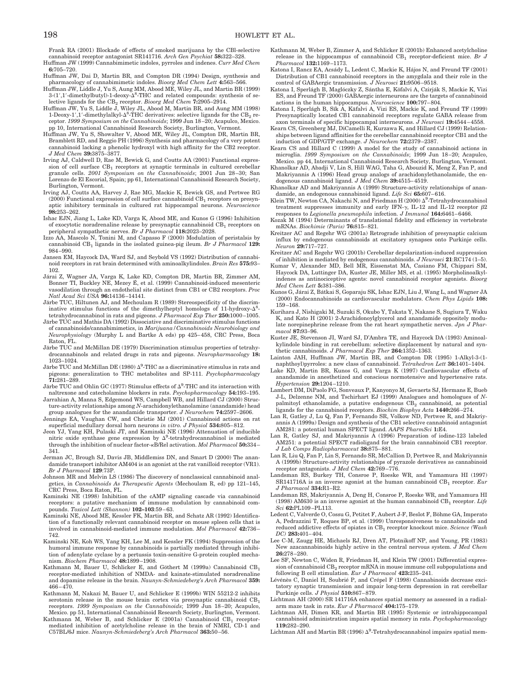Frank RA (2001) Blockade of effects of smoked marijuana by the CBl-selective cannabinoid receptor antagonist SR141716. *Arch Gen Psychiat* **58:**322–328.

Huffman JW (1999) Cannabimimetic indoles, pyrroles and indenes. *Curr Med Chem* **6:**705–720.

- Huffman JW, Dai D, Martin BR, and Compton DR (1994) Design, synthesis and
- pharmacology of cannabimimetic indoles. *Bioorg Med Chem Lett* **4:**563–566. Huffman JW, Liddle J, Yu S, Aung MM, Abood ME, Wiley JL, and Martin BR (1999)  $3-(1',1'-dimethylbutyl)-1-deoxy- $\Delta$ <sup>8</sup>-THC and related compounds: synthesis of se-$
- lective ligands for the CB2 receptor. *Bioorg Med Chem* **7:**2905–2914. Huffman JW, Yu S, Liddle J, Wiley JL, Abood M, Martin BR, and Aung MM (1998) 1-Deoxy-1',1'-dimethylalkyl- $\Delta^8$ -THC derivatives: selective ligands for the CB<sub>2</sub> receptor. *1999 Symposium on the Cannabinoids*; 1999 Jun 18–20; Acapulco, Mexico.
- pp 10, International Cannabinoid Research Society, Burlington, Vermont. Huffman JW, Yu S, Showalter V, Abood ME, Wiley JL, Compton DR, Martin BR, Bramblett RD, and Reggio PH (1996) Synthesis and pharmacology of a very potent cannabinoid lacking a phenolic hydroxyl with high affinity for the CB2 receptor. *J Med Chem* **39:**3875–3877.
- Irving AJ, Caldwell D, Rae M, Bewick G, and Coutts AA (2001) Functional expression of cell surface  $CB_1$  receptors at synaptic terminals in cultured cerebellar granule cells. *2001 Symposium on the Cannabinoids*; 2001 Jun 28–30; San Lorenzo de El Escorial, Spain; pp 61, International Cannabinoid Research Society, Burlington, Vermont.
- Irving AJ, Coutts AA, Harvey J, Rae MG, Mackie K, Bewick GS, and Pertwee RG (2000) Functional expression of cell surface cannabinoid  $CB_1$  receptors on presynaptic inhibitory terminals in cultured rat hippocampal neurons. *Neuroscience* **98:**253–262.
- Ishac EJN, Jiang L, Lake KD, Varga K, Abood ME, and Kunos G (1996) Inhibition of exocytotic noradrenaline release by presynaptic cannabinoid CB1 receptors on peripheral sympathetic nerves. *Br J Pharmacol* **118:**2023–2028.
- Izzo AA, Mascolo N, Tonini M, and Capasso F (2000) Modulation of peristalsis by cannabinoid CB<sub>1</sub> ligands in the isolated guinea-pig ileum. *Br J Pharmacol* 129: 984–990.
- Jansen EM, Haycock DA, Ward SJ, and Seybold VS (1992) Distribution of cannabinoid receptors in rat brain determined with aminoalkylindoles. *Brain Res* **575:**93– 102.
- Járai Z, Wagner JA, Varga K, Lake KD, Compton DR, Martin BR, Zimmer AM, Bonner TI, Buckley NE, Mezey É, et al. (1999) Cannabinoid-induced mesenteric vasodilation through an endothelial site distinct from CB1 or CB2 receptors. *Proc Natl Acad Sci USA* **96:**14136–14141.
- Järbe TUC, Hiltunen AJ, and Mechoulam R (1989) Stereospecificity of the discriminative stimulus functions of the dimethylheptyl homologs of 11-hydroxy- $\Delta^8$ tetrahydrocannabinol in rats and pigeons. *J Pharmacol Exp Ther* **250:**1000–1005.
- Järbe TUC and Mathis DA (1992) Dissociative and discriminative stimulus functions of cannabinoids/cannabimimetics, in *Marijuana/Cannabinoids Neurobiology and Neurophysiology* (Murphy L and Bartke A eds) pp 425–458, CRC Press, Boca Raton, FL.
- Järbe TUC and McMillan DE (1979) Discrimination stimulus properties of tetrahydrocannabinols and related drugs in rats and pigeons. *Neuropharmacology* **18:** 1023–1024.
- Järbe TUC and McMillan DE (1980)  $\Delta^9$ -THC as a discriminative stimulus in rats and pigeons: generalization to THC metabolites and SP-111. *Psychopharmacology* **71:**281–289.
- Järbe TUC and Ohlin GC (1977) Stimulus effects of  $\Delta^9$ -THC and its interaction with naltrexone and catecholamine blockers in rats. *Psychopharmacology* **54:**193–195.
- Jarrahian A, Manna S, Edgemond WS, Campbell WB, and Hillard CJ (2000) Structure-activity relationships among *N*-arachidonylethanolamine (anandamide) head group analogues for the anandamide transporter. *J Neurochem* **74:**2597–2606. Jennings EA, Vaughan CW, and Christie MJ (2001) Cannabinoid actions on rat
- superficial medullary dorsal horn neurons *in vitro. J Physiol* **534:**805–812.
- Jeon YJ, Yang KH, Pulaski JT, and Kaminski NE (1996) Attenuation of inducible nitric oxide synthase gene expression by  $\Delta^9$ -tetrahydrocannabinol is mediated through the inhibition of nuclear factor- $\kappa$ B/Rel activation. *Mol Pharmacol* **50:**334– 341.
- Jerman JC, Brough SJ, Davis JB, Middlemiss DN, and Smart D (2000) The anandamide transport inhibitor AM404 is an agonist at the rat vanilloid receptor (VR1). *Br J Pharmacol* **129**:73P.
- Johnson MR and Melvin LS (1986) The discovery of nonclassical cannabinoid analgetics, in *Cannabinoids As Therapeutic Agents* (Mechoulam R, ed) pp 121–145, CRC Press, Boca Raton, FL.
- Kaminski NE (1998) Inhibition of the cAMP signaling cascade via cannabinoid receptors: a putative mechanism of immune modulation by cannabinoid compounds. *Toxicol Lett (Shannon)* **102–103**:59–63.
- Kaminski NE, Abood ME, Kessler FK, Martin BR, and Schatz AR (1992) Identification of a functionally relevant cannabinoid receptor on mouse spleen cells that is involved in cannabinoid-mediated immune modulation. *Mol Pharmacol* **42:**736– 742.
- Kaminski NE, Koh WS, Yang KH, Lee M, and Kessler FK (1994) Suppression of the humoral immune response by cannabinoids is partially mediated through inhibition of adenylate cyclase by a pertussis toxin-sensitive G-protein coupled mecha-nism. *Biochem Pharmacol* **48:**1899–1908.
- Kathmann M, Bauer U, Schlicker E, and Göthert M (1999a) Cannabinoid  $CB_1$ receptor-mediated inhibition of NMDA- and kainate-stimulated noradrenaline and dopamine release in the brain. *Naunyn-Schmiedeberg's Arch Pharmacol* **359:** 466–470.
- Kathmann M, Nakazi M, Bauer U, and Schlicker E (1999b) WIN 55212-2 inhibits serotonin release in the mouse brain cortex via presynaptic cannabinoid  $CB<sub>1</sub>$ receptors. *1999 Symposium on the Cannabinoids*; 1999 Jun 18–20; Acapulco, Mexico. pp 51, International Cannabinoid Research Society, Burlington, Vermont.
- Kathmann M, Weber B, and Schlicker E (2001a) Cannabinoid  $CB<sub>1</sub>$  receptormediated inhibition of acetylcholine release in the brain of NMRI, CD-1 and C57BL/6J mice. *Naunyn-Schmiedeberg's Arch Pharmacol* **363:**50–56.
- Kathmann M, Weber B, Zimmer A, and Schlicker E (2001b) Enhanced acetylcholine release in the hippocampus of cannabinoid  $CB_1$  receptor-deficient mice. *Br J Pharmacol* **132:**1169–1173.
- Katona I, Rancz EA, Acsády L, Ledent C, Mackie K, Hájos N, and Freund TF (2001) Distribution of CB1 cannabinoid receptors in the amygdala and their role in the control of GABAergic transmission. *J Neurosci* **21:**9506–9518.
- Katona I, Sperlágh B, Maglóczky Z, Sántha E, Köfalvi A, Czirják S, Mackie K, Vizi ES, and Freund TF (2000) GABAergic interneurons are the targets of cannabinoid actions in the human hippocampus. *Neuroscience* **100:**797–804.
- Katona I, Sperlágh B, Sík A, Käfalvi A, Vizi ES, Mackie K, and Freund TF (1999) Presynaptically located CB1 cannabinoid receptors regulate GABA release from axon terminals of specific hippocampal interneurons. *J Neurosci* **19:**4544–4558.
- Kearn CS, Greenberg MJ, DiCamelli R, Kurzawa K, and Hillard CJ (1999) Relationships between ligand affinities for the cerebellar cannabinoid receptor CB1 and the induction of GDP/GTP exchange. *J Neurochem* **72:**2379–2387.
- Kearn CS and Hillard C (1999) A model for the study of cannabinoid actions in microglia. *1999 Symposium on the Cannabinoids*; 1999 Jun 18–20; Acapulco, Mexico. pp 44, International Cannabinoid Research Society, Burlington, Vermont.
- Khanolkar AD, Abadji V, Lin S, Hill WAG, Taha G, Abouzid K, Meng Z, Fan P, and Makriyannis A (1996) Head group analogs of arachidonylethanolamide, the endogenous cannabinoid ligand. *J Med Chem* **39:**4515–4519.
- Khanolkar AD and Makriyannis A (1999) Structure-activity relationships of anandamide, an endogenous cannabinoid ligand. *Life Sci* **65:**607–616.
- Klein TW, Newton CA, Nakachi N, and Friedman  $H(2000)$   $\Delta^9$ -Tetrahydrocannabinol treatment suppresses immunity and early IFN- $\gamma$ , IL-12 and IL-12 receptor  $\beta2$ responses to *Legionella pneumophila* infection. *J Immunol* **164:**6461–6466.
- Kozak M (1994) Determinants of translational fidelity and efficiency in vertebrate mRNAs. *Biochimie (Paris)* **76:**815–821.
- Kreitzer AC and Regehr WG (2001a) Retrograde inhibition of presynaptic calcium influx by endogenous cannabinoids at excitatory synapses onto Purkinje cells. *Neuron* **29:**717–727.
- Kreitzer AC and Regehr WG (2001b) Cerebellar depolarization-induced suppression of inhibition is mediated by endogenous cannabinoids. *J Neurosci* **21**:RC174 (1–5).
- Kumar V, Alexander MD, Bell MR, Eissenstat MA, Casiano FM, Chippari SM, Haycock DA, Luttinger DA, Kuster JE, Miller MS, et al. (1995) Morpholinoalkylindenes as antinociceptive agents: novel cannabinoid receptor agonists. *Bioorg Med Chem Lett* **5:**381–386.
- Kunos G, Járai Z, Bátkai S, Goparaju SK, Ishac EJN, Liu J, Wang L, and Wagner JA (2000) Endocannabinoids as cardiovascular modulators. *Chem Phys Lipids* **108:** 159–168.
- Kurihara J, Nishigaki M, Suzuki S, Okubo Y, Takata Y, Nakane S, Sugiura T, Waku K, and Kato H (2001) 2-Arachidonoylglycerol and anandamide oppositely modulate norepinephrine release from the rat heart sympathetic nerves. *Jpn J Pharmacol* **87:**93–96.
- Kuster JE, Stevenson JI, Ward SJ, D'Ambra TE, and Haycock DA (1993) Aminoalkylindole binding in rat cerebellum: selective displacement by natural and synthetic cannabinoids. *J Pharmacol Exp Ther* **264:**1352–1363.
- Lainton JAH, Huffman JW, Martin BR, and Compton DR (1995) 1-Alkyl-3-(1 naphthoyl)pyrroles: a new class of cannabinoid. *Tetrahedron Lett* **36:**1401–1404.
- Lake KD, Martin BR, Kunos G, and Varga K (1997) Cardiovascular effects of anandamide in anesthetized and conscious normotensive and hypertensive rats. *Hypertension* **29:**1204–1210.
- Lambert DM, DiPaolo FG, Sonveaux P, Kanyonyo M, Govaerts SJ, Hermans E, Bueb J-L, Delzenne NM, and Tschirhart EJ (1999) Analogues and homologues of *N*palmitoyl ethanolamide, a putative endogenous  $CB<sub>2</sub>$  cannabinoid, as potential ligands for the cannabinoid receptors. *Biochim Biophys Acta* **1440:**266–274.
- Lan R, Gatley J, Lu Q, Fan P, Fernando SR, Volkow ND, Pertwee R, and Makriy-annis A (1999a) Design and synthesis of the CB1 selective cannabinoid antagonist AM281: a potential human SPECT ligand. *AAPS PharmSci* **1:**E4.
- Lan R, Gatley SJ, and Makriyannis A (1996) Preparation of iodine-123 labeled AM251: a potential SPECT radioligand for the brain cannabinoid CB1 receptor. *J Lab Comps Radiopharmaceut* **38:**875–881.
- Lan R, Liu Q, Fan P, Lin S, Fernando SR, McCallion D, Pertwee R, and Makriyannis A (1999b) Structure-activity relationships of pyrazole derivatives as cannabinoid receptor antagonists. *J Med Chem* **42:**769–776.
- Landsman RS, Burkey TH, Consroe P, Roeske WR, and Yamamura HI (1997) SR141716A is an inverse agonist at the human cannabinoid  $CB<sub>1</sub>$  receptor. *Eur J Pharmacol* **334:**R1–R2.
- Landsman RS, Makriyannis A, Deng H, Consroe P, Roeske WR, and Yamamura HI (1998) AM630 is an inverse agonist at the human cannabinoid  $CB<sub>1</sub>$  receptor. *Life Sci* **62:**PL109–PL113.
- Ledent C, Valverde O, Cossu G, Petitet F, Aubert J-F, Beslot F, Böhme GA, Imperato A, Pedrazzini T, Roques BP, et al. (1999) Unresponsiveness to cannabinoids and reduced addictive effects of opiates in CB1 receptor knockout mice. *Science (Wash DC)* **283:**401–404.
- Lee C-M, Zaugg HE, Michaels RJ, Dren AT, Plotnikoff NP, and Young, PR (1983) New azacannabinoids highly active in the central nervous system. *J Med Chem* **26:**278–280.
- Lee SF, Newton C, Widen R, Friedman H, and Klein TW (2001) Differential expression of cannabinoid  $CB_2$  receptor mRNA in mouse immune cell subpopulations and following B cell stimulation. *Eur J Pharmacol* **423:**235–241.
- Lévénès C, Daniel H, Soubrié P, and Crépel F (1998) Cannabinoids decrease excitatory synaptic transmission and impair long-term depression in rat cerebellar Purkinje cells. *J Physiol* **510:**867–879.
- Lichtman AH (2000) SR 141716A enhances spatial memory as assessed in a radialarm maze task in rats. *Eur J Pharmacol* **404:**175–179.
- Lichtman AH, Dimen KR, and Martin BR (1995) Systemic or intrahippocampal cannabinoid administration impairs spatial memory in rats. *Psychopharmacology* **119:**282–290.
- Lichtman AH and Martin BR (1996)  $\Delta^9$ -Tetrahydrocannabinol impairs spatial mem-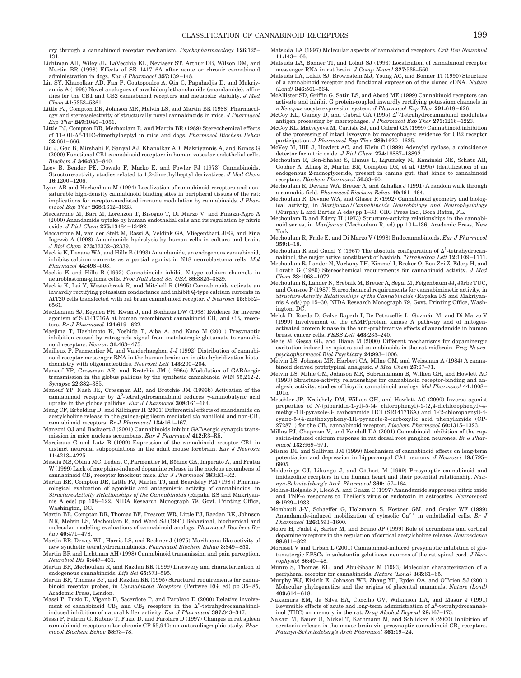ory through a cannabinoid receptor mechanism. *Psychopharmacology* **126:**125– 131.

- Lichtman AH, Wiley JL, LaVecchia KL, Neviaser ST, Arthur DB, Wilson DM, and Martin BR (1998) Effects of SR 141716A after acute or chronic cannabinoid administration in dogs. *Eur J Pharmacol* **357:**139–148.
- Lin SY, Khanolkar AD, Fan P, Goutopoulos A, Qin C, Papahadjis D, and Makriyannis A (1998) Novel analogues of arachidonylethanolamide (anandamide): affinities for the CB1 and CB2 cannabinoid receptors and metabolic stability. *J Med Chem* **41:**5353–5361.
- Little PJ, Compton DR, Johnson MR, Melvin LS, and Martin BR (1988) Pharmacology and stereoselectivity of structurally novel cannabinoids in mice. *J Pharmacol Exp Ther* **247:**1046–1051.
- Little PJ, Compton DR, Mechoulam R, and Martin BR (1989) Stereochemical effects of 11-OH-<sup>8</sup> -THC-dimethylheptyl in mice and dogs. *Pharmacol Biochem Behav* **32:**661–666.
- Liu J, Gao B, Mirshahi F, Sanyal AJ, Khanolkar AD, Makriyannis A, and Kunos G (2000) Functional CB1 cannabinoid receptors in human vascular endothelial cells. *Biochem J* **346:**835–840.
- Loev B, Bender PE, Dowalo F, Macko E, and Fowler PJ (1973) Cannabinoids. Structure-activity studies related to 1,2-dimethylheptyl derivatives. *J Med Chem* **16:**1200–1206.
- Lynn AB and Herkenham M (1994) Localization of cannabinoid receptors and nonsaturable high-density cannabinoid binding sites in peripheral tissues of the rat: implications for receptor-mediated immune modulation by cannabinoids. *J Pharmacol Exp Ther* **268:**1612–1623.
- Maccarrone M, Bari M, Lorenzon T, Bisogno T, Di Marzo V, and Finazzi-Agro A (2000) Anandamide uptake by human endothelial cells and its regulation by nitric oxide. *J Biol Chem* **275:**13484–13492.
- Maccarrone M, van der Stelt M, Rossi A, Veldink GA, Vliegenthart JFG, and Fina Iagrzzo` A (1998) Anandamide hydrolysis by human cells in culture and brain. *J Biol Chem* **273:**32332–32339.
- Mackie K, Devane WA, and Hille B (1993) Anandamide, an endogenous cannabinoid, inhibits calcium currents as a partial agonist in N18 neuroblastoma cells. *Mol Pharmacol* **44:**498–503.
- Mackie K and Hille B (1992) Cannabinoids inhibit N-type calcium channels in neuroblastoma-glioma cells. *Proc Natl Acad Sci USA* **89:**3825–3829.
- Mackie K, Lai Y, Westenbroek R, and Mitchell R (1995) Cannabinoids activate an inwardly rectifying potassium conductance and inhibit Q-type calcium currents in AtT20 cells transfected with rat brain cannabinoid receptor. *J Neurosci* **15:**6552– 6561.
- MacLennan SJ, Reynen PH, Kwan J, and Bonhaus DW (1998) Evidence for inverse agonism of SR141716A at human recombinant cannabinoid  $CB_1$  and  $CB_2$  receptors. *Br J Pharmacol* **124:**619–622.
- Maejima T, Hashimoto K, Yoshida T, Aiba A, and Kano M (2001) Presynaptic inhibition caused by retrograde signal from metabotropic glutamate to cannabinoid receptors. *Neuron* **31:**463–475.
- Mailleux P, Parmentier M, and Vanderhaeghen J-J (1992) Distribution of cannabinoid receptor messenger RNA in the human brain: an in situ hybridization histochemistry with oligonucleotides. *Neurosci Lett* **143:**200–204.
- Maneuf YP, Crossman AR, and Brotchie JM (1996a) Modulation of GABAergic transmission in the globus pallidus by the synthetic cannabinoid WIN 55,212-2. *Synapse* **22:**382–385.
- Maneuf YP, Nash JE, Crossman AR, and Brotchie JM (1996b) Activation of the cannabinoid receptor by  $\Delta^9$ -tetrahydrocannabinol reduces  $\gamma$ -aminobutyric acid uptake in the globus pallidus. *Eur J Pharmacol* **308:**161–164.
- Mang CF, Erbelding D, and Kilbinger H (2001) Differential effects of anandamide on acetylcholine release in the guinea-pig ileum mediated  $via$  vanilloid and non-CB<sub>1</sub> cannabinoid receptors. *Br J Pharmacol* **134:**161–167.
- Manzoni OJ and Bockaert J (2001) Cannabinoids inhibit GABAergic synaptic transmission in mice nucleus accumbens. *Eur J Pharmacol* **412:**R3–R5.
- Marsicano G and Lutz B (1999) Expression of the cannabinoid receptor CB1 in distinct neuronal subpopulations in the adult mouse forebrain. *Eur J Neurosci* **11:**4213–4225.
- Mascia MS, Obinu MC, Ledent C, Parmentier M, Böhme GA, Imperato A, and Fratta W (1999) Lack of morphine-induced dopamine release in the nucleus accumbens of cannabinoid CB1 receptor knockout mice. *Eur J Pharmacol* **383:**R1–R2.
- Martin BR, Compton DR, Little PJ, Martin TJ, and Beardsley PM (1987) Pharmacological evaluation of agonistic and antagonistic activity of cannabinoids, in *Structure-Activity Relationships of the Cannabinoids* (Rapaka RS and Makriyannis A eds) pp 108–122, NIDA Research Monograph 79, Govt. Printing Office, Washington, DC.
- Martin BR, Compton DR, Thomas BF, Prescott WR, Little PJ, Razdan RK, Johnson MR, Melvin LS, Mechoulam R, and Ward SJ (1991) Behavioral, biochemical and molecular modeling evaluations of cannabinoid analogs. *Pharmacol Biochem Behav* **40:**471–478.
- Martin BR, Dewey WL, Harris LS, and Beckner J (1975) Marihuana-like activity of new synthetic tetrahydrocannabinols. *Pharmacol Biochem Behav* **3:**849–853.
- Martin BR and Lichtman AH (1998) Cannabinoid transmission and pain perception. *Neurobiol Dis* **5:**447–461.
- Martin BR, Mechoulam R, and Razdan RK (1999) Discovery and characterization of endogenous cannabinoids. *Life Sci* **65:**573–595.
- Martin BR, Thomas BF, and Razdan RK (1995) Structural requirements for cannabinoid receptor probes, in *Cannabinoid Receptors* (Pertwee RG, ed) pp 35–85, Academic Press, London.
- Massi P, Fuzio D, Viganò D, Sacerdote P, and Parolaro D (2000) Relative involvement of cannabinoid  $CB_1$  and  $CB_2$  receptors in the  $\Delta^9$ -tetrahydrocannabinolinduced inhibition of natural killer activity. *Eur J Pharmacol* **387:**343–347.
- Massi P, Patrini G, Rubino T, Fuzio D, and Parolaro D (1997) Changes in rat spleen cannabinoid receptors after chronic CP-55,940: an autoradiographic study. *Pharmacol Biochem Behav* **58:**73–78.
- Matsuda LA (1997) Molecular aspects of cannabinoid receptors. *Crit Rev Neurobiol* **11:**143–166.
- Matsuda LA, Bonner TI, and Lolait SJ (1993) Localization of cannabinoid receptor messenger RNA in rat brain. *J Comp Neurol* **327:**535–550.
- Matsuda LA, Lolait SJ, Brownstein MJ, Young AC, and Bonner TI (1990) Structure of a cannabinoid receptor and functional expression of the cloned cDNA. *Nature (Lond)* **346:**561–564.
- McAllister SD, Griffin G, Satin LS, and Abood ME (1999) Cannabinoid receptors can activate and inhibit G protein-coupled inwardly rectifying potassium channels in a *Xenopus* oocyte expression system. *J Pharmacol Exp Ther* **291:**618–626.
- McCoy KL, Gainey D, and Cabral GA (1995)  $\Delta^9$ -Tetrahydrocannabinol modulates antigen processing by macrophages. *J Pharmacol Exp Ther* **273:**1216–1223.
- McCoy KL, Matveyeva M, Carlisle SJ, and Cabral GA (1999) Cannabinoid inhibition of the processing of intact lysozyme by macrophages: evidence for CB2 receptor participation. *J Pharmacol Exp Ther* **289:**1620–1625.
- McVey M, Hill J, Howlett AC, and Klein C (1999) Adenylyl cyclase, a coincidence detector for nitric oxide. *J Biol Chem* **274:**18887–18892.
- Mechoulam R, Ben-Shabat S, Hanus L, Ligumsky M, Kaminski NE, Schatz AR, Gopher A, Almog S, Martin BR, Compton DR, et al. (1995) Identification of an endogenous 2-monoglyceride, present in canine gut, that binds to cannabinoid receptors. *Biochem Pharmacol* **50:**83–90.
- Mechoulam R, Devane WA, Breuer A, and Zahalka J (1991) A random walk through a cannabis field. *Pharmacol Biochem Behav* **40:**461–464.
- Mechoulam R, Devane WA, and Glaser R (1992) Cannabinoid geometry and biological activity, in *Marijuana/Cannabinoids Neurobiology and Neurophysiology* (Murphy L and Bartke A eds) pp 1–33, CRC Press Inc., Boca Raton, FL.
- Mechoulam R and Edery H (1973) Structure-activity relationships in the cannabinoid series, in *Marijuana* (Mechoulam R, ed) pp 101–136, Academic Press, New York.
- Mechoulam R, Fride E, and Di Marzo V (1998) Endocannabinoids. *Eur J Pharmacol* **359:**1–18.
- Mechoulam R and Gaoni Y (1967) The absolute configuration of  $\Delta^1$ -tetrahydrocannabinol, the major active constituent of hashish. *Tetrahedron Lett* **12:**1109–1111.
- Mechoulam R, Lander N, Varkony TH, Kimmel I, Becker O, Ben-Zvi Z, Edery H, and Porath G (1980) Stereochemical requirements for cannabinoid activity. *J Med Chem* **23:**1068–1072.
- Mechoulam R, Lander N, Srebnik M, Breuer A, Segal M, Feigenbaum JJ, Järbe TUC, and Consroe P (1987) Stereochemical requirements for cannabimimetic activity, in *Structure-Activity Relationships of the Cannabinoids* (Rapaka RS and Makriyannis A eds) pp 15–30, NIDA Research Monograph 79, Govt. Printing Office, Washington, DC.
- Melck D, Rueda D, Galve Roperh I, De Petrocellis L, Guzmán M, and Di Marzo V (1999) Involvement of the cAMP/protein kinase A pathway and of mitogenactivated protein kinase in the anti-proliferative effects of anandamide in human breast cancer cells. *FEBS Lett* **463:**235–240.
- Melis M, Gessa GL, and Diana M (2000) Different mechanisms for dopaminergic excitation induced by opiates and cannabinoids in the rat midbrain. *Prog Neuropsychopharmacol Biol Psychiatry* **24:**993–1006.
- Melvin LS, Johnson MR, Harbert CA, Milne GM, and Weissman A (1984) A cannabinoid derived prototypical analgesic. *J Med Chem* **27:**67–71.
- Melvin LS, Milne GM, Johnson MR, Subramaniam B, Wilken GH, and Howlett AC (1993) Structure-activity relationships for cannabinoid receptor-binding and analgesic activity: studies of bicyclic cannabinoid analogs. *Mol Pharmacol* **44:**1008– 1015.
- Meschler JP, Kraichely DM, Wilken GH, and Howlett AC (2000) Inverse agonist properties of *N-*(piperidin-1-yl)-5-(4- chlorophenyl)-1-(2,4-dichlorophenyl)-4 methyl-1H-pyrazole-3- carboxamide HCl (SR141716A) and 1-(2-chlorophenyl)-4 cyano-5-(4-methoxypheny-1H-pyrazole-3-carboxylic acid phenylamide (CP-272871) for the CB<sub>1</sub> cannabinoid receptor. *Biochem Pharmacol* **60:**1315–1323.<br>Millns PJ, Chapman V, and Kendall DA (2001) Cannabinoid inhibition of the cap-
- saicin-induced calcium response in rat dorsal root ganglion neurones. *Br J Pharmacol* **132:**969–971.
- Misner DL and Sullivan JM (1999) Mechanism of cannabinoid effects on long-term potentiation and depression in hippocampal CA1 neurons. *J Neurosci* **19:**6795– 6805.
- Molderings GJ, Likungu J, and Göthert M (1999) Presynaptic cannabinoid and imidazoline receptors in the human heart and their potential relationship. *Naunyn-Schmiedeberg's Arch Pharmacol* **360:**157–164.
- Molina-Holgado F, Lledo´ A, and Guaza C (1997) Anandamide suppresses nitric oxide and  $TNF-\alpha$  responses to Theiler's virus or endotoxin in astrocytes. *Neuroreport* **8:**1929–1933.
- Mombouli J-V, Schaeffer G, Holzmann S, Kostner GM, and Graier WF (1999) Anandamide-induced mobilization of cytosolic Ca<sup>2+</sup> in endothelial cells. *Br J Pharmacol* **126:**1593–1600.
- Moore H, Fadel J, Sarter M, and Bruno JP (1999) Role of accumbens and cortical dopamine receptors in the regulation of cortical acetylcholine release. *Neuroscience* **88:**811–822.
- Morisset V and Urban L (2001) Cannabinoid-induced presynaptic inhibition of glutamatergic EPSCs in substantia gelatinosa neurons of the rat spinal cord. *J Neurophysiol* **86:**40–48.
- Munro S, Thomas KL, and Abu-Shaar M (1993) Molecular characterization of a peripheral receptor for cannabinoids. *Nature (Lond)* **365:**61–65.
- Murphy WJ, Eizirik E, Johnson WE, Zhang YP, Ryder OA, and O'Brien SJ (2001) Molecular phylogenetics and the origins of placental mammals. *Nature (Lond)* **409:**614–618.
- Nakamura EM, da Silva EA, Concilio GV, Wilkinson DA, and Masur J (1991) Reversible effects of acute and long-term administration of  $\Delta^9$ -tetrahydrocannabinol (THC) on memory in the rat. *Drug Alcohol Depend* **28:**167–175.
- Nakazi M, Bauer U, Nickel T, Kathmann M, and Schlicker E (2000) Inhibition of serotonin release in the mouse brain via presynaptic cannabinoid  $CB<sub>1</sub>$  receptors. *Naunyn-Schmiedeberg's Arch Pharmacol* **361:**19–24.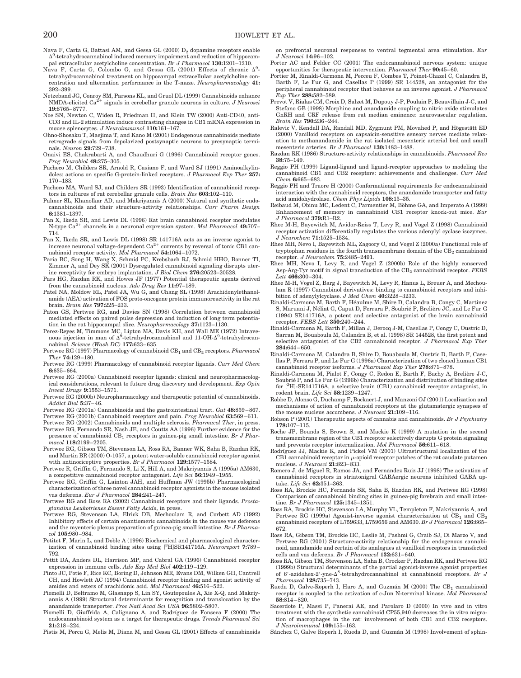- Nava F, Carta G, Battasi AM, and Gessa GL  $(2000)$  D<sub>2</sub> dopamine receptors enable  $\Delta^9$ -tetrahydrocannabinol induced memory impairment and reduction of hippocampal extracellular acetylcholine concentration. *Br J Pharmacol* **130:**1201–1210.
- Nava F, Carta G, Colombo G, and Gessa GL (2001) Effects of chronic  $\Delta^9$ tetrahydrocannabinol treatment on hippocampal extracellular acetylcholine concentration and alternation performance in the T-maze. *Neuropharmacology* **41:** 392–399.
- Netzeband JG, Conroy SM, Parsons KL, and Gruol DL (1999) Cannabinoids enhance<br>NMDA-elicited Ca<sup>2+</sup> signals in cerebellar granule neurons in culture. *J Neurosci* **19:**8765–8777.
- Noe SN, Newton C, Widen R, Friedman H, and Klein TW (2000) Anti-CD40, anti-CD3 and IL-2 stimulation induce contrasting changes in CB1 mRNA expression in mouse splenocytes. *J Neuroimmunol* **110:**161–167.
- Ohno-Shosaku T, Maejima T, and Kano M (2001) Endogenous cannabinoids mediate retrograde signals from depolarized postsynaptic neurons to presynaptic terminals. *Neuron* **29:**729–738.
- Onaivi ES, Chakrabarti A, and Chaudhuri G (1996) Cannabinoid receptor genes. *Prog Neurobiol* **48:**275–305.
- Pacheco M, Childers SR, Arnold R, Casiano F, and Ward SJ (1991) Aminoalkylindoles: actions on specific G-protein-linked receptors. *J Pharmacol Exp Ther* **257:** 170–183.
- Pacheco MA, Ward SJ, and Childers SR (1993) Identification of cannabinoid receptors in cultures of rat cerebellar granule cells. *Brain Res* **603:**102–110.
- Palmer SL, Khanolkar AD, and Makriyannis A (2000) Natural and synthetic endocannabinoids and their structure-activity relationships. *Curr Pharm Design* **6:**1381–1397.
- Pan X, Ikeda SR, and Lewis DL (1996) Rat brain cannabinoid receptor modulates N-type Ca<sup>2+</sup> channels in a neuronal expression system. *Mol Pharmacol* 49:707– 714.
- Pan X, Ikeda SR, and Lewis DL (1998) SR 141716A acts as an inverse agonist to increase neuronal voltage-dependent  $Ca^{2+}$  currents by reversal of tonic CB1 cannabinoid receptor activity. *Mol Pharmacol* **54:**1064–1072.
- Paria BC, Song H, Wang X, Schmid PC, Krebsbach RJ, Schmid HHO, Bonner TI, Zimmer A, and Dey SK (2001) Dysregulated cannabinoid signaling disrupts uter-
- ine receptivity for embryo implantation. *J Biol Chem* **276:**20523–20528. Pars HG, Razdan RK, and Howes JF (1977) Potential therapeutic agents derived from the cannabinoid nucleus. *Adv Drug Res* **11:**97–189.
- Patel NA, Moldow RL, Patel JA, Wu G, and Chang SL (1998) Arachidonylethanolamide (AEA) activation of FOS proto-oncogene protein immunoreactivity in the rat brain. *Brain Res* **797:**225–233.
- Paton GS, Pertwee RG, and Davies SN (1998) Correlation between cannabinoid mediated effects on paired pulse depression and induction of long term potentiation in the rat hippocampal slice. *Neuropharmacology* **37:**1123–1130.
- Perez-Reyes M, Timmons MC, Lipton MA, Davis KH, and Wall ME (1972) Intravenous injection in man of  $\Delta^9$ -tetrahydrocannabinol and 11-OH- $\Delta^9$ -tetrahydrocannabinol. *Science (Wash DC)* **177:**633–635.
- Pertwee RG (1997) Pharmacology of cannabinoid CB<sub>1</sub> and CB<sub>2</sub> receptors. *Pharmacol Ther* **74:**129–180.
- Pertwee RG (1999) Pharmacology of cannabinoid receptor ligands. *Curr Med Chem* **6:**635–664.
- Pertwee RG (2000a) Cannabinoid receptor ligands: clinical and neuropharmacological considerations, relevant to future drug discovery and development. *Exp Opin Invest Drugs* **9:**1553–1571.
- Pertwee RG (2000b) Neuropharmacology and therapeutic potential of cannabinoids. *Addict Biol* **5:**37–46.

Pertwee RG (2001a) Cannabinoids and the gastrointestinal tract. *Gut* **48:**859–867. Pertwee RG (2001b) Cannabinoid receptors and pain. *Prog Neurobiol* **63:**569–611.

Pertwee RG (2002) Cannabinoids and multiple sclerosis. *Pharmacol Ther*, in press.

- Pertwee RG, Fernando SR, Nash JE, and Coutts AA (1996) Further evidence for the presence of cannabinoid CB<sub>1</sub> receptors in guinea-pig small intestine. *Br J Pharmacol* **118:**2199–2205.
- Pertwee RG, Gibson TM, Stevenson LA, Ross RA, Banner WK, Saha B, Razdan RK, and Martin BR (2000) O-1057, a potent water-soluble cannabinoid receptor agonist with antinociceptive properties. *Br J Pharmacol* **129:**1577–1584.

Pertwee R, Griffin G, Fernando S, Li X, Hill A, and Makriyannis A (1995a) AM630, a competitive cannabinoid receptor antagonist. *Life Sci* **56:**1949–1955.

- Pertwee RG, Griffin G, Lainton JAH, and Huffman JW (1995b) Pharmacological characterization of three novel cannabinoid receptor agonists in the mouse isolated vas deferens. *Eur J Pharmacol* **284:**241–247.
- Pertwee RG and Ross RA (2002) Cannabinoid receptors and their ligands. *Prostaglandins Leukotrienes Essent Fatty Acids*, in press.
- Pertwee RG, Stevenson LA, Elrick DB, Mechoulam R, and Corbett AD (1992) Inhibitory effects of certain enantiomeric cannabinoids in the mouse vas deferens and the myenteric plexus preparation of guinea-pig small intestine. *Br J Pharmacol* **105:**980–984.
- Petitet F, Marin L, and Doble A (1996) Biochemical and pharmacological characterization of cannabinoid binding sites using [<sup>3</sup> H]SR141716A. *Neuroreport* **7:**789– 792.
- Pettit DA, Anders DL, Harrison MP, and Cabral GA (1996) Cannabinoid receptor expression in immune cells. *Adv Exp Med Biol* **402:**119–129.
- Pinto JC, Potie F, Rice KC, Boring D, Johnson MR, Evans DM, Wilken GH, Cantrell CH, and Howlett AC (1994) Cannabinoid receptor binding and agonist activity of amides and esters of arachidonic acid. *Mol Pharmacol* **46:**516–522.
- Piomelli D, Beltramo M, Glasnapp S, Lin SY, Goutopoulos A, Xie X-Q, and Makriyannis A (1999) Structural determinants for recognition and translocation by the anandamide transporter. *Proc Natl Acad Sci USA* **96:**5802–5807.
- Piomelli D, Giuffrida A, Calignano A, and Rodríguez de Fonseca F (2000) The endocannabinoid system as a target for therapeutic drugs. *Trends Pharmacol Sci* **21:**218–224.

Pistis M, Porcu G, Melis M, Diana M, and Gessa GL (2001) Effects of cannabinoids

on prefrontal neuronal responses to ventral tegmental area stimulation. *Eur J Neurosci* **14:**96–102.

- Porter AC and Felder CC (2001) The endocannabinoid nervous system: unique opportunities for therapeutic intervention. *Pharmacol Ther* **90:**45–60.
- Portier M, Rinaldi-Carmona M, Pecceu F, Combes T, Poinot-Chazel C, Calandra B, Barth F, Le Fur G, and Casellas P (1999) SR 144528, an antagonist for the peripheral cannabinoid receptor that behaves as an inverse agonist. *J Pharmacol Exp Ther* **288:**582–589.
- Prevot V, Rialas CM, Croix D, Salzet M, Dupouy J-P, Poulain P, Beauvillain J-C, and Stefano GB (1998) Morphine and anandamide coupling to nitric oxide stimulates GnRH and CRF release from rat median eminence: neurovascular regulation. *Brain Res* **790:**236–244.
- Ralevic V, Kendall DA, Randall MD, Zygmunt PM, Movahed P, and Högestätt ED (2000) Vanilloid receptors on capsaicin-sensitive sensory nerves mediate relaxation to methanandamide in the rat isolated mesenteric arterial bed and small mesenteric arteries. *Br J Pharmacol* **130:**1483–1488.
- Razdan RK (1986) Structure-activity relationships in cannabinoids. *Pharmacol Rev* **38:**75–149.
- Reggio PH (1999) Ligand-ligand and ligand-receptor approaches to modeling the cannabinoid CB1 and CB2 receptors: achievements and challenges. *Curr Med Chem* **6:**665–683.
- Reggio PH and Traore H (2000) Conformational requirements for endocannabinoid interaction with the cannabinoid receptors, the anandamide transporter and fatty acid amidohydrolase. *Chem Phys Lipids* **108:**15–35.
- Reibaud M, Obinu MC, Ledent C, Parmentier M, Böhme GA, and Imperato A (1999) Enhancement of memory in cannabinoid CB1 receptor knock-out mice. *Eur J Pharmacol* **379:**R1–R2.
- Rhee M-H, Bayewitch M, Avidor-Reiss T, Levy R, and Vogel Z (1998) Cannabinoid receptor activation differentially regulates the various adenylyl cyclase isozymes. *J Neurochem* **71:**1525–1534.
- Rhee MH, Nevo I, Bayewitch ML, Zagoory O, and Vogel Z (2000a) Functional role of tryptophan residues in the fourth transmembrane domain of the  $CB<sub>2</sub>$  cannabinoid receptor. *J Neurochem* **75:**2485–2491.
- Rhee MH, Nevo I, Levy R, and Vogel Z (2000b) Role of the highly conserved Asp-Arg-Tyr motif in signal transduction of the CB<sub>2</sub> cannabinoid receptor. *FEBS Lett* **466:**300–304.
- Rhee M-H, Vogel Z, Barg J, Bayewitch M, Levy R, Hanus L, Breuer A, and Mechoulam R (1997) Cannabinol derivatives: binding to cannabinoid receptors and inhibition of adenylylcyclase. *J Med Chem* **40:**3228–3233.
- Rinaldi-Carmona M, Barth F, Héaulme M, Shire D, Calandra B, Congy C, Martinez S, Maruani J, Néliat G, Caput D, Ferrara P, Soubrie P, Brelière JC, and Le Fur G (1994) SR141716A, a potent and selective antagonist of the brain cannabinoid receptor. *FEBS Lett* **350:**240–244.
- Rinaldi-Carmona M, Barth F, Millan J, Derocq J-M, Casellas P, Congy C, Oustric D, Sarran M, Bouaboula M, Calandra B, et al. (1998) SR 144528, the first potent and selective antagonist of the CB2 cannabinoid receptor. *J Pharmacol Exp Ther* **284:**644–650.
- Rinaldi-Carmona M, Calandra B, Shire D, Bouaboula M, Oustric D, Barth F, Casellas P, Ferrara P, and Le Fur G (1996a) Characterization of two cloned human CB1 cannabinoid receptor isoforms. *J Pharmacol Exp Ther* **278:**871–878.
- Rinaldi-Carmona M, Pialot F, Congy C, Redon E, Barth F, Bachy A, Brelière J-C, Soubrie<sup> $P$ </sup>, and Le Fur G (1996b) Characterization and distribution of binding sites for [3 H]-SR141716A, a selective brain (CB1) cannabinoid receptor antagonist, in rodent brain. *Life Sci* **58:**1239–1247.
- Robbe D, Alonso G, Duchamp F, Bockaert J, and Manzoni OJ (2001) Localization and mechanisms of action of cannabinoid receptors at the glutamatergic synapses of the mouse nucleus accumbens. *J Neurosci* **21:**109–116.
- Robson P (2001) Therapeutic aspects of cannabis and cannabinoids. *Br J Psychiatry* **178:**107–115.
- Roche JP, Bounds S, Brown S, and Mackie K (1999) A mutation in the second transmembrane region of the CB1 receptor selectively disrupts G protein signaling and prevents receptor internalization. *Mol Pharmacol* **56:**611–618.
- Rodríguez JJ, Mackie K, and Pickel VM (2001) Ultrastructural localization of the CB1 cannabinoid receptor in  $\mu$ -opioid receptor patches of the rat caudate putamen nucleus. *J Neurosci* **21:**823–833.
- Romero J, de Miguel R, Ramos JA, and Fernández Ruiz JJ (1998) The activation of cannabinoid receptors in striatonigral GABAergic neurons inhibited GABA uptake. *Life Sci* **62:**351–363.
- Ross RA, Brockie HC, Fernando SR, Saha B, Razdan RK, and Pertwee RG (1998) Comparison of cannabinoid binding sites in guinea-pig forebrain and small intestine. *Br J Pharmacol* **125:**1345–1351.
- Ross RA, Brockie HC, Stevenson LA, Murphy VL, Templeton F, Makriyannis A, and Pertwee RG (1999a) Agonist-inverse agonist characterization at  $CB_1$  and  $CB_2$ cannabinoid receptors of L759633, L759656 and AM630. *Br J Pharmacol* **126:**665– 672.
- Ross RA, Gibson TM, Brockie HC, Leslie M, Pashmi G, Craib SJ, Di Marzo V, and Pertwee RG (2001) Structure-activity relationship for the endogenous cannabinoid, anandamide and certain of its analogues at vanilloid receptors in transfected cells and vas deferens. *Br J Pharmacol* **132:**631–640.
- Ross RA, Gibson TM, Stevenson LA, Saha B, Crocker P, Razdan RK, and Pertwee RG (1999b) Structural determinants of the partial agonist-inverse agonist properties of 6'-azidohex-2'-yne- $\Delta^8$ -tetrahydrocannabinol at cannabinoid receptors. *Br J Pharmacol* **128:**735–743.
- Rueda D, Galve-Roperh I, Haro A, and Guzmán M (2000) The  $CB<sub>1</sub>$  cannabinoid receptor is coupled to the activation of c-Jun N-terminal kinase. *Mol Pharmacol* **58:**814–820.
- Sacerdote P, Massi P, Panerai AE, and Parolaro D (2000) In vivo and in vitro treatment with the synthetic cannabinoid CP55,940 decreases the in vitro migration of macrophages in the rat: involvement of both CB1 and CB2 receptors. *J Neuroimmunol* **109:**155–163.
- Sánchez C, Galve Roperh I, Rueda D, and Guzmán M (1998) Involvement of sphin-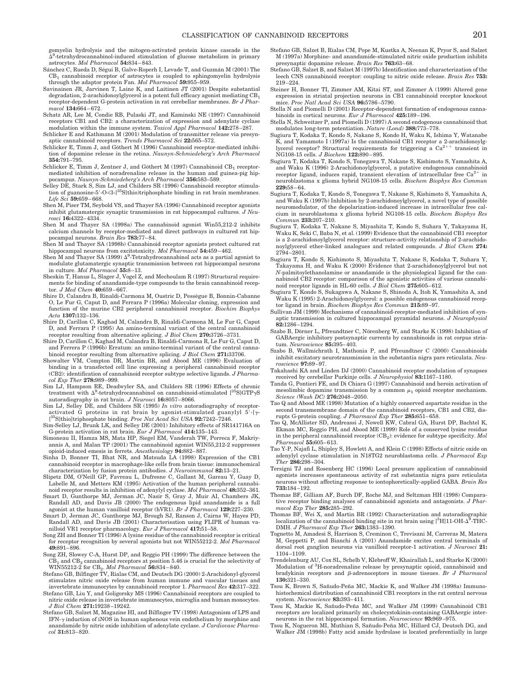gomyelin hydrolysis and the mitogen-activated protein kinase cascade in the  $\tilde{\Delta}^9$ -tetrahydrocannabinol-induced stimulation of glucose metabolism in primary astrocytes. *Mol Pharmacol* **54:**834–843.

- Sánchez C, Rueda D, Ségui B, Galve-Roperh I, Levade T, and Guzmán M (2001) The  $CB<sub>1</sub>$  cannabinoid receptor of astrocytes is coupled to sphingomyelin hydrolysis through the adaptor protein Fan. *Mol Pharmacol* **59:**955–959.
- Savinainen JR, Jarvinen T, Laine K, and Laitinen JT (2001) Despite substantial degradation, 2-arachidonoylglycerol is a potent full efficacy agonist mediating CB1 receptor-dependent G-protein activation in rat cerebellar membranes. *Br J Pharmacol* **134:**664–672.
- Schatz AR, Lee M, Condie RB, Pulaski JT, and Kaminski NE (1997) Cannabinoid receptors CB1 and CB2: a characterization of expression and adenylate cyclase modulation within the immune system. *Toxicol Appl Pharmacol* **142:**278–287.
- Schlicker E and Kathmann M (2001) Modulation of transmitter release via presynaptic cannabinoid receptors. *Trends Pharmacol Sci* **22:**565–572.
- Schlicker E, Timm J, and Göthert M (1996) Cannabinoid receptor-mediated inhibition of dopamine release in the retina. *Naunyn-Schmiedeberg's Arch Pharmacol* **354:**791–795.
- Schlicker E, Timm J, Zentner J, and Göthert M (1997) Cannabinoid  $CB_1$  receptormediated inhibition of noradrenaline release in the human and guinea-pig hippocampus. *Naunyn-Schmiedeberg's Arch Pharmacol* **356:**583–589.
- Selley DE, Stark S, Sim LJ, and Childers SR (1996) Cannabinoid receptor stimulation of guanosine-5'-O-(3-[<sup>35</sup>S]thio)triphosphate binding in rat brain membranes. *Life Sci* **59:**659–668.
- Shen M, Piser TM, Seybold VS, and Thayer SA (1996) Cannabinoid receptor agonists inhibit glutamatergic synaptic transmission in rat hippocampal cultures. *J Neurosci* **16:**4322–4334.
- Shen M and Thayer SA (1998a) The cannabinoid agonist Win55,212-2 inhibits calcium channels by receptor-mediated and direct pathways in cultured rat hippocampal neurons. *Brain Res* **783:**77–84.
- Shen M and Thayer SA (1998b) Cannabinoid receptor agonists protect cultured rat hippocampal neurons from excitotoxicity. *Mol Pharmacol* **54:**459–462.
- Shen M and Thayer SA (1999)  $\Delta^9$ -Tetrahydrocannabinol acts as a partial agonist to modulate glutamatergic synaptic transmission between rat hippocampal neurons in culture. *Mol Pharmacol* **55:**8–13.
- Sheskin T, Hanus L, Slager J, Vogel Z, and Mechoulam R (1997) Structural requirements for binding of anandamide-type compounds to the brain cannabinoid receptor. *J Med Chem* **40:**659–667.
- Shire D, Calandra B, Rinaldi-Carmona M, Oustric D, Pessègue B, Bonnin-Cabanne O, Le Fur G, Caput D, and Ferrara P (1996a) Molecular cloning, expression and function of the murine CB2 peripheral cannabinoid receptor. *Biochim Biophys Acta* **1307:**132–136.
- Shire D, Carillon C, Kaghad M, Calandra B, Rinaldi-Carmona M, Le Fur G, Caput D, and Ferrara P (1995) An amino-terminal variant of the central cannabinoid receptor resulting from alternative splicing. *J Biol Chem* **270:**3726–3731.
- Shire D, Carillon C, Kaghad M, Calandra B, Rinaldi-Carmona R, Le Fur G, Caput D, and Ferrera P (1996b) Erratum: an amino-terminal variant of the central cannabinoid receptor resulting from alternative splicing. *J Biol Chem* **271:**33706.
- Showalter VM, Compton DR, Martin BR, and Abood ME (1996) Evaluation of binding in a transfected cell line expressing a peripheral cannabinoid receptor (CB2): identification of cannabinoid receptor subtype selective ligands. *J Pharmacol Exp Ther* **278:**989–999.
- Sim LJ, Hampson RE, Deadwyler SA, and Childers SR (1996) Effects of chronic treatment with  $\Delta^9$ -tetrahydrocannabinol on cannabinoid-stimulated  $[^{35}S]GTP\gamma S$ autoradiography in rat brain. *J Neurosci* **16:**8057–8066.
- Sim LJ, Selley DE, and Childers SR (1995) *In vitro* autoradiography of receptoractivated G proteins in rat brain by agonist-stimulated guanylyl  $5'-[\gamma-$ [ 35S]thio]triphosphate binding. *Proc Nat Acad Sci USA* **92:**7242–7246.
- Sim-Selley LJ, Brunk LK, and Selley DE (2001) Inhibitory effects of SR141716A on G-protein activation in rat brain. *Eur J Pharmacol* **414:**135–143.
- Simoneau II, Hamza MS, Mata HP, Siegel EM, Vanderah TW, Porreca F, Makriyannis A, and Malan TP (2001) The cannabinoid agonist WIN55,212-2 suppresses opioid-induced emesis in ferrets. *Anesthesiology* **94:**882–887.
- Sinha D, Bonner TI, Bhat NR, and Matsuda LA (1998) Expression of the CB1 cannabinoid receptor in macrophage-like cells from brain tissue: immunochemical characterization by fusion protein antibodies. *J Neuroimmunol* **82:**13–21.
- Slipetz DM, O'Neill GP, Favreau L, Dufresne C, Gallant M, Gareau Y, Guay D, Labelle M, and Metters KM (1995) Activation of the human peripheral cannabinoid receptor results in inhibition of adenylyl cyclase. *Mol Pharmacol* **48:**352–361.
- Smart D, Gunthorpe MJ, Jerman JC, Nasir S, Gray J, Muir AI, Chambers JK, Randall AD, and Davis JB (2000) The endogenous lipid anandamide is a full agonist at the human vanilloid receptor (hVR1). *Br J Pharmacol* **129:**227–230.
- Smart D, Jerman JC, Gunthorpe MJ, Brough SJ, Ranson J, Cairns W, Hayes PD, Randall AD, and Davis JB (2001) Characterisation using FLIPR of human vanilloid VR1 receptor pharmacology. *Eur J Pharmacol* **417:**51–58.
- Song ZH and Bonner TI (1996) A lysine residue of the cannabinoid receptor is critical for receptor recognition by several agonists but not WIN55212-2. *Mol Pharmacol* **49:**891–896.
- Song ZH, Slowey C-A, Hurst DP, and Reggio PH (1999) The difference between the  $\overline{CB}_1$  and  $\overline{CB}_2$  cannabinoid receptors at position 5.46 is crucial for the selectivity of WIN55212-2 for CB2. *Mol Pharmacol* **56:**834–840.
- Stefano GB, Bilfinger TV, Rialas CM, and Deutsch DG (2000) 2-Arachidonyl-glycerol stimulates nitric oxide release from human immune and vascular tissues and invertebrate immunocytes by cannabinoid receptor 1. *Pharmacol Res* **42:**317–322.
- Stefano GB, Liu Y, and Goligorsky MS (1996) Cannabinoid receptors are coupled to nitric oxide release in invertebrate immunocytes, microglia and human monocytes. *J Biol Chem* **271:**19238–19242.
- Stefano GB, Salzet M, Magazine HI, and Bilfinger TV (1998) Antagonism of LPS and IFN- $\gamma$  induction of iNOS in human saphenous vein endothelium by morphine and anandamide by nitric oxide inhibition of adenylate cyclase. *J Cardiovasc Pharmacol* **31:**813–820.
- Stefano GB, Salzet B, Rialas CM, Pope M, Kustka A, Neenan K, Pryor S, and Salzet M (1997a) Morphine- and anandamide-stimulated nitric oxide production inhibits presynaptic dopamine release. *Brain Res* **763:**63–68.
- Stefano GB, Salzet B, and Salzet M (1997b) Identification and characterization of the leech CNS cannabinoid receptor: coupling to nitric oxide release. *Brain Res* **753:** 219–224.
- Steiner H, Bonner TI, Zimmer AM, Kitai ST, and Zimmer A (1999) Altered gene expression in striatal projection neurons in CB1 cannabinoid receptor knockout mice. *Proc Natl Acad Sci USA* **96:**5786–5790.
- Stella N and Piomelli D (2001) Receptor-dependent formation of endogenous cannabinoids in cortical neurons. *Eur J Pharmacol* **425:**189–196.
- Stella N, Schweitzer P, and Piomelli D (1997) A second endogenous cannabinoid that modulates long-term potentiation. *Nature (Lond)* **388:**773–778.
- Sugiura T, Kodaka T, Kondo S, Nakane S, Kondo H, Waku K, Ishima Y, Watanabe K, and Yamamoto I (1997a) Is the cannabinoid CB1 receptor a 2-arachidonoylg-<br>lycerol receptor? Structural requirements for triggering a  $Ca^{2++}$  transient in NG108-15 cells. *J Biochem* **122:**890–895.
- Sugiura T, Kodaka T, Kondo S, Tonegawa T, Nakane S, Kishimoto S, Yamashita A, and Waku K (1996) 2-Arachidonoylglycerol, a putative endogenous cannabinoid receptor ligand, induces rapid, transient elevation of intracellular free  $Ca^{2+}$  in neuroblastoma x glioma hybrid NG108-15 cells. *Biochem Biophys Res Commun* **229:**58–64.
- Sugiura T, Kodaka T, Kondo S, Tonegawa T, Nakane S, Kishimoto S, Yamashita A, and Waku K (1997b) Inhibition by 2-arachidonoylglycerol, a novel type of possible neuromodulator, of the depolarization-induced increase in intracellular free calcium in neuroblastoma x glioma hybrid NG108-15 cells. *Biochem Biophys Res Commun* **233:**207–210.
- Sugiura T, Kodaka T, Nakane S, Miyashita T, Kondo S, Suhara Y, Takayama H, Waku K, Seki C, Baba N, et al. (1999) Evidence that the cannabinoid CB1 receptor is a 2-arachidonoylglycerol receptor: structure-activity relationship of 2-arachidonoylglycerol ether-linked analogues and related compounds. *J Biol Chem* **274:** 2794–2801.
- Sugiura T, Kondo S, Kishimoto S, Miyashita T, Nakane S, Kodaka T, Suhara Y, Takayama H, and Waku K (2000) Evidence that 2-arachidonoylglycerol but not *N*-palmitoylethanolamine or anandamide is the physiological ligand for the cannabinoid CB2 receptor: comparison of the agonistic activities of various cannabinoid receptor ligands in HL-60 cells. *J Biol Chem* **275:**605–612.
- Sugiura T, Kondo S, Sukagawa A, Nakane S, Shinoda A, Itoh K, Yamashita A, and Waku K (1995) 2-Arachidonoylglycerol: a possible endogenous cannabinoid receptor ligand in brain. *Biochem Biophys Res Commun* **215:**89–97.
- Sullivan JM (1999) Mechanisms of cannabinoid-receptor-mediated inhibition of synaptic transmission in cultured hippocampal pyramidal neurons. *J Neurophysiol* **82:**1286–1294.
- Szabo B, Dörner L, Pfreundtner C, Nörenberg W, and Starke K (1998) Inhibition of GABAergic inhibitory postsynaptic currents by cannabinoids in rat corpus striatum. *Neuroscience* **85:**395–403.
- Szabo B, Wallmichrath I, Mathonia P, and Pfreundtner C (2000) Cannabinoids inhibit excitatory neurotransmission in the substantia nigra pars reticulata. *Neuroscience* **97:**89–97.
- Takahashi KA and Linden DJ (2000) Cannabinoid receptor modulation of synapses received by cerebellar Purkinje cells. *J Neurophysiol* **83:**1167–1180.
- Tanda G, Pontieri FE, and Di Chiara G (1997) Cannabinoid and heroin activation of mesolimbic dopamine transmission by a common  $\mu_1$  opioid receptor mechanism. *Science (Wash DC)* **276:**2048–2050.
- Tao Q and Abood ME (1998) Mutation of a highly conserved aspartate residue in the second transmembrane domain of the cannabinoid receptors, CB1 and CB2, disrupts G-protein coupling. *J Pharmacol Exp Ther* **285:**651–658.
- Tao Q, McAllister SD, Andreassi J, Nowell KW, Cabral GA, Hurst DP, Bachtel K, Ekman MC, Reggio PH, and Abood ME (1999) Role of a conserved lysine residue in the peripheral cannabinoid receptor (CB<sub>2</sub>): evidence for subtype specificity. Mol *Pharmacol* **55:**605–613.
- Tao Y-P, Najafi L, Shipley S, Howlett A, and Klein C (1998) Effects of nitric oxide on adenylyl cyclase stimulation in N18TG2 neuroblastoma cells. *J Pharmacol Exp Ther* **286:**298–304.
- Tersigni TJ and Rosenberg HC (1996) Local pressure application of cannabinoid agonists increases spontaneous activity of rat substantia nigra pars reticulata neurons without affecting response to iontophoretically-applied GABA. *Brain Res* **733:**184–192.
- Thomas BF, Gilliam AF, Burch DF, Roche MJ, and Seltzman HH (1998) Comparative receptor binding analyses of cannabinoid agonists and antagonists. *J Pharmacol Exp Ther* **285:**285–292.
- Thomas BF, Wei X, and Martin BR (1992) Characterization and autoradiographic localization of the cannabinoid binding site in rat brain using  $[{}^{3}H]11-OH-\Delta^{9}-THC-$ DMH. *J Pharmacol Exp Ther* **263:**1383–1390.
- Tognetto M, Amadesi S, Harrison S, Creminon C, Trevisani M, Carreras M, Matera M, Geppetti P, and Bianchi A (2001) Anandamide excites central terminals of dorsal root ganglion neurons via vanilloid receptor-1 activation. *J Neurosci* **21:** 1104–1109.
- Trendelenburg AU, Cox SL, Schelb V, Klebroff W, Khairallah L, and Starke K (2000) Modulation of <sup>3</sup>H-noradrenaline release by presynaptic opioid, cannabinoid and bradykinin receptors and  $\beta$ -adrenoceptors in mouse tissues. *Br J Pharmacol* **130:**321–330.
- Tsou K, Brown S, Sañudo-Peña MC, Mackie K, and Walker JM (1998a) Immunohistochemical distribution of cannabinoid CB1 receptors in the rat central nervous system. *Neuroscience* **83:**393–411.
- Tsou K, Mackie K, Sañudo-Peña MC, and Walker JM (1999) Cannabinoid CB1 receptors are localized primarily on cholecystokinin-containing GABAergic interneurons in the rat hippocampal formation. *Neuroscience* **93:**969–975.
- Tsou K, Nogueron MI, Muthian S, Sañudo-Peña MC, Hillard CJ, Deutsch DG, and Walker JM (1998b) Fatty acid amide hydrolase is located preferentially in large